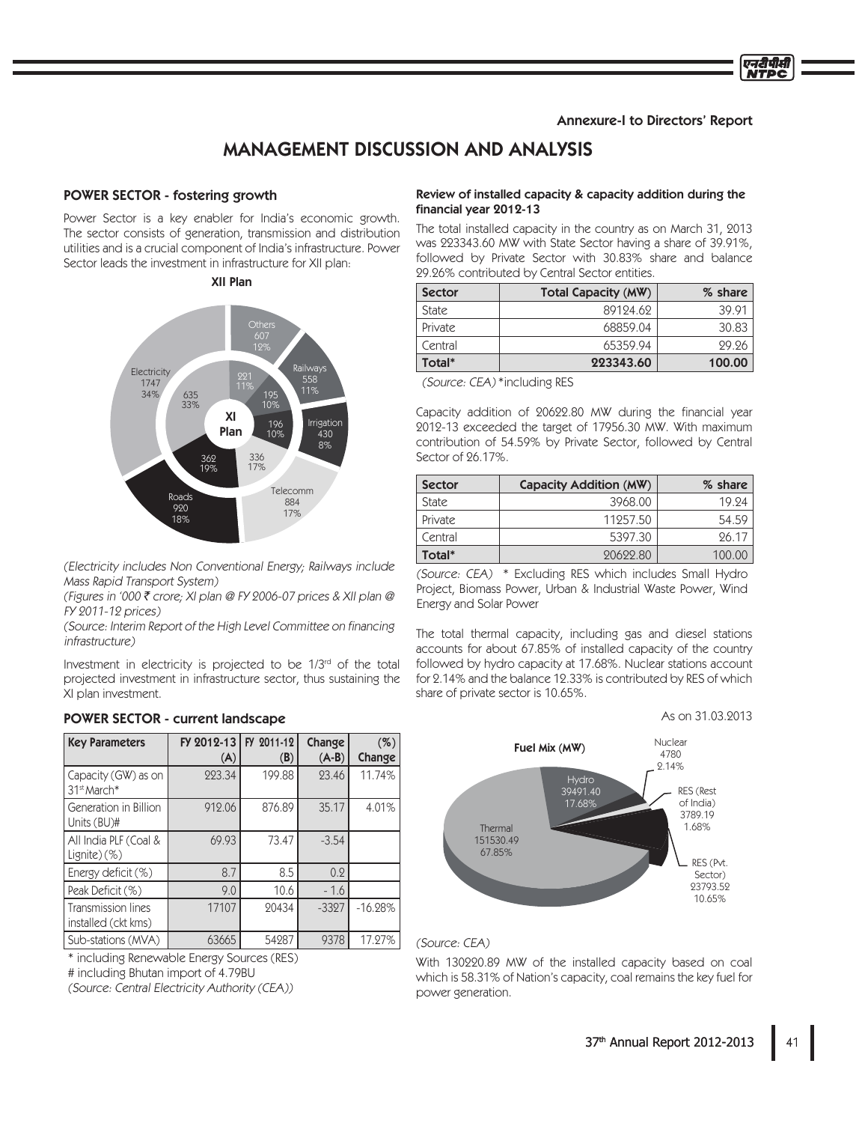## Annexure-I to Directors' Report

एनटीपीसी NTPC

# MANAGEMENT DISCUSSION AND ANALYSIS

## POWER SECTOR - fostering growth

Power Sector is a key enabler for India's economic growth. The sector consists of generation, transmission and distribution utilities and is a crucial component of India's infrastructure. Power Sector leads the investment in infrastructure for XII plan:

## XII Plan



(Electricity includes Non Conventional Energy; Railways include Mass Rapid Transport System)

(Figures in '000 ₹ crore; XI plan @ FY 2006-07 prices & XII plan @ FY 2011-12 prices)

(Source: Interim Report of the High Level Committee on financing infrastructure)

Investment in electricity is projected to be 1/3<sup>rd</sup> of the total projected investment in infrastructure sector, thus sustaining the XI plan investment.

| <b>Key Parameters</b>                          | FY 2012-13<br>(A) | FY 2011-12<br>(B) | Change<br>$(A-B)$ | $(\%)$<br>Change |
|------------------------------------------------|-------------------|-------------------|-------------------|------------------|
| Capacity (GW) as on<br>31 <sup>st</sup> March* | 223.34            | 199.88            | 23.46             | 11.74%           |
| Generation in Billion<br>Units (BU)#           | 912.06            | 876.89            | 35.17             | 4.01%            |
| All India PLF (Coal &<br>$Lignite)$ (%)        | 69.93             | 73.47             | $-3.54$           |                  |
| Energy deficit (%)                             | 8.7               | 8.5               | 0.2               |                  |
| Peak Deficit (%)                               | 9.0               | 10.6              | $-1.6$            |                  |
| Transmission lines<br>installed (ckt kms)      | 17107             | 20434             | $-3327$           | $-16.28%$        |
| Sub-stations (MVA)                             | 63665             | 54287             | 9378              | 17.27%           |

#### POWER SECTOR - current landscape

\* including Renewable Energy Sources (RES)

(Source: Central Electricity Authority (CEA))

## Review of installed capacity & capacity addition during the financial year 2012-13

The total installed capacity in the country as on March 31, 2013 was 223343.60 MW with State Sector having a share of 39.91%, followed by Private Sector with 30.83% share and balance 29.26% contributed by Central Sector entities.

| <b>Sector</b> | Total Capacity (MW) | % share |
|---------------|---------------------|---------|
| <b>State</b>  | 89124.62            | 39.91   |
| Private       | 68859.04            | 30.83   |
| Central       | 65359.94            | 29.26   |
| Total*        | 223343.60           | 100.00  |

(Source: CEA)\*including RES

Capacity addition of 20622.80 MW during the financial year 2012-13 exceeded the target of 17956.30 MW. With maximum contribution of 54.59% by Private Sector, followed by Central Sector of 26.17%.

| <b>Sector</b> | Capacity Addition (MW) | % share |
|---------------|------------------------|---------|
| <b>State</b>  | 3968.00                | 19.24   |
| Private       | 11257.50               | 54.59   |
| Central       | 5397.30                | 26.17   |
| Total*        | 20622.80               | 100.00  |

(Source: CEA) \* Excluding RES which includes Small Hydro Project, Biomass Power, Urban & Industrial Waste Power, Wind Energy and Solar Power

The total thermal capacity, including gas and diesel stations accounts for about 67.85% of installed capacity of the country followed by hydro capacity at 17.68%. Nuclear stations account for 2.14% and the balance 12.33% is contributed by RES of which share of private sector is 10.65%.

### As on 31.03.2013



(Source: CEA)

With 130220.89 MW of the installed capacity based on coal which is 58.31% of Nation's capacity, coal remains the key fuel for power generation.

<sup>#</sup> including Bhutan import of 4.79BU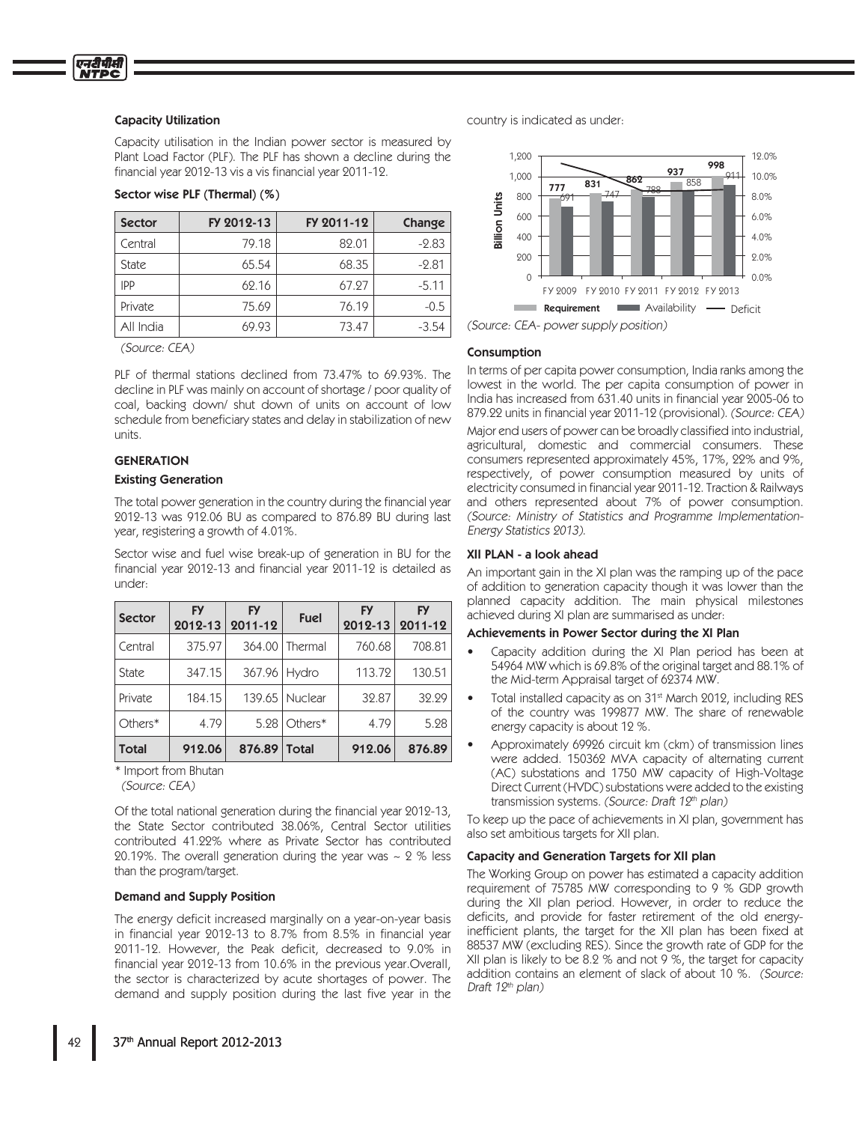#### Capacity Utilization

Capacity utilisation in the Indian power sector is measured by Plant Load Factor (PLF). The PLF has shown a decline during the financial year 2012-13 vis a vis financial year 2011-12.

## Sector wise PLF (Thermal) (%)

| <b>Sector</b> | FY 2012-13 | FY 2011-12 | Change  |
|---------------|------------|------------|---------|
| Central       | 79.18      | 82.01      | $-2.83$ |
| <b>State</b>  | 65.54      | 68.35      | $-2.81$ |
| <b>IPP</b>    | 62.16      | 67.27      | $-5.11$ |
| Private       | 75.69      | 76.19      | $-0.5$  |
| All India     | 69.93      | 73.47      | $-3.54$ |

(Source: CEA)

PLF of thermal stations declined from 73.47% to 69.93%. The decline in PLF was mainly on account of shortage / poor quality of coal, backing down/ shut down of units on account of low schedule from beneficiary states and delay in stabilization of new units.

## **GENERATION**

#### Existing Generation

The total power generation in the country during the financial year 2012-13 was 912.06 BU as compared to 876.89 BU during last year, registering a growth of 4.01%.

Sector wise and fuel wise break-up of generation in BU for the financial year 2012-13 and financial year 2011-12 is detailed as under:

| <b>Sector</b> | <b>FY</b><br>2012-13 | <b>FY</b><br>$ 2011-12 $ | <b>Fuel</b>    | <b>FY</b><br>2012-13 | <b>FY</b><br>$ 2011 - 12 $ |
|---------------|----------------------|--------------------------|----------------|----------------------|----------------------------|
| Central       | 375.97               |                          | 364.00 Thermal | 760.68               | 708.81                     |
| <b>State</b>  | 347.15               | 367.96 Hydro             |                | 113.72               | 130.51                     |
| Private       | 184.15               |                          | 139.65 Nuclear | 32.87                | 32.29                      |
| Others*       | 4.79                 |                          | $5.28$ Others* | 4.79                 | 5.28                       |
| <b>Total</b>  | 912.06               | 876.89 Total             |                | 912.06               | 876.89                     |

\* Import from Bhutan

(Source: CEA)

Of the total national generation during the financial year 2012-13, the State Sector contributed 38.06%, Central Sector utilities contributed 41.22% where as Private Sector has contributed 20.19%. The overall generation during the year was  $\sim$  2 % less than the program/target.

#### Demand and Supply Position

The energy deficit increased marginally on a year-on-year basis in financial year 2012-13 to 8.7% from 8.5% in financial year 2011-12. However, the Peak deficit, decreased to 9.0% in financial year 2012-13 from 10.6% in the previous year. Overall, the sector is characterized by acute shortages of power. The demand and supply position during the last five year in the

country is indicated as under:



(Source: CEA- power supply position)

#### Consumption

In terms of per capita power consumption, India ranks among the lowest in the world. The per capita consumption of power in India has increased from 631.40 units in financial year 2005-06 to 879.22 units in financial year 2011-12 (provisional). (Source: CEA)

Major end users of power can be broadly classified into industrial, agricultural, domestic and commercial consumers. These consumers represented approximately 45%, 17%, 22% and 9%, respectively, of power consumption measured by units of electricity consumed in financial year 2011-12. Traction & Railways and others represented about 7% of power consumption. (Source: Ministry of Statistics and Programme Implementation-Energy Statistics 2013).

#### XII PLAN - a look ahead

An important gain in the XI plan was the ramping up of the pace of addition to generation capacity though it was lower than the planned capacity addition. The main physical milestones achieved during XI plan are summarised as under:

#### Achievements in Power Sector during the XI Plan

- Capacity addition during the XI Plan period has been at 54964 MW which is 69.8% of the original target and 88.1% of the Mid-term Appraisal target of 62374 MW.
- Total installed capacity as on 31<sup>st</sup> March 2012, including RES of the country was 199877 MW. The share of renewable energy capacity is about 12 %.
- Approximately 69926 circuit km (ckm) of transmission lines were added. 150362 MVA capacity of alternating current (AC) substations and 1750 MW capacity of High-Voltage Direct Current (HVDC) substations were added to the existing transmission systems. (Source: Draft 12th plan)

To keep up the pace of achievements in XI plan, government has also set ambitious targets for XII plan.

#### Capacity and Generation Targets for XII plan

The Working Group on power has estimated a capacity addition requirement of 75785 MW corresponding to 9 % GDP growth during the XII plan period. However, in order to reduce the deficits, and provide for faster retirement of the old energyinefficient plants, the target for the XII plan has been fixed at 88537 MW (excluding RES). Since the growth rate of GDP for the XII plan is likely to be  $8.2$  % and not 9 %, the target for capacity addition contains an element of slack of about 10 %. (Source: Draft 12<sup>th</sup> plan)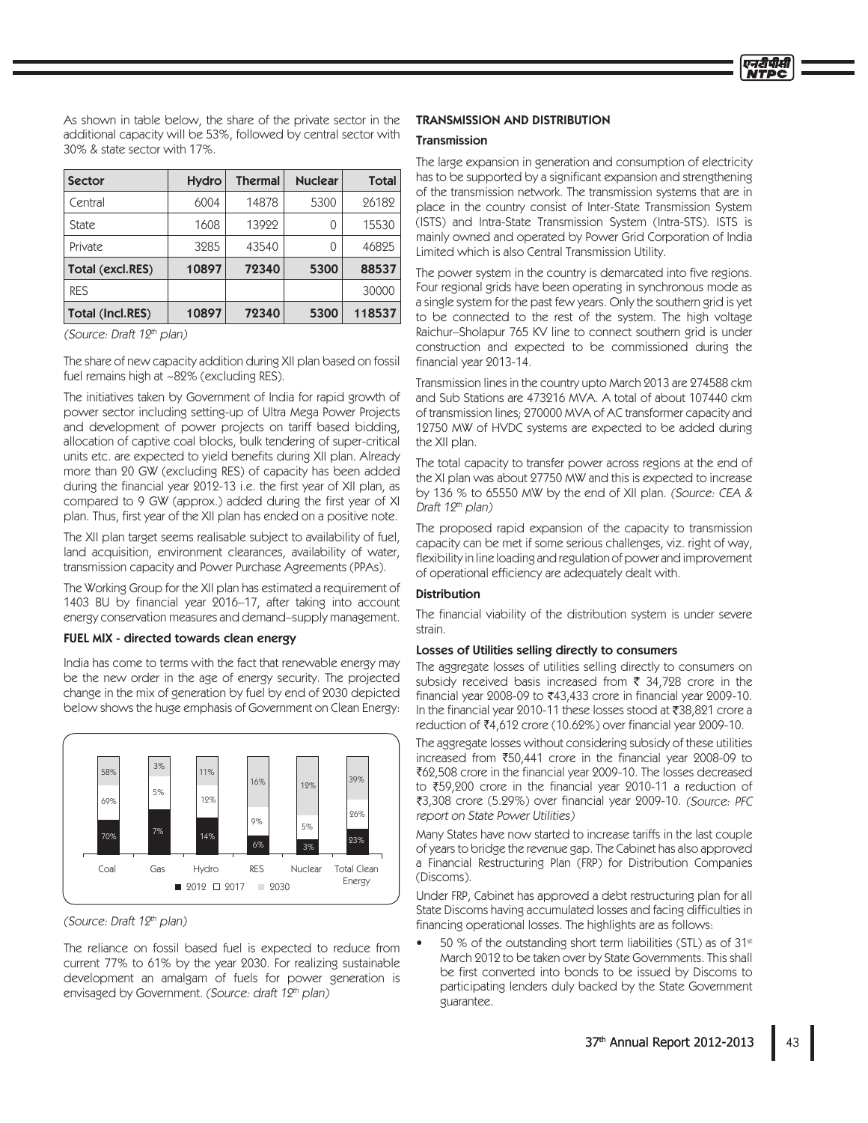As shown in table below, the share of the private sector in the additional capacity will be 53%, followed by central sector with 30% & state sector with 17%.

| <b>Sector</b>           | <b>Hydro</b> | <b>Thermal</b> | <b>Nuclear</b> | Total  |
|-------------------------|--------------|----------------|----------------|--------|
| Central                 | 6004         | 14878          | 5300           | 26182  |
| <b>State</b>            | 1608         | 13922          | 0              | 15530  |
| Private                 | 3285         | 43540          | 0              | 46825  |
| Total (excl.RES)        | 10897        | 72340          | 5300           | 88537  |
| <b>RES</b>              |              |                |                | 30000  |
| <b>Total (Incl.RES)</b> | 10897        | 72340          | 5300           | 118537 |

(Source: Draft 12th plan)

The share of new capacity addition during XII plan based on fossil fuel remains high at ~82% (excluding RES).

The initiatives taken by Government of India for rapid growth of power sector including setting-up of Ultra Mega Power Projects and development of power projects on tariff based bidding, allocation of captive coal blocks, bulk tendering of super-critical units etc. are expected to yield benefits during XII plan. Already more than 20 GW (excluding RES) of capacity has been added during the financial year 2012-13 i.e. the first year of XII plan, as compared to 9 GW (approx.) added during the first year of XI plan. Thus, first year of the XII plan has ended on a positive note.

The XII plan target seems realisable subject to availability of fuel, land acquisition, environment clearances, availability of water, transmission capacity and Power Purchase Agreements (PPAs).

The Working Group for the XII plan has estimated a requirement of 1403 BU by financial year 2016-17, after taking into account energy conservation measures and demand-supply management.

## FUEL MIX - directed towards clean energy

India has come to terms with the fact that renewable energy may be the new order in the age of energy security. The projected change in the mix of generation by fuel by end of 2030 depicted below shows the huge emphasis of Government on Clean Energy:



(Source: Draft 12th plan)

The reliance on fossil based fuel is expected to reduce from current 77% to 61% by the year 2030. For realizing sustainable development an amalgam of fuels for power generation is envisaged by Government. (Source: draft 12th plan)

## **TRANSMISSION AND DISTRIBUTION**

## Transmission

The large expansion in generation and consumption of electricity has to be supported by a significant expansion and strengthening of the transmission network. The transmission systems that are in place in the country consist of Inter-State Transmission System (ISTS) and Intra-State Transmission System (Intra-STS). ISTS is mainly owned and operated by Power Grid Corporation of India Limited which is also Central Transmission Utility.

The power system in the country is demarcated into five regions. Four regional grids have been operating in synchronous mode as a single system for the past few years. Only the southern grid is yet to be connected to the rest of the system. The high voltage Raichur-Sholapur 765 KV line to connect southern grid is under construction and expected to be commissioned during the financial year 2013-14.

Transmission lines in the country upto March 2013 are 274588 ckm and Sub Stations are 473216 MVA. A total of about 107440 ckm of transmission lines; 270000 MVA of AC transformer capacity and 12750 MW of HVDC systems are expected to be added during the XII plan.

The total capacity to transfer power across regions at the end of the XI plan was about 27750 MW and this is expected to increase by 136 % to 65550 MW by the end of XII plan. (Source: CEA & Draft 12<sup>th</sup> plan)

The proposed rapid expansion of the capacity to transmission capacity can be met if some serious challenges, viz. right of way, flexibility in line loading and regulation of power and improvement of operational efficiency are adequately dealt with.

## **Distribution**

The financial viability of the distribution system is under severe strain.

#### Losses of Utilities selling directly to consumers

The aggregate losses of utilities selling directly to consumers on subsidy received basis increased from  $\bar{\zeta}$  34.728 crore in the financial year 2008-09 to ₹43,433 crore in financial year 2009-10. In the financial year 2010-11 these losses stood at ₹38,821 crore a reduction of ₹4,612 crore (10.62%) over financial year 2009-10.

The aggregate losses without considering subsidy of these utilities increased from ₹50,441 crore in the financial year 2008-09 to ₹62,508 crore in the financial year 2009-10. The losses decreased to ₹59,200 crore in the financial year 2010-11 a reduction of ₹3,308 crore (5.29%) over financial year 2009-10. (Source: PFC report on State Power Utilities)

Many States have now started to increase tariffs in the last couple of years to bridge the revenue gap. The Cabinet has also approved a Financial Restructuring Plan (FRP) for Distribution Companies (Discoms).

Under FRP, Cabinet has approved a debt restructuring plan for all State Discoms having accumulated losses and facing difficulties in financing operational losses. The highlights are as follows:

50 % of the outstanding short term liabilities (STL) as of 31<sup>st</sup> March 2012 to be taken over by State Governments. This shall be first converted into bonds to be issued by Discoms to participating lenders duly backed by the State Government quarantee.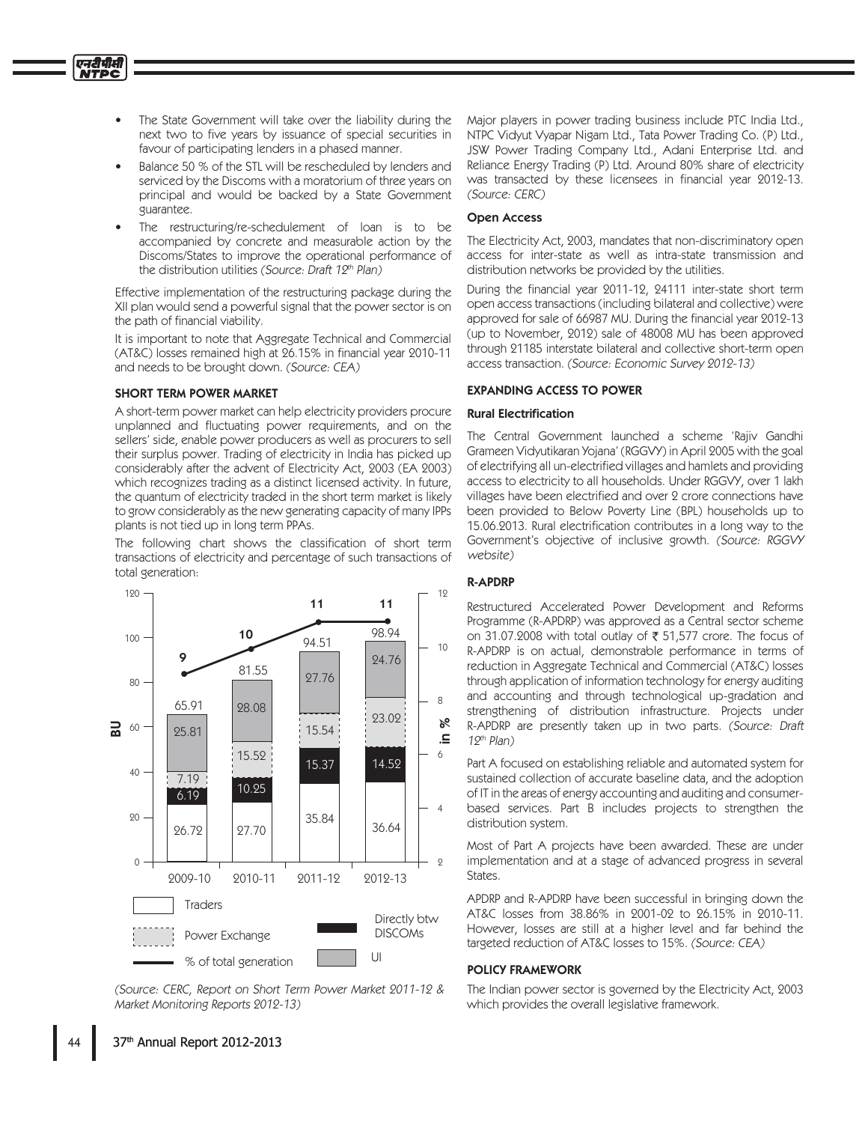- The State Government will take over the liability during the next two to five years by issuance of special securities in favour of participating lenders in a phased manner.
- Balance 50 % of the STL will be rescheduled by lenders and serviced by the Discoms with a moratorium of three years on principal and would be backed by a State Government guarantee.
- The restructuring/re-schedulement of loan is to be accompanied by concrete and measurable action by the Discoms/States to improve the operational performance of the distribution utilities (Source: Draft 12th Plan)

Effective implementation of the restructuring package during the XII plan would send a powerful signal that the power sector is on the path of financial viability.

It is important to note that Aggregate Technical and Commercial (AT&C) losses remained high at 26.15% in financial year 2010-11 and needs to be brought down. (Source: CEA)

## **SHORT TERM POWER MARKET**

A short-term power market can help electricity providers procure unplanned and fluctuating power requirements, and on the sellers' side, enable power producers as well as procurers to sell their surplus power. Trading of electricity in India has picked up considerably after the advent of Electricity Act, 2003 (EA 2003) which recognizes trading as a distinct licensed activity. In future, the quantum of electricity traded in the short term market is likely to grow considerably as the new generating capacity of many IPPs plants is not tied up in long term PPAs.

The following chart shows the classification of short term transactions of electricity and percentage of such transactions of total generation:



(Source: CERC, Report on Short Term Power Market 2011-12 & Market Monitoring Reports 2012-13)

Major players in power trading business include PTC India Ltd. NTPC Vidyut Vyapar Nigam Ltd., Tata Power Trading Co. (P) Ltd., JSW Power Trading Company Ltd., Adani Enterprise Ltd. and Reliance Energy Trading (P) Ltd. Around 80% share of electricity was transacted by these licensees in financial year 2012-13. (Source: CERC)

## **Open Access**

The Electricity Act, 2003, mandates that non-discriminatory open access for inter-state as well as intra-state transmission and distribution networks be provided by the utilities.

During the financial year 2011-12, 24111 inter-state short term open access transactions (including bilateral and collective) were approved for sale of 66987 MU. During the financial year 2012-13 (up to November, 2012) sale of 48008 MU has been approved through 21185 interstate bilateral and collective short-term open access transaction. (Source: Economic Survey 2012-13)

## **EXPANDING ACCESS TO POWER**

## **Rural Electrification**

The Central Government launched a scheme 'Rajiv Gandhi Grameen Vidyutikaran Yojana' (RGGVY) in April 2005 with the goal of electrifying all un-electrified villages and hamlets and providing access to electricity to all households. Under RGGVY, over 1 lakh villages have been electrified and over 2 crore connections have been provided to Below Poverty Line (BPL) households up to 15.06.2013. Rural electrification contributes in a long way to the Government's objective of inclusive growth. (Source: RGGVY website)

## **R-APDRP**

Restructured Accelerated Power Development and Reforms Programme (R-APDRP) was approved as a Central sector scheme on 31.07.2008 with total outlay of ₹ 51,577 crore. The focus of R-APDRP is on actual, demonstrable performance in terms of reduction in Aggregate Technical and Commercial (AT&C) losses through application of information technology for energy auditing and accounting and through technological up-gradation and strengthening of distribution infrastructure. Projects under R-APDRP are presently taken up in two parts. (Source: Draft  $19<sup>th</sup>$  Plan)

Part A focused on establishing reliable and automated system for sustained collection of accurate baseline data, and the adoption of IT in the areas of energy accounting and auditing and consumerbased services. Part B includes projects to strengthen the distribution system.

Most of Part A projects have been awarded. These are under implementation and at a stage of advanced progress in several States.

APDRP and R-APDRP have been successful in bringing down the AT&C losses from 38.86% in 2001-02 to 26.15% in 2010-11. However, losses are still at a higher level and far behind the targeted reduction of AT&C losses to 15%. (Source: CEA)

## **POLICY FRAMEWORK**

The Indian power sector is governed by the Electricity Act, 2003 which provides the overall legislative framework.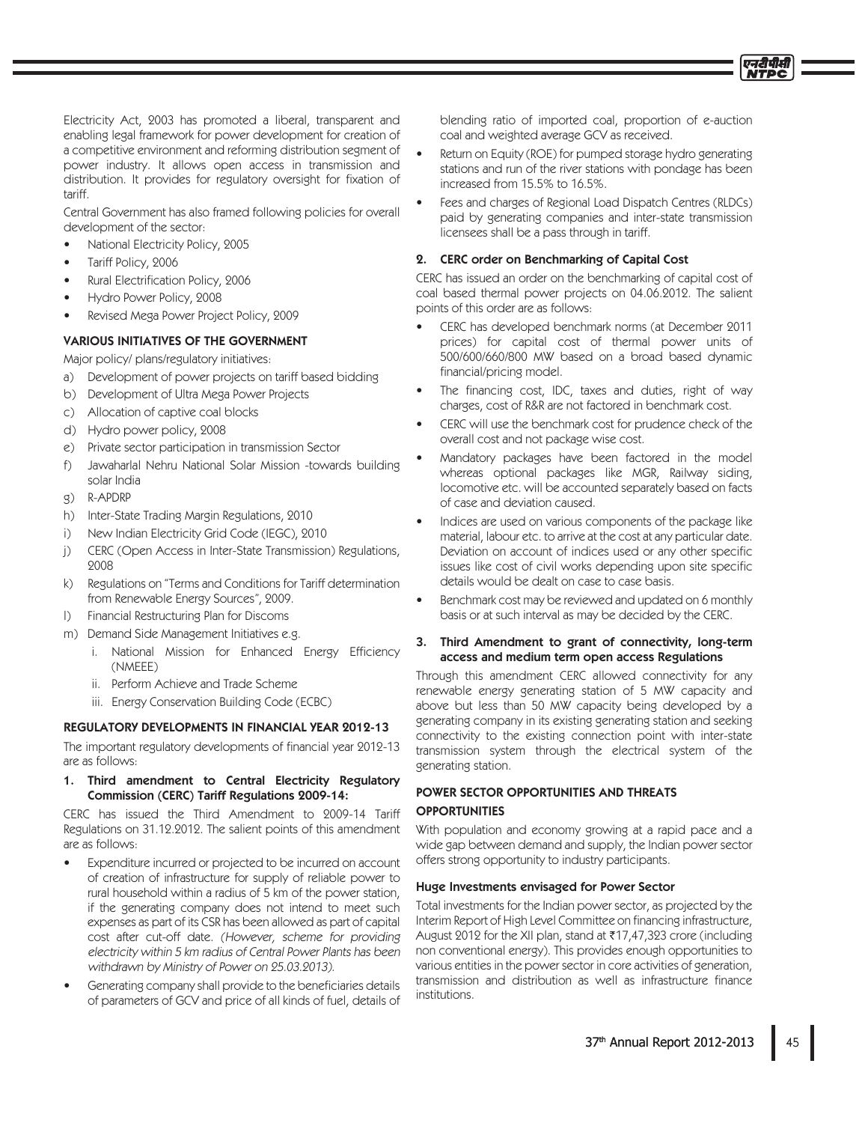Electricity Act, 2003 has promoted a liberal, transparent and enabling legal framework for power development for creation of a competitive environment and reforming distribution segment of power industry. It allows open access in transmission and distribution. It provides for regulatory oversight for fixation of tariff.

Central Government has also framed following policies for overall development of the sector:

- National Electricity Policy, 2005
- Tariff Policy, 2006
- Rural Electrification Policy, 2006
- Hydro Power Policy, 2008
- Revised Mega Power Project Policy, 2009

## **VARIOUS INITIATIVES OF THE GOVERNMENT**

Major policy/ plans/regulatory initiatives:

- a) Development of power projects on tariff based bidding
- b) Development of Ultra Mega Power Projects
- Allocation of captive coal blocks  $\mathcal{L}$ )
- d) Hydro power policy, 2008
- e) Private sector participation in transmission Sector
- Jawaharlal Nehru National Solar Mission -towards building f) solar India
- **R-APDRP**  $\mathcal{Q}$ )
- $h)$ Inter-State Trading Margin Regulations, 2010
- New Indian Electricity Grid Code (IEGC), 2010  $i)$
- $i)$ CERC (Open Access in Inter-State Transmission) Regulations. 9008
- $k)$ Regulations on "Terms and Conditions for Tariff determination from Renewable Energy Sources", 2009.
- Financial Restructuring Plan for Discoms  $\vert$ )
- m) Demand Side Management Initiatives e.g.
	- i. National Mission for Enhanced Energy Efficiency (NMEEE)
	- ii. Perform Achieve and Trade Scheme
	- iii. Energy Conservation Building Code (ECBC)

#### **REGULATORY DEVELOPMENTS IN FINANCIAL YEAR 2012-13**

The important regulatory developments of financial year 2012-13 are as follows:

## 1. Third amendment to Central Electricity Regulatory Commission (CERC) Tariff Regulations 2009-14:

CERC has issued the Third Amendment to 2009-14 Tariff Regulations on 31.12.2012. The salient points of this amendment are as follows:

- Expenditure incurred or projected to be incurred on account of creation of infrastructure for supply of reliable power to rural household within a radius of 5 km of the power station, if the generating company does not intend to meet such expenses as part of its CSR has been allowed as part of capital cost after cut-off date. (However, scheme for providing electricity within 5 km radius of Central Power Plants has been withdrawn by Ministry of Power on 25.03.2013).
- Generating company shall provide to the beneficiaries details of parameters of GCV and price of all kinds of fuel, details of

blending ratio of imported coal, proportion of e-auction coal and weighted average GCV as received.

- Return on Equity (ROE) for pumped storage hydro generating stations and run of the river stations with pondage has been increased from 15.5% to 16.5%.
- Fees and charges of Regional Load Dispatch Centres (RLDCs) paid by generating companies and inter-state transmission licensees shall be a pass through in tariff.

## 2. CERC order on Benchmarking of Capital Cost

CERC has issued an order on the benchmarking of capital cost of coal based thermal power projects on 04.06.2012. The salient points of this order are as follows:

- CERC has developed benchmark norms (at December 2011 prices) for capital cost of thermal power units of 500/600/660/800 MW based on a broad based dynamic financial/pricing model.
- The financing cost, IDC, taxes and duties, right of way charges, cost of R&R are not factored in benchmark cost.
- CERC will use the benchmark cost for prudence check of the overall cost and not package wise cost.
- Mandatory packages have been factored in the model whereas optional packages like MGR, Railway siding, locomotive etc. will be accounted separately based on facts of case and deviation caused.
- Indices are used on various components of the package like material, labour etc. to arrive at the cost at any particular date. Deviation on account of indices used or any other specific issues like cost of civil works depending upon site specific details would be dealt on case to case basis.
- Benchmark cost may be reviewed and updated on 6 monthly basis or at such interval as may be decided by the CERC.

#### Third Amendment to grant of connectivity, long-term 3. access and medium term open access Regulations

Through this amendment CERC allowed connectivity for any renewable energy generating station of 5 MW capacity and above but less than 50 MW capacity being developed by a generating company in its existing generating station and seeking connectivity to the existing connection point with inter-state transmission system through the electrical system of the generating station.

## POWER SECTOR OPPORTUNITIES AND THREATS **OPPORTUNITIES**

With population and economy growing at a rapid pace and a wide gap between demand and supply, the Indian power sector offers strong opportunity to industry participants.

## Huge Investments envisaged for Power Sector

Total investments for the Indian power sector, as projected by the Interim Report of High Level Committee on financing infrastructure, August 2012 for the XII plan, stand at ₹17,47,323 crore (including non conventional energy). This provides enough opportunities to various entities in the power sector in core activities of generation, transmission and distribution as well as infrastructure finance institutions.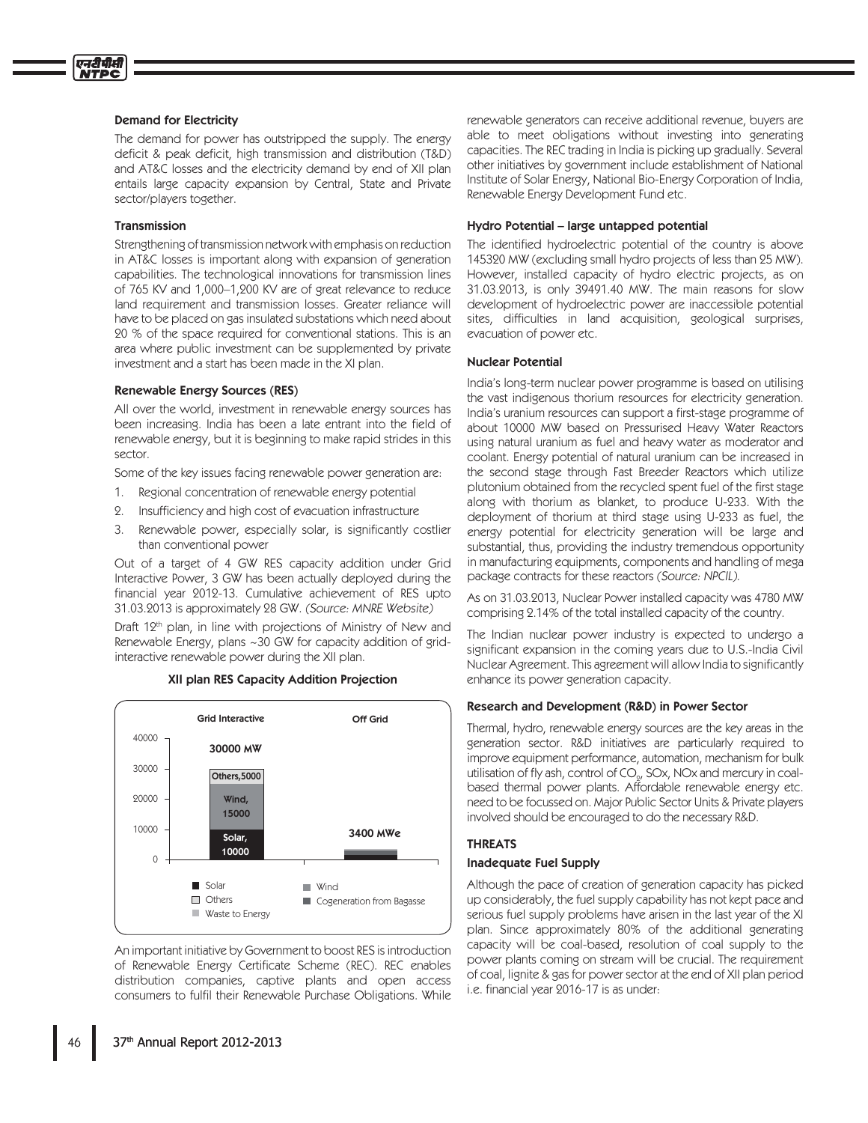#### **Demand for Electricity**

The demand for power has outstripped the supply. The energy deficit & peak deficit, high transmission and distribution (T&D) and AT&C losses and the electricity demand by end of XII plan entails large capacity expansion by Central, State and Private sector/players together.

### **Transmission**

Strengthening of transmission network with emphasis on reduction in AT&C losses is important along with expansion of generation capabilities. The technological innovations for transmission lines of 765 KV and 1,000-1,200 KV are of great relevance to reduce land requirement and transmission losses. Greater reliance will have to be placed on gas insulated substations which need about 20 % of the space required for conventional stations. This is an area where public investment can be supplemented by private investment and a start has been made in the XI plan.

#### Renewable Energy Sources (RES)

All over the world, investment in renewable energy sources has been increasing. India has been a late entrant into the field of renewable energy, but it is beginning to make rapid strides in this sector.

Some of the key issues facing renewable power generation are:

- $1.$ Regional concentration of renewable energy potential
- 2. Insufficiency and high cost of evacuation infrastructure
- $\mathcal{E}$ Renewable power, especially solar, is significantly costlier than conventional power

Out of a target of 4 GW RES capacity addition under Grid Interactive Power, 3 GW has been actually deployed during the financial year 2012-13. Cumulative achievement of RES upto 31.03.2013 is approximately 28 GW. (Source: MNRE Website)

Draft 12<sup>th</sup> plan, in line with projections of Ministry of New and Renewable Energy, plans ~30 GW for capacity addition of gridinteractive renewable power during the XII plan.



XII plan RES Capacity Addition Projection

An important initiative by Government to boost RES is introduction of Renewable Energy Certificate Scheme (REC). REC enables distribution companies, captive plants and open access consumers to fulfil their Renewable Purchase Obligations. While

renewable generators can receive additional revenue, buyers are able to meet obligations without investing into generating capacities. The REC trading in India is picking up gradually. Several other initiatives by government include establishment of National Institute of Solar Energy, National Bio-Energy Corporation of India, Renewable Energy Development Fund etc.

#### Hydro Potential - large untapped potential

The identified hydroelectric potential of the country is above 145320 MW (excluding small hydro projects of less than 25 MW). However, installed capacity of hydro electric projects, as on 31.03.2013, is only 39491.40 MW. The main reasons for slow development of hydroelectric power are inaccessible potential sites, difficulties in land acquisition, geological surprises, evacuation of power etc.

#### **Nuclear Potential**

India's long-term nuclear power programme is based on utilising the vast indigenous thorium resources for electricity generation. India's uranium resources can support a first-stage programme of about 10000 MW based on Pressurised Heavy Water Reactors using natural uranium as fuel and heavy water as moderator and coolant. Energy potential of natural uranium can be increased in the second stage through Fast Breeder Reactors which utilize plutonium obtained from the recycled spent fuel of the first stage along with thorium as blanket, to produce U-233. With the deployment of thorium at third stage using U-233 as fuel, the energy potential for electricity generation will be large and substantial, thus, providing the industry tremendous opportunity in manufacturing equipments, components and handling of mega package contracts for these reactors (Source: NPCIL).

As on 31.03.2013, Nuclear Power installed capacity was 4780 MW comprising 2.14% of the total installed capacity of the country.

The Indian nuclear power industry is expected to undergo a significant expansion in the coming years due to U.S.-India Civil Nuclear Agreement. This agreement will allow India to significantly enhance its power generation capacity.

#### Research and Development (R&D) in Power Sector

Thermal, hydro, renewable energy sources are the key areas in the generation sector. R&D initiatives are particularly required to improve equipment performance, automation, mechanism for bulk utilisation of fly ash, control of CO<sub>o</sub>, SOx, NOx and mercury in coalbased thermal power plants. Affordable renewable energy etc. need to be focussed on. Major Public Sector Units & Private players involved should be encouraged to do the necessary R&D.

## **THREATS**

## **Inadequate Fuel Supply**

Although the pace of creation of generation capacity has picked up considerably, the fuel supply capability has not kept pace and serious fuel supply problems have arisen in the last year of the XI plan. Since approximately 80% of the additional generating capacity will be coal-based, resolution of coal supply to the power plants coming on stream will be crucial. The requirement of coal, lignite & gas for power sector at the end of XII plan period i.e. financial year 2016-17 is as under: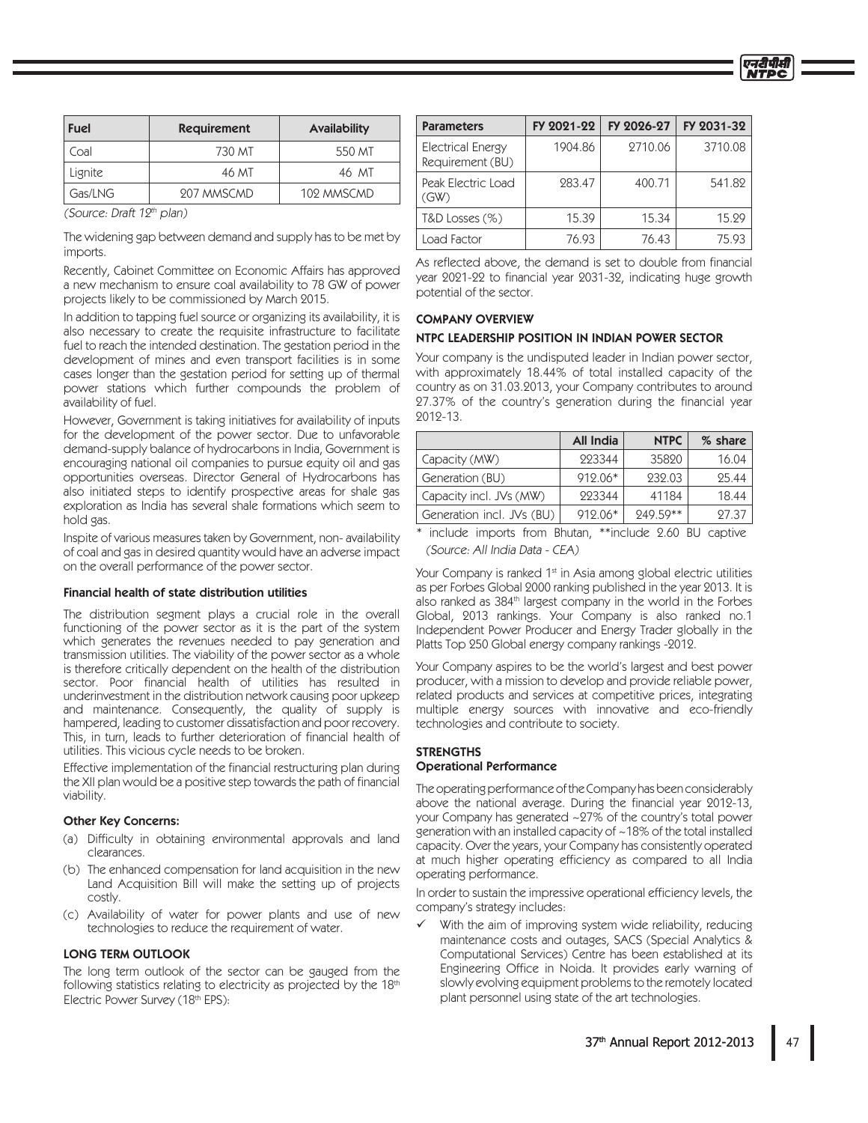| <b>Fuel</b> | <b>Requirement</b> | <b>Availability</b> |
|-------------|--------------------|---------------------|
| Coal        | 730 MT             | 550 MT              |
| Lignite     | 46 MT              | 46 MT               |
| Gas/LNG     | 207 MMSCMD         | 102 MMSCMD          |

(Source: Draft 12th plan)

The widening gap between demand and supply has to be met by imports.

Recently, Cabinet Committee on Economic Affairs has approved a new mechanism to ensure coal availability to 78 GW of power projects likely to be commissioned by March 2015.

In addition to tapping fuel source or organizing its availability, it is also necessary to create the requisite infrastructure to facilitate fuel to reach the intended destination. The gestation period in the development of mines and even transport facilities is in some cases longer than the gestation period for setting up of thermal power stations which further compounds the problem of availability of fuel.

However, Government is taking initiatives for availability of inputs for the development of the power sector. Due to unfavorable demand-supply balance of hydrocarbons in India, Government is encouraging national oil companies to pursue equity oil and gas opportunities overseas. Director General of Hydrocarbons has also initiated steps to identify prospective areas for shale gas exploration as India has several shale formations which seem to hold gas.

Inspite of various measures taken by Government, non-availability of coal and gas in desired quantity would have an adverse impact on the overall performance of the power sector.

#### Financial health of state distribution utilities

The distribution segment plays a crucial role in the overall functioning of the power sector as it is the part of the system which generates the revenues needed to pay generation and transmission utilities. The viability of the power sector as a whole is therefore critically dependent on the health of the distribution sector. Poor financial health of utilities has resulted in underinvestment in the distribution network causing poor upkeep and maintenance. Consequently, the quality of supply is hampered, leading to customer dissatisfaction and poor recovery. This, in turn, leads to further deterioration of financial health of utilities. This vicious cycle needs to be broken.

Effective implementation of the financial restructuring plan during the XII plan would be a positive step towards the path of financial viability.

### **Other Key Concerns:**

- (a) Difficulty in obtaining environmental approvals and land clearances.
- (b) The enhanced compensation for land acquisition in the new Land Acquisition Bill will make the setting up of projects costly.
- (c) Availability of water for power plants and use of new technologies to reduce the requirement of water.

#### **LONG TERM OUTLOOK**

The long term outlook of the sector can be gauged from the following statistics relating to electricity as projected by the 18th Electric Power Survey (18th EPS):

| <b>Parameters</b>                            | FY 2021-22 | FY 2026-27 | FY 2031-32 |
|----------------------------------------------|------------|------------|------------|
| <b>Electrical Energy</b><br>Requirement (BU) | 1904.86    | 2710.06    | 3710.08    |
| Peak Electric Load<br>(GW)                   | 283.47     | 400.71     | 541.82     |
| $T&D$ Losses $(\%)$                          | 15.39      | 15.34      | 15.29      |
| Load Factor                                  | 76.93      | 76.43      | 75.93      |

As reflected above, the demand is set to double from financial year 2021-22 to financial year 2031-32, indicating huge growth potential of the sector.

## **COMPANY OVERVIEW**

#### NTPC LEADERSHIP POSITION IN INDIAN POWER SECTOR

Your company is the undisputed leader in Indian power sector, with approximately 18.44% of total installed capacity of the country as on 31.03.2013, your Company contributes to around 27.37% of the country's generation during the financial year  $9019 - 13$ 

|                           | <b>All India</b> | <b>NTPC</b> | % share |
|---------------------------|------------------|-------------|---------|
| Capacity (MW)             | 223344           | 35820       | 16.04   |
| Generation (BU)           | 912.06*          | 232.03      | 25.44   |
| Capacity incl. JVs (MW)   | 223344           | 41184       | 18.44   |
| Generation incl. JVs (BU) | $912.06*$        | 249.59**    | 27.37   |

\* include imports from Bhutan, \*\*include 2.60 BU captive (Source: All India Data - CEA)

Your Company is ranked 1<sup>st</sup> in Asia among global electric utilities as per Forbes Global 2000 ranking published in the year 2013. It is also ranked as 384<sup>th</sup> largest company in the world in the Forbes Global, 2013 rankings. Your Company is also ranked no.1 Independent Power Producer and Energy Trader globally in the Platts Top 250 Global energy company rankings -2012.

Your Company aspires to be the world's largest and best power producer, with a mission to develop and provide reliable power, related products and services at competitive prices, integrating multiple energy sources with innovative and eco-friendly technologies and contribute to society.

#### **STRENGTHS Operational Performance**

The operating performance of the Company has been considerably above the national average. During the financial year 2012-13, your Company has generated ~27% of the country's total power generation with an installed capacity of ~18% of the total installed capacity. Over the years, your Company has consistently operated at much higher operating efficiency as compared to all India operating performance.

In order to sustain the impressive operational efficiency levels, the company's strategy includes:

With the aim of improving system wide reliability, reducing maintenance costs and outages, SACS (Special Analytics & Computational Services) Centre has been established at its Engineering Office in Noida. It provides early warning of slowly evolving equipment problems to the remotely located plant personnel using state of the art technologies.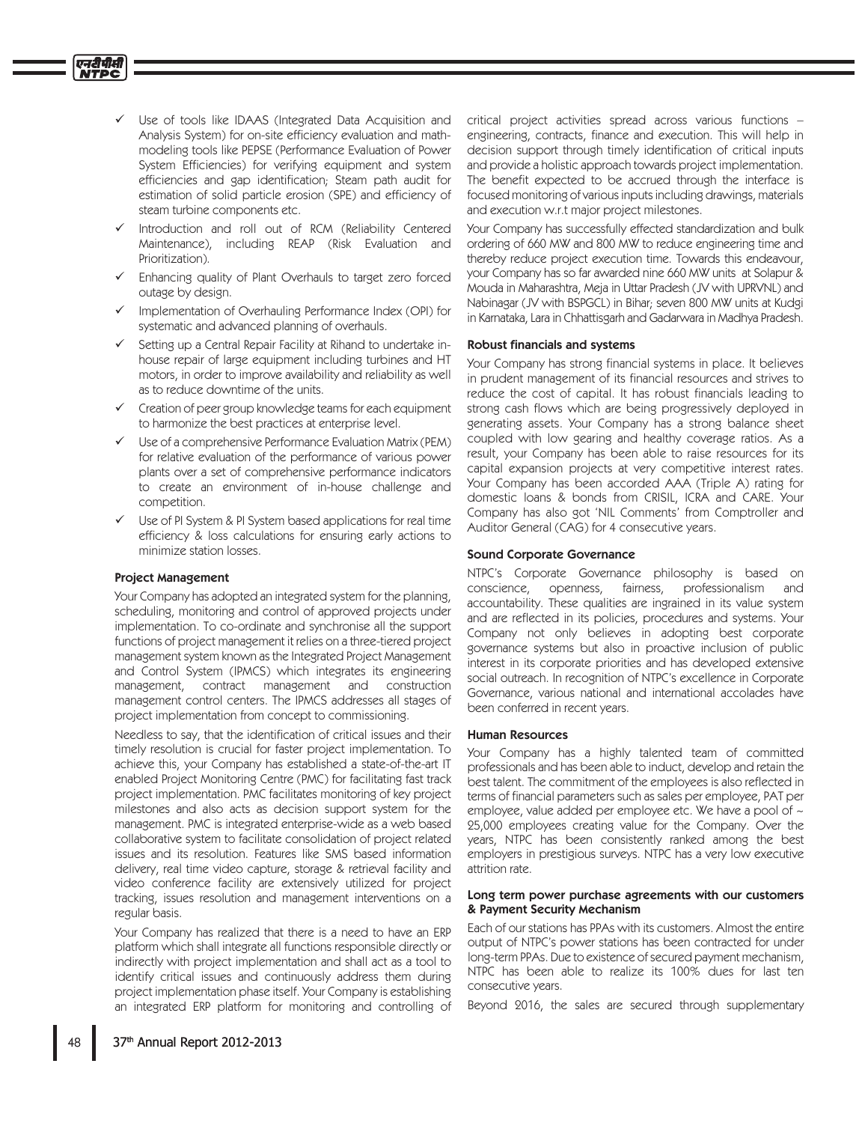- Use of tools like IDAAS (Integrated Data Acquisition and Analysis System) for on-site efficiency evaluation and mathmodeling tools like PEPSE (Performance Evaluation of Power System Efficiencies) for verifying equipment and system efficiencies and gap identification; Steam path audit for estimation of solid particle erosion (SPE) and efficiency of steam turbine components etc.
- Introduction and roll out of RCM (Reliability Centered Maintenance), including REAP (Risk Evaluation and Prioritization).
- Enhancing quality of Plant Overhauls to target zero forced outage by design.
- Implementation of Overhauling Performance Index (OPI) for systematic and advanced planning of overhauls.
- Setting up a Central Repair Facility at Rihand to undertake inhouse repair of large equipment including turbines and HT motors, in order to improve availability and reliability as well as to reduce downtime of the units.
- Creation of peer group knowledge teams for each equipment to harmonize the best practices at enterprise level.
- Use of a comprehensive Performance Evaluation Matrix (PEM) for relative evaluation of the performance of various power plants over a set of comprehensive performance indicators to create an environment of in-house challenge and competition.
- Use of PI System & PI System based applications for real time efficiency & loss calculations for ensuring early actions to minimize station losses.

#### **Project Management**

Your Company has adopted an integrated system for the planning, scheduling, monitoring and control of approved projects under implementation. To co-ordinate and synchronise all the support functions of project management it relies on a three-tiered project management system known as the Integrated Project Management and Control System (IPMCS) which integrates its engineering management, contract management and construction management control centers. The IPMCS addresses all stages of project implementation from concept to commissioning.

Needless to say, that the identification of critical issues and their timely resolution is crucial for faster project implementation. To achieve this, your Company has established a state-of-the-art IT enabled Project Monitoring Centre (PMC) for facilitating fast track project implementation. PMC facilitates monitoring of key project milestones and also acts as decision support system for the management. PMC is integrated enterprise-wide as a web based collaborative system to facilitate consolidation of project related issues and its resolution. Features like SMS based information delivery, real time video capture, storage & retrieval facility and video conference facility are extensively utilized for project tracking, issues resolution and management interventions on a regular basis.

Your Company has realized that there is a need to have an ERP platform which shall integrate all functions responsible directly or indirectly with project implementation and shall act as a tool to identify critical issues and continuously address them during project implementation phase itself. Your Company is establishing an integrated ERP platform for monitoring and controlling of critical project activities spread across various functions engineering, contracts, finance and execution. This will help in decision support through timely identification of critical inputs and provide a holistic approach towards project implementation. The benefit expected to be accrued through the interface is focused monitoring of various inputs including drawings, materials and execution w.r.t major project milestones.

Your Company has successfully effected standardization and bulk ordering of 660 MW and 800 MW to reduce engineering time and thereby reduce project execution time. Towards this endeavour, your Company has so far awarded nine 660 MW units at Solapur & Mouda in Maharashtra, Meja in Uttar Pradesh (JV with UPRVNL) and Nabinagar (JV with BSPGCL) in Bihar; seven 800 MW units at Kudgi in Karnataka, Lara in Chhattisgarh and Gadarwara in Madhya Pradesh.

#### **Robust financials and systems**

Your Company has strong financial systems in place. It believes in prudent management of its financial resources and strives to reduce the cost of capital. It has robust financials leading to strong cash flows which are being progressively deployed in generating assets. Your Company has a strong balance sheet coupled with low gearing and healthy coverage ratios. As a result, your Company has been able to raise resources for its capital expansion projects at very competitive interest rates. Your Company has been accorded AAA (Triple A) rating for domestic loans & bonds from CRISIL, ICRA and CARE. Your Company has also got 'NIL Comments' from Comptroller and Auditor General (CAG) for 4 consecutive years.

## **Sound Corporate Governance**

NTPC's Corporate Governance philosophy is based on openness, conscience. fairness. professionalism and accountability. These qualities are ingrained in its value system and are reflected in its policies, procedures and systems. Your Company not only believes in adopting best corporate governance systems but also in proactive inclusion of public interest in its corporate priorities and has developed extensive social outreach. In recognition of NTPC's excellence in Corporate Governance, various national and international accolades have been conferred in recent years.

#### **Human Resources**

Your Company has a highly talented team of committed professionals and has been able to induct, develop and retain the best talent. The commitment of the employees is also reflected in terms of financial parameters such as sales per employee, PAT per employee, value added per employee etc. We have a pool of  $\sim$ 25,000 employees creating value for the Company. Over the years, NTPC has been consistently ranked among the best employers in prestigious surveys. NTPC has a very low executive attrition rate.

#### Long term power purchase agreements with our customers & Payment Security Mechanism

Each of our stations has PPAs with its customers. Almost the entire output of NTPC's power stations has been contracted for under long-term PPAs. Due to existence of secured payment mechanism, NTPC has been able to realize its 100% dues for last ten consecutive years.

Beyond 2016, the sales are secured through supplementary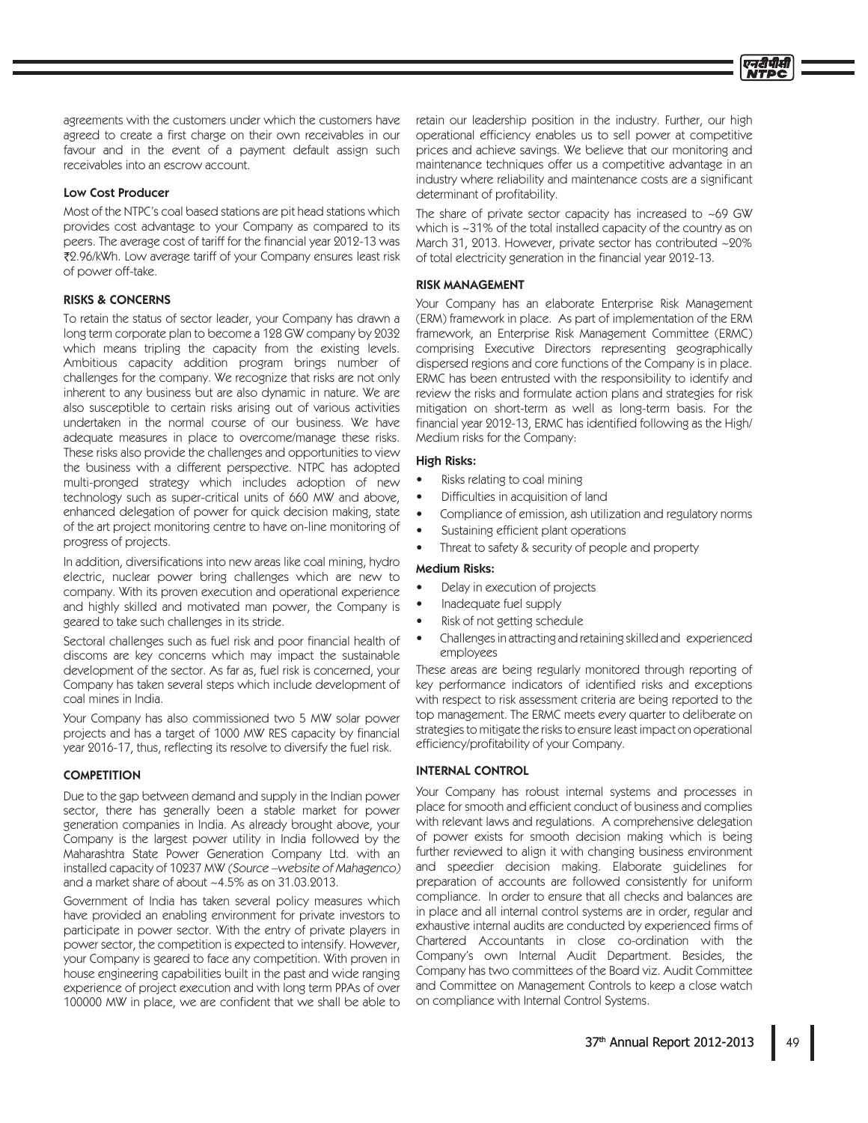agreements with the customers under which the customers have agreed to create a first charge on their own receivables in our favour and in the event of a payment default assign such receivables into an escrow account.

### **Low Cost Producer**

Most of the NTPC's coal based stations are pit head stations which provides cost advantage to your Company as compared to its peers. The average cost of tariff for the financial year 2012-13 was ₹2.96/kWh. Low average tariff of your Company ensures least risk of power off-take.

### **RISKS & CONCERNS**

To retain the status of sector leader, your Company has drawn a long term corporate plan to become a 128 GW company by 2032 which means tripling the capacity from the existing levels. Ambitious capacity addition program brings number of challenges for the company. We recognize that risks are not only inherent to any business but are also dynamic in nature. We are also susceptible to certain risks arising out of various activities undertaken in the normal course of our business. We have adequate measures in place to overcome/manage these risks. These risks also provide the challenges and opportunities to view the business with a different perspective. NTPC has adopted multi-pronged strategy which includes adoption of new technology such as super-critical units of 660 MW and above, enhanced delegation of power for quick decision making, state of the art project monitoring centre to have on-line monitoring of progress of projects.

In addition, diversifications into new areas like coal mining, hydro electric, nuclear power bring challenges which are new to company. With its proven execution and operational experience and highly skilled and motivated man power, the Company is geared to take such challenges in its stride.

Sectoral challenges such as fuel risk and poor financial health of discoms are key concerns which may impact the sustainable development of the sector. As far as, fuel risk is concerned, your Company has taken several steps which include development of coal mines in India.

Your Company has also commissioned two 5 MW solar power projects and has a target of 1000 MW RES capacity by financial year 2016-17, thus, reflecting its resolve to diversify the fuel risk.

#### **COMPETITION**

Due to the gap between demand and supply in the Indian power sector, there has generally been a stable market for power generation companies in India. As already brought above, your Company is the largest power utility in India followed by the Maharashtra State Power Generation Company Ltd. with an installed capacity of 10237 MW (Source -website of Mahagenco) and a market share of about ~4.5% as on 31.03.2013.

Government of India has taken several policy measures which have provided an enabling environment for private investors to participate in power sector. With the entry of private players in power sector, the competition is expected to intensify. However, your Company is geared to face any competition. With proven in house engineering capabilities built in the past and wide ranging experience of project execution and with long term PPAs of over 100000 MW in place, we are confident that we shall be able to

retain our leadership position in the industry. Further, our high operational efficiency enables us to sell power at competitive prices and achieve savings. We believe that our monitoring and maintenance techniques offer us a competitive advantage in an industry where reliability and maintenance costs are a significant determinant of profitability.

The share of private sector capacity has increased to  $\sim$  69 GW which is ~31% of the total installed capacity of the country as on March 31, 2013. However, private sector has contributed ~20% of total electricity generation in the financial year 2012-13.

### **RISK MANAGEMENT**

Your Company has an elaborate Enterprise Risk Management (ERM) framework in place. As part of implementation of the ERM framework, an Enterprise Risk Management Committee (ERMC) comprising Executive Directors representing geographically dispersed regions and core functions of the Company is in place. ERMC has been entrusted with the responsibility to identify and review the risks and formulate action plans and strategies for risk mitigation on short-term as well as long-term basis. For the financial year 2012-13, ERMC has identified following as the High/ Medium risks for the Company:

## **High Risks:**

- Risks relating to coal mining
- $\bullet$ Difficulties in acquisition of land
- Compliance of emission, ash utilization and regulatory norms
- Sustaining efficient plant operations
- Threat to safety & security of people and property

## **Medium Risks:**

- Delay in execution of projects
- Inadequate fuel supply
- Risk of not getting schedule
- Challenges in attracting and retaining skilled and experienced  $\bullet$ employees

These areas are being regularly monitored through reporting of key performance indicators of identified risks and exceptions with respect to risk assessment criteria are being reported to the top management. The ERMC meets every quarter to deliberate on strategies to mitigate the risks to ensure least impact on operational efficiency/profitability of your Company.

## **INTERNAL CONTROL**

Your Company has robust internal systems and processes in place for smooth and efficient conduct of business and complies with relevant laws and regulations. A comprehensive delegation of power exists for smooth decision making which is being further reviewed to align it with changing business environment and speedier decision making. Elaborate guidelines for preparation of accounts are followed consistently for uniform compliance. In order to ensure that all checks and balances are in place and all internal control systems are in order, regular and exhaustive internal audits are conducted by experienced firms of Chartered Accountants in close co-ordination with the Company's own Internal Audit Department. Besides, the Company has two committees of the Board viz. Audit Committee and Committee on Management Controls to keep a close watch on compliance with Internal Control Systems.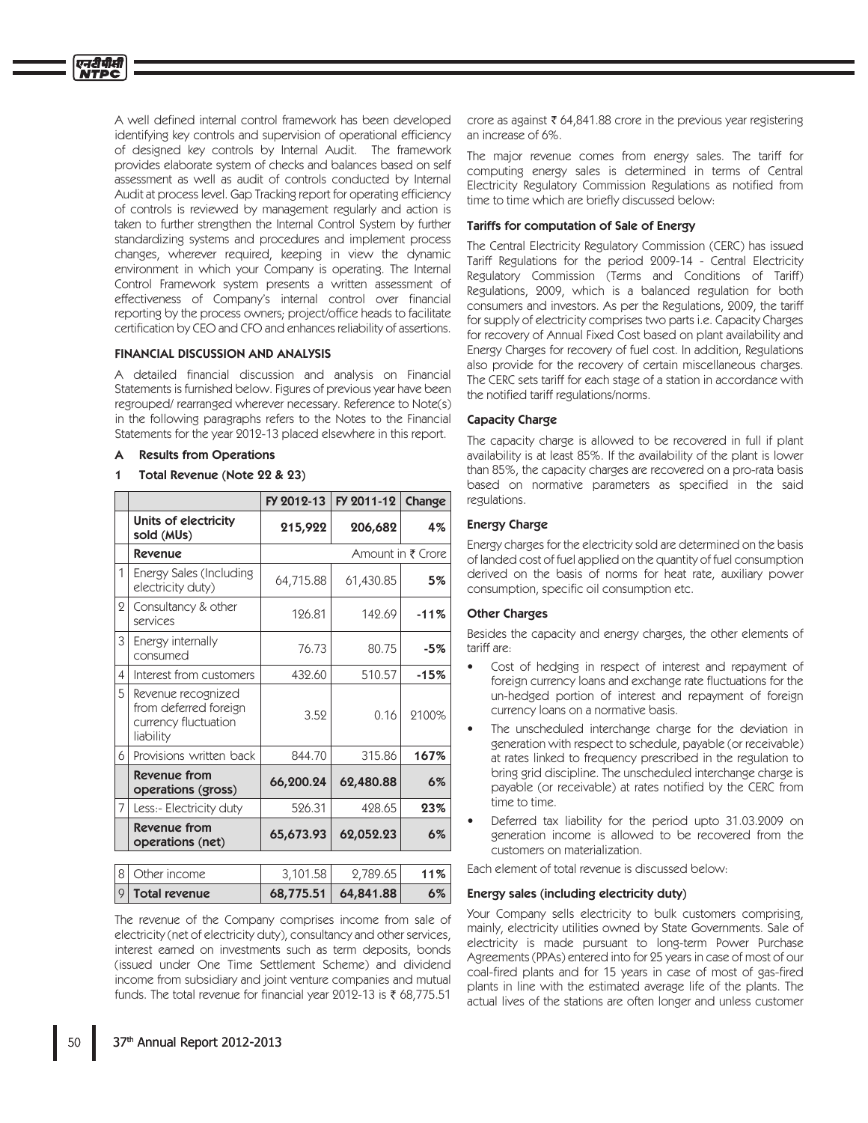A well defined internal control framework has been developed identifying key controls and supervision of operational efficiency of designed key controls by Internal Audit. The framework provides elaborate system of checks and balances based on self assessment as well as audit of controls conducted by Internal Audit at process level. Gap Tracking report for operating efficiency of controls is reviewed by management regularly and action is taken to further strengthen the Internal Control System by further standardizing systems and procedures and implement process changes, wherever required, keeping in view the dynamic environment in which your Company is operating. The Internal Control Framework system presents a written assessment of effectiveness of Company's internal control over financial reporting by the process owners; project/office heads to facilitate certification by CEO and CFO and enhances reliability of assertions.

## **FINANCIAL DISCUSSION AND ANALYSIS**

A detailed financial discussion and analysis on Financial Statements is furnished below. Figures of previous year have been regrouped/rearranged wherever necessary. Reference to Note(s) in the following paragraphs refers to the Notes to the Financial Statements for the year 2012-13 placed elsewhere in this report.

#### A **Results from Operations**

एनदीपीसी

#### Total Revenue (Note 22 & 23)  $\overline{\mathbf{1}}$

|                |                                                                                  | FY 2012-13 | FY 2011-12        | Change |
|----------------|----------------------------------------------------------------------------------|------------|-------------------|--------|
|                | Units of electricity<br>sold (MUs)                                               | 215,922    | 206,682           | 4%     |
|                | <b>Revenue</b>                                                                   |            | Amount in ₹ Crore |        |
| 1              | Energy Sales (Including<br>electricity duty)                                     | 64,715.88  | 61,430.85         | 5%     |
| $\overline{2}$ | Consultancy & other<br>services                                                  | 126.81     | 142.69            | $-11%$ |
| 3              | Energy internally<br>consumed                                                    | 76.73      | 80.75             | $-5%$  |
| 4              | Interest from customers                                                          | 432.60     | 510.57            | $-15%$ |
| 5              | Revenue recognized<br>from deferred foreign<br>currency fluctuation<br>liability | 3.52       | 0.16              | 2100%  |
| 6              | Provisions written back                                                          | 844.70     | 315.86            | 167%   |
|                | <b>Revenue from</b><br>operations (gross)                                        | 66,200.24  | 62,480.88         | 6%     |
| 7              | Less:- Electricity duty                                                          | 526.31     | 428.65            | 23%    |
|                | <b>Revenue from</b><br>operations (net)                                          | 65,673.93  | 62,052.23         | 6%     |
|                |                                                                                  |            |                   |        |
| 8              | Other income                                                                     | 3,101.58   | 2,789.65          | 11%    |

The revenue of the Company comprises income from sale of electricity (net of electricity duty), consultancy and other services, interest earned on investments such as term deposits, bonds (issued under One Time Settlement Scheme) and dividend income from subsidiary and joint venture companies and mutual funds. The total revenue for financial year 2012-13 is ₹ 68,775.51

 $| 68,775.51 | 64,841.88 |$ 

 $6\%$ 

crore as against  $\bar{\tau}$  64,841.88 crore in the previous year registering an increase of 6%.

The major revenue comes from energy sales. The tariff for computing energy sales is determined in terms of Central Electricity Regulatory Commission Regulations as notified from time to time which are briefly discussed below:

## Tariffs for computation of Sale of Energy

The Central Electricity Regulatory Commission (CERC) has issued Tariff Regulations for the period 2009-14 - Central Electricity Regulatory Commission (Terms and Conditions of Tariff) Regulations, 2009, which is a balanced regulation for both consumers and investors. As per the Regulations, 2009, the tariff for supply of electricity comprises two parts i.e. Capacity Charges for recovery of Annual Fixed Cost based on plant availability and Energy Charges for recovery of fuel cost. In addition, Regulations also provide for the recovery of certain miscellaneous charges. The CERC sets tariff for each stage of a station in accordance with the notified tariff regulations/norms.

## **Capacity Charge**

The capacity charge is allowed to be recovered in full if plant availability is at least 85%. If the availability of the plant is lower than 85%, the capacity charges are recovered on a pro-rata basis based on normative parameters as specified in the said regulations.

## **Energy Charge**

Energy charges for the electricity sold are determined on the basis of landed cost of fuel applied on the quantity of fuel consumption derived on the basis of norms for heat rate, auxiliary power consumption, specific oil consumption etc.

## **Other Charges**

Besides the capacity and energy charges, the other elements of tariff are:

- Cost of hedging in respect of interest and repayment of foreign currency loans and exchange rate fluctuations for the un-hedged portion of interest and repayment of foreign currency loans on a normative basis.
- The unscheduled interchange charge for the deviation in generation with respect to schedule, payable (or receivable) at rates linked to frequency prescribed in the regulation to bring grid discipline. The unscheduled interchange charge is payable (or receivable) at rates notified by the CERC from time to time
- Deferred tax liability for the period upto 31.03.2009 on generation income is allowed to be recovered from the customers on materialization.

Each element of total revenue is discussed below:

#### Energy sales (including electricity duty)

Your Company sells electricity to bulk customers comprising, mainly, electricity utilities owned by State Governments. Sale of electricity is made pursuant to long-term Power Purchase Agreements (PPAs) entered into for 25 years in case of most of our coal-fired plants and for 15 years in case of most of gas-fired plants in line with the estimated average life of the plants. The actual lives of the stations are often longer and unless customer

 $|9|$  Total revenue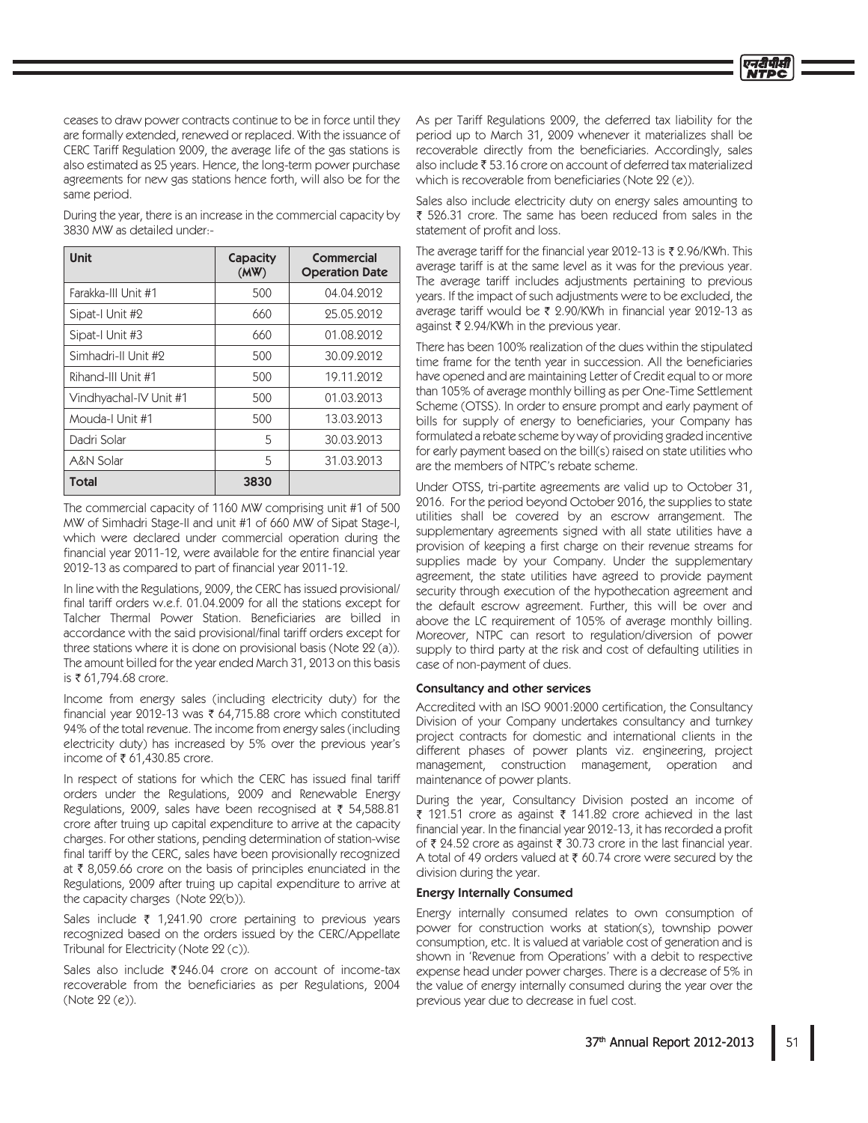ceases to draw power contracts continue to be in force until they are formally extended, renewed or replaced. With the issuance of CERC Tariff Regulation 2009, the average life of the gas stations is also estimated as 25 years. Hence, the long-term power purchase agreements for new gas stations hence forth, will also be for the same period.

| During the year, there is an increase in the commercial capacity by |  |
|---------------------------------------------------------------------|--|
| 3830 MW as detailed under:-                                         |  |

| <b>Unit</b>            | Capacity<br>(MW) | <b>Commercial</b><br><b>Operation Date</b> |
|------------------------|------------------|--------------------------------------------|
| Farakka-III Unit #1    | 500              | 04.04.2012                                 |
| Sipat-I Unit #2        | 660              | 25.05.2012                                 |
| Sipat-I Unit #3        | 660              | 01.08.2012                                 |
| Simhadri-II Unit #2    | 500              | 30.09.2012                                 |
| Rihand-III Unit #1     | 500              | 19.11.2012                                 |
| Vindhyachal-IV Unit #1 | 500              | 01.03.2013                                 |
| Mouda-I Unit #1        | 500              | 13.03.2013                                 |
| Dadri Solar            | 5                | 30.03.2013                                 |
| A&N Solar              | 5                | 31.03.2013                                 |
| Total                  | 3830             |                                            |

The commercial capacity of 1160 MW comprising unit #1 of 500 MW of Simhadri Stage-II and unit #1 of 660 MW of Sipat Stage-I, which were declared under commercial operation during the financial year 2011-12, were available for the entire financial year 2012-13 as compared to part of financial year 2011-12.

In line with the Regulations, 2009, the CERC has issued provisional/ final tariff orders w.e.f. 01.04.2009 for all the stations except for Talcher Thermal Power Station. Beneficiaries are billed in accordance with the said provisional/final tariff orders except for three stations where it is done on provisional basis (Note 22 (a)). The amount billed for the year ended March 31, 2013 on this basis is ₹ 61,794.68 crore.

Income from energy sales (including electricity duty) for the financial year 2012-13 was ₹ 64,715.88 crore which constituted 94% of the total revenue. The income from energy sales (including electricity duty) has increased by 5% over the previous year's income of ₹ 61,430.85 crore.

In respect of stations for which the CERC has issued final tariff orders under the Regulations, 2009 and Renewable Energy Regulations, 2009, sales have been recognised at ₹ 54,588.81 crore after truing up capital expenditure to arrive at the capacity charges. For other stations, pending determination of station-wise final tariff by the CERC, sales have been provisionally recognized at ₹8,059.66 crore on the basis of principles enunciated in the Regulations, 2009 after truing up capital expenditure to arrive at the capacity charges (Note 22(b)).

Sales include ₹ 1,241.90 crore pertaining to previous years recognized based on the orders issued by the CERC/Appellate Tribunal for Electricity (Note 22 (c)).

Sales also include ₹246.04 crore on account of income-tax recoverable from the beneficiaries as per Regulations, 2004 (Note 22 (e)).

As per Tariff Regulations 2009, the deferred tax liability for the period up to March 31, 2009 whenever it materializes shall be recoverable directly from the beneficiaries. Accordingly, sales also include ₹53.16 crore on account of deferred tax materialized which is recoverable from beneficiaries (Note 22 (e)).

Sales also include electricity duty on energy sales amounting to ₹ 526.31 crore. The same has been reduced from sales in the statement of profit and loss.

The average tariff for the financial year 2012-13 is ₹ 2.96/KWh. This average tariff is at the same level as it was for the previous year. The average tariff includes adjustments pertaining to previous years. If the impact of such adjustments were to be excluded, the average tariff would be ₹ 2.90/KWh in financial year 2012-13 as against ₹ 2.94/KWh in the previous year.

There has been 100% realization of the dues within the stipulated time frame for the tenth year in succession. All the beneficiaries have opened and are maintaining Letter of Credit equal to or more than 105% of average monthly billing as per One-Time Settlement Scheme (OTSS). In order to ensure prompt and early payment of bills for supply of energy to beneficiaries, your Company has formulated a rebate scheme by way of providing graded incentive for early payment based on the bill(s) raised on state utilities who are the members of NTPC's rebate scheme.

Under OTSS, tri-partite agreements are valid up to October 31. 2016. For the period beyond October 2016, the supplies to state utilities shall be covered by an escrow arrangement. The supplementary agreements signed with all state utilities have a provision of keeping a first charge on their revenue streams for supplies made by your Company. Under the supplementary agreement, the state utilities have agreed to provide payment security through execution of the hypothecation agreement and the default escrow agreement. Further, this will be over and above the LC requirement of 105% of average monthly billing. Moreover, NTPC can resort to regulation/diversion of power supply to third party at the risk and cost of defaulting utilities in case of non-payment of dues.

#### **Consultancy and other services**

Accredited with an ISO 9001:2000 certification, the Consultancy Division of your Company undertakes consultancy and turnkey project contracts for domestic and international clients in the different phases of power plants viz. engineering, project management, construction management, operation and maintenance of power plants.

During the year, Consultancy Division posted an income of ₹ 121.51 crore as against ₹ 141.82 crore achieved in the last financial year. In the financial year 2012-13, it has recorded a profit of ₹ 24.52 crore as against ₹ 30.73 crore in the last financial year. A total of 49 orders valued at ₹ 60.74 crore were secured by the division during the year.

#### **Energy Internally Consumed**

Energy internally consumed relates to own consumption of power for construction works at station(s), township power consumption, etc. It is valued at variable cost of generation and is shown in 'Revenue from Operations' with a debit to respective expense head under power charges. There is a decrease of 5% in the value of energy internally consumed during the year over the previous year due to decrease in fuel cost.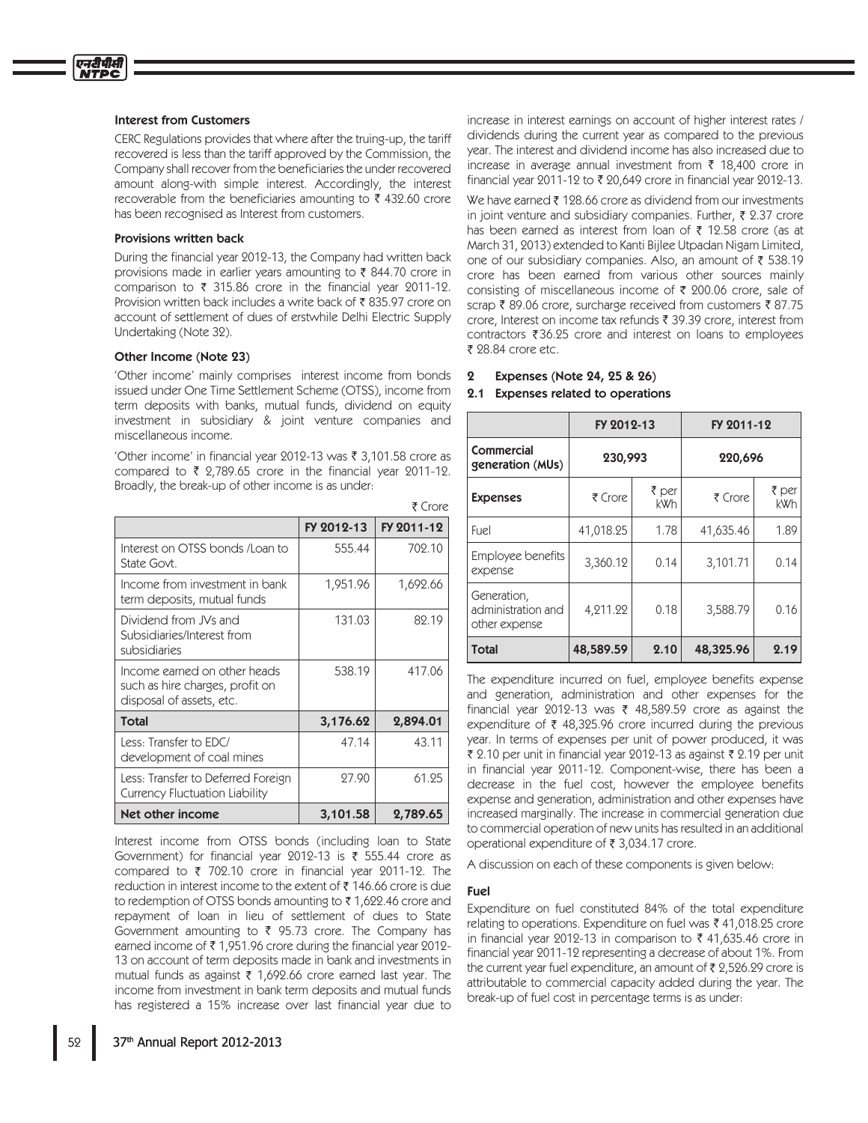#### Interest from Customers

CERC Regulations provides that where after the truing-up, the tariff recovered is less than the tariff approved by the Commission, the Company shall recover from the beneficiaries the under recovered amount along-with simple interest. Accordingly, the interest recoverable from the beneficiaries amounting to  $\bar{\tau}$  432.60 crore has been recognised as Interest from customers.

#### Provisions written back

During the financial year 2012-13, the Company had written back provisions made in earlier years amounting to  $\bar{\tau}$  844.70 crore in comparison to  $\bar{\tau}$  315.86 crore in the financial year 2011-12. Provision written back includes a write back of ₹835.97 crore on account of settlement of dues of erstwhile Delhi Electric Supply Undertaking (Note 32).

#### Other Income (Note 23)

'Other income' mainly comprises interest income from bonds issued under One Time Settlement Scheme (OTSS), income from term deposits with banks, mutual funds, dividend on equity investment in subsidiary & joint venture companies and miscellaneous income.

'Other income' in financial year 2012-13 was ₹ 3,101.58 crore as compared to  $\bar{\tau}$  2,789.65 crore in the financial year 2011-12. Broadly, the break-up of other income is as under:

|                                                                                             |            | ₹ Crore    |
|---------------------------------------------------------------------------------------------|------------|------------|
|                                                                                             | FY 2012-13 | FY 2011-12 |
| Interest on OTSS bonds / Loan to<br>State Govt.                                             | 555.44     | 702.10     |
| Income from investment in bank<br>term deposits, mutual funds                               | 1,951.96   | 1,692.66   |
| Dividend from JVs and<br>Subsidiaries/Interest from<br>subsidiaries                         | 131.03     | 82.19      |
| Income earned on other heads<br>such as hire charges, profit on<br>disposal of assets, etc. | 538.19     | 417.06     |
| Total                                                                                       | 3,176.62   | 2,894.01   |
| Less: Transfer to EDC/<br>development of coal mines                                         | 47.14      | 43.11      |
| Less: Transfer to Deferred Foreign<br>Currency Fluctuation Liability                        | 27.90      | 61.25      |
| Net other income                                                                            | 3,101.58   | 2,789.65   |

Interest income from OTSS bonds (including loan to State Government) for financial year 2012-13 is  $\bar{\tau}$  555.44 crore as compared to  $\bar{\tau}$  702.10 crore in financial year 2011-12. The reduction in interest income to the extent of  $\bar{\tau}$  146.66 crore is due to redemption of OTSS bonds amounting to  $\bar{\tau}$  1,622.46 crore and repayment of loan in lieu of settlement of dues to State Government amounting to  $\bar{\xi}$  95.73 crore. The Company has earned income of  $\bar{\tau}$  1,951.96 crore during the financial year 2012-13 on account of term deposits made in bank and investments in mutual funds as against  $\bar{\tau}$  1,692.66 crore earned last year. The income from investment in bank term deposits and mutual funds has registered a 15% increase over last financial year due to

increase in interest earnings on account of higher interest rates / dividends during the current year as compared to the previous year. The interest and dividend income has also increased due to increase in average annual investment from  $\bar{\tau}$  18,400 crore in financial year 2011-12 to  $\bar{\tau}$  20,649 crore in financial year 2012-13.

We have earned  $\bar{\tau}$  128.66 crore as dividend from our investments in joint venture and subsidiary companies. Further,  $\bar{\xi}$  2.37 crore has been earned as interest from loan of  $\bar{\tau}$  12.58 crore (as at March 31, 2013) extended to Kanti Bijlee Utpadan Nigam Limited, one of our subsidiary companies. Also, an amount of  $\bar{\tau}$  538.19 crore has been earned from various other sources mainly consisting of miscellaneous income of  $\bar{\tau}$  200.06 crore, sale of scrap ₹89.06 crore, surcharge received from customers ₹87.75 crore, Interest on income tax refunds ₹ 39.39 crore, interest from contractors  $\bar{z}$  36.25 crore and interest on loans to employees ₹ 28.84 crore etc.

#### 2 Expenses (Note 24, 25 & 26)

#### 2.1 Expenses related to operations

|                                                    | FY 2012-13 |              | FY 2011-12 |                     |
|----------------------------------------------------|------------|--------------|------------|---------------------|
| Commercial<br>generation (MUs)                     | 230,993    |              | 220,696    |                     |
| <b>Expenses</b>                                    | ₹ Crore    | ₹ per<br>kWh | ₹ Crore    | ₹ per<br><b>kWh</b> |
| Fuel                                               | 41,018.25  | 1.78         | 41,635.46  | 1.89                |
| Employee benefits<br>expense                       | 3,360.12   | 0.14         | 3,101.71   | 0.14                |
| Generation,<br>administration and<br>other expense | 4,211.22   | 0.18         | 3,588.79   | 0.16                |
| Total                                              | 48,589.59  | 2.10         | 48,325.96  | 2.19                |

The expenditure incurred on fuel, employee benefits expense and generation, administration and other expenses for the financial year 2012-13 was  $\bar{\tau}$  48,589.59 crore as against the expenditure of  $\bar{\tau}$  48,325.96 crore incurred during the previous year. In terms of expenses per unit of power produced, it was ₹ 2.10 per unit in financial year 2012-13 as against ₹ 2.19 per unit in financial year 2011-12. Component-wise, there has been a decrease in the fuel cost, however the employee benefits expense and generation, administration and other expenses have increased marginally. The increase in commercial generation due to commercial operation of new units has resulted in an additional operational expenditure of ₹3,034.17 crore.

A discussion on each of these components is given below:

#### Fuel

Expenditure on fuel constituted 84% of the total expenditure relating to operations. Expenditure on fuel was  $\bar{\tau}$  41,018.25 crore in financial year 2012-13 in comparison to  $\bar{\tau}$  41,635.46 crore in financial year 2011-12 representing a decrease of about 1%. From the current year fuel expenditure, an amount of  $\bar{\tau}$  2,526.29 crore is attributable to commercial capacity added during the year. The break-up of fuel cost in percentage terms is as under: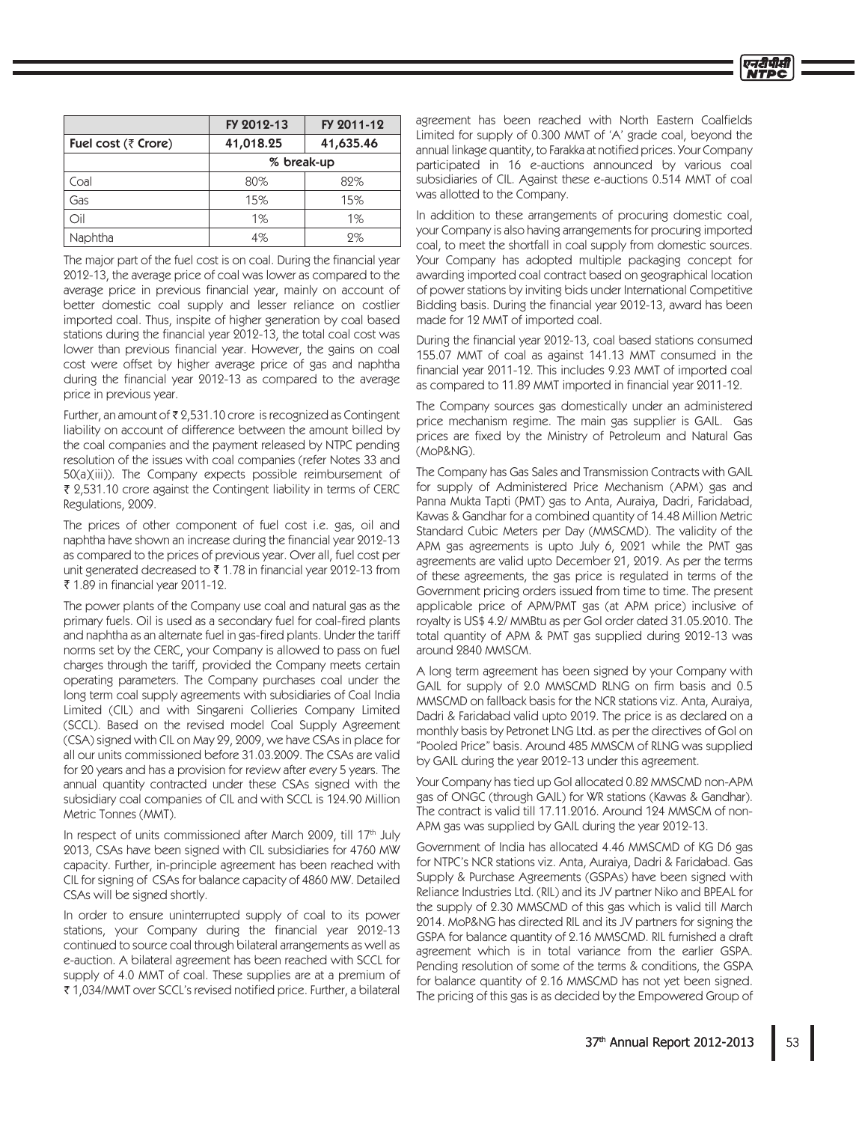|                     | FY 2012-13 | FY 2011-12 |  |
|---------------------|------------|------------|--|
| Fuel cost (₹ Crore) | 41,018.25  | 41,635.46  |  |
|                     | % break-up |            |  |
| Coal                | 80%        | 89%        |  |
| Gas                 | 15%        | 15%        |  |
| ∩il                 | $1\%$      | $1\%$      |  |
| Naphtha             | 4%         | 9%         |  |

The major part of the fuel cost is on coal. During the financial year 2012-13, the average price of coal was lower as compared to the average price in previous financial year, mainly on account of better domestic coal supply and lesser reliance on costlier imported coal. Thus, inspite of higher generation by coal based stations during the financial year 2012-13, the total coal cost was lower than previous financial year. However, the gains on coal cost were offset by higher average price of gas and naphtha during the financial year 2012-13 as compared to the average price in previous year.

Further, an amount of ₹2,531.10 crore is recognized as Contingent liability on account of difference between the amount billed by the coal companies and the payment released by NTPC pending resolution of the issues with coal companies (refer Notes 33 and 50(a)(iii)). The Company expects possible reimbursement of ₹ 2,531.10 crore against the Contingent liability in terms of CERC Regulations, 2009.

The prices of other component of fuel cost i.e. gas, oil and naphtha have shown an increase during the financial year 2012-13 as compared to the prices of previous year. Over all, fuel cost per unit generated decreased to ₹1.78 in financial year 2012-13 from ₹ 1.89 in financial year 2011-12.

The power plants of the Company use coal and natural gas as the primary fuels. Oil is used as a secondary fuel for coal-fired plants and naphtha as an alternate fuel in gas-fired plants. Under the tariff norms set by the CERC, your Company is allowed to pass on fuel charges through the tariff, provided the Company meets certain operating parameters. The Company purchases coal under the long term coal supply agreements with subsidiaries of Coal India Limited (CIL) and with Singareni Collieries Company Limited (SCCL). Based on the revised model Coal Supply Agreement (CSA) signed with CIL on May 29, 2009, we have CSAs in place for all our units commissioned before 31.03.2009. The CSAs are valid for 20 years and has a provision for review after every 5 years. The annual quantity contracted under these CSAs signed with the subsidiary coal companies of CIL and with SCCL is 124.90 Million Metric Tonnes (MMT).

In respect of units commissioned after March 2009, till 17<sup>th</sup> July 2013, CSAs have been signed with CIL subsidiaries for 4760 MW capacity. Further, in-principle agreement has been reached with CIL for signing of CSAs for balance capacity of 4860 MW. Detailed CSAs will be signed shortly.

In order to ensure uninterrupted supply of coal to its power stations, your Company during the financial year 2012-13 continued to source coal through bilateral arrangements as well as e-auction. A bilateral agreement has been reached with SCCL for supply of 4.0 MMT of coal. These supplies are at a premium of ₹1,034/MMT over SCCL's revised notified price. Further, a bilateral

agreement has been reached with North Eastern Coalfields Limited for supply of 0.300 MMT of 'A' grade coal, beyond the annual linkage quantity, to Farakka at notified prices. Your Company participated in 16 e-auctions announced by various coal subsidiaries of CIL. Against these e-auctions 0.514 MMT of coal was allotted to the Company.

In addition to these arrangements of procuring domestic coal, your Company is also having arrangements for procuring imported coal, to meet the shortfall in coal supply from domestic sources. Your Company has adopted multiple packaging concept for awarding imported coal contract based on geographical location of power stations by inviting bids under International Competitive Bidding basis. During the financial year 2012-13, award has been made for 12 MMT of imported coal.

During the financial year 2012-13, coal based stations consumed 155.07 MMT of coal as against 141.13 MMT consumed in the financial year 2011-12. This includes 9.23 MMT of imported coal as compared to 11.89 MMT imported in financial year 2011-12.

The Company sources gas domestically under an administered price mechanism regime. The main gas supplier is GAIL. Gas prices are fixed by the Ministry of Petroleum and Natural Gas (MoP&NG).

The Company has Gas Sales and Transmission Contracts with GAIL for supply of Administered Price Mechanism (APM) gas and Panna Mukta Tapti (PMT) gas to Anta, Auraiya, Dadri, Faridabad, Kawas & Gandhar for a combined quantity of 14.48 Million Metric Standard Cubic Meters per Day (MMSCMD). The validity of the APM gas agreements is upto July 6, 2021 while the PMT gas agreements are valid upto December 21, 2019. As per the terms of these agreements, the gas price is regulated in terms of the Government pricing orders issued from time to time. The present applicable price of APM/PMT gas (at APM price) inclusive of royalty is US\$ 4.2/ MMBtu as per Gol order dated 31.05.2010. The total quantity of APM & PMT gas supplied during 2012-13 was around 2840 MMSCM.

A long term agreement has been signed by your Company with GAIL for supply of 2.0 MMSCMD RLNG on firm basis and 0.5 MMSCMD on fallback basis for the NCR stations viz. Anta, Auraiya, Dadri & Faridabad valid upto 2019. The price is as declared on a monthly basis by Petronet LNG Ltd. as per the directives of Gol on "Pooled Price" basis. Around 485 MMSCM of RLNG was supplied by GAIL during the year 2012-13 under this agreement.

Your Company has tied up Gol allocated 0.82 MMSCMD non-APM gas of ONGC (through GAIL) for WR stations (Kawas & Gandhar). The contract is valid till 17.11.2016. Around 124 MMSCM of non-APM gas was supplied by GAIL during the year 2012-13.

Government of India has allocated 4.46 MMSCMD of KG D6 gas for NTPC's NCR stations viz. Anta, Auraiya, Dadri & Faridabad. Gas Supply & Purchase Agreements (GSPAs) have been signed with Reliance Industries Ltd. (RIL) and its JV partner Niko and BPEAL for the supply of 2.30 MMSCMD of this gas which is valid till March 2014. MoP&NG has directed RIL and its JV partners for signing the GSPA for balance quantity of 2.16 MMSCMD. RIL furnished a draft agreement which is in total variance from the earlier GSPA. Pending resolution of some of the terms & conditions, the GSPA for balance quantity of 2.16 MMSCMD has not yet been signed. The pricing of this gas is as decided by the Empowered Group of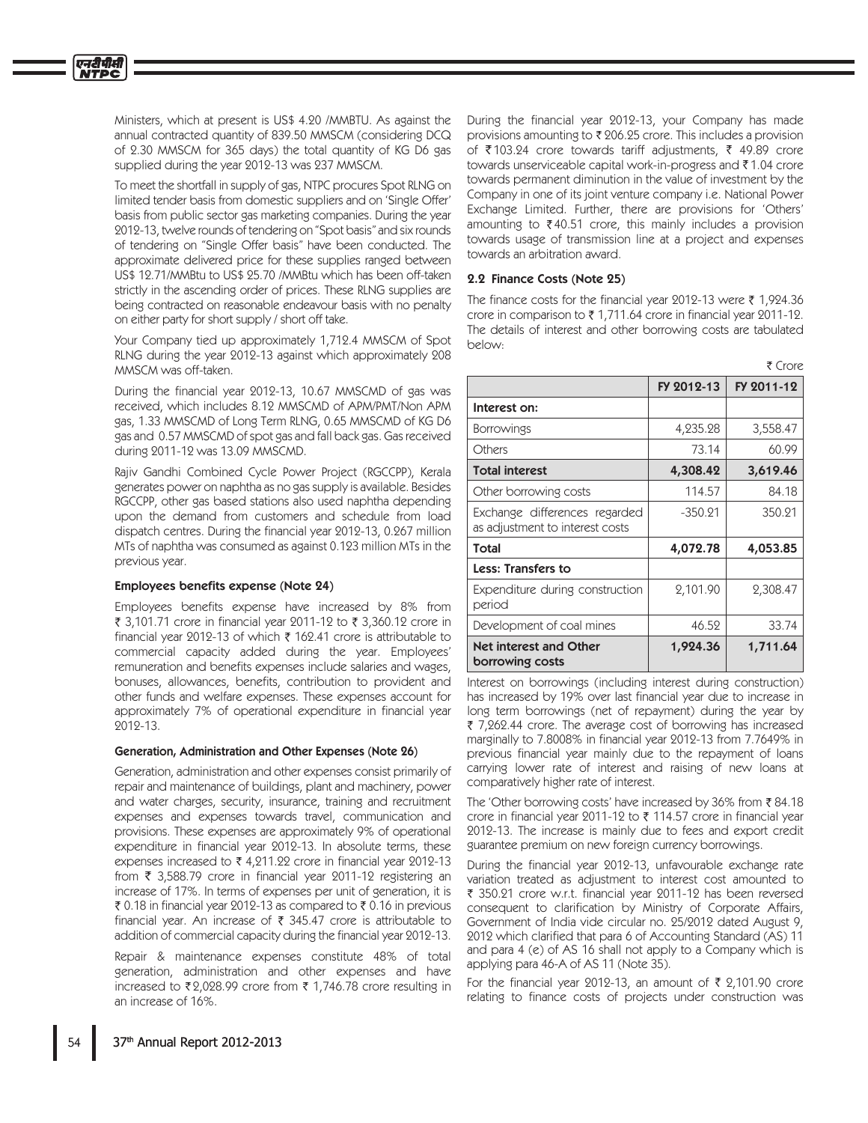Ministers, which at present is US\$ 4.20 /MMBTU. As against the annual contracted quantity of 839.50 MMSCM (considering DCQ of 2.30 MMSCM for 365 days) the total quantity of KG D6 gas supplied during the year 2012-13 was 237 MMSCM.

To meet the shortfall in supply of gas, NTPC procures Spot RLNG on limited tender basis from domestic suppliers and on 'Single Offer' basis from public sector gas marketing companies. During the year 2012-13, twelve rounds of tendering on "Spot basis" and six rounds of tendering on "Single Offer basis" have been conducted. The approximate delivered price for these supplies ranged between US\$ 12.71/MMBtu to US\$ 25.70 /MMBtu which has been off-taken strictly in the ascending order of prices. These RLNG supplies are being contracted on reasonable endeavour basis with no penalty on either party for short supply / short off take.

Your Company tied up approximately 1,712.4 MMSCM of Spot RLNG during the year 2012-13 against which approximately 208 MMSCM was off-taken.

During the financial year 2012-13, 10.67 MMSCMD of gas was received, which includes 8.12 MMSCMD of APM/PMT/Non APM gas, 1.33 MMSCMD of Long Term RLNG, 0.65 MMSCMD of KG D6 gas and 0.57 MMSCMD of spot gas and fall back gas. Gas received during 2011-12 was 13.09 MMSCMD.

Rajiv Gandhi Combined Cycle Power Project (RGCCPP), Kerala generates power on naphtha as no gas supply is available. Besides RGCCPP, other gas based stations also used naphtha depending upon the demand from customers and schedule from load dispatch centres. During the financial year 2012-13, 0.267 million MTs of naphtha was consumed as against 0.123 million MTs in the previous year.

## Employees benefits expense (Note 24)

Employees benefits expense have increased by 8% from ₹ 3,101.71 crore in financial year 2011-12 to ₹ 3,360.12 crore in financial year 2012-13 of which ₹ 162.41 crore is attributable to commercial capacity added during the year. Employees' remuneration and benefits expenses include salaries and wages, bonuses, allowances, benefits, contribution to provident and other funds and welfare expenses. These expenses account for approximately 7% of operational expenditure in financial year 2012-13.

#### Generation, Administration and Other Expenses (Note 26)

Generation, administration and other expenses consist primarily of repair and maintenance of buildings, plant and machinery, power and water charges, security, insurance, training and recruitment expenses and expenses towards travel, communication and provisions. These expenses are approximately 9% of operational expenditure in financial year 2012-13. In absolute terms, these expenses increased to ₹4,211.22 crore in financial year 2012-13 from ₹ 3,588.79 crore in financial year 2011-12 registering an increase of 17%. In terms of expenses per unit of generation, it is ₹ 0.18 in financial year 2012-13 as compared to ₹ 0.16 in previous financial year. An increase of ₹ 345.47 crore is attributable to addition of commercial capacity during the financial year 2012-13.

Repair & maintenance expenses constitute 48% of total generation, administration and other expenses and have increased to ₹2,028.99 crore from ₹ 1,746.78 crore resulting in an increase of 16%.

During the financial year 2012-13, your Company has made provisions amounting to ₹206.25 crore. This includes a provision of ₹103.24 crore towards tariff adjustments, ₹ 49.89 crore towards unserviceable capital work-in-progress and ₹1.04 crore towards permanent diminution in the value of investment by the Company in one of its joint venture company i.e. National Power Exchange Limited. Further, there are provisions for 'Others' amounting to  $\bar{\tau}$  40.51 crore, this mainly includes a provision towards usage of transmission line at a project and expenses towards an arbitration award.

## 2.2 Finance Costs (Note 25)

The finance costs for the financial year 2012-13 were  $\bar{\zeta}$  1,924.36 crore in comparison to  $\bar{\tau}$  1.711.64 crore in financial year 2011-12. The details of interest and other borrowing costs are tabulated helow.

|                                                                  |            | र Crore    |
|------------------------------------------------------------------|------------|------------|
|                                                                  | FY 2012-13 | FY 2011-12 |
| Interest on:                                                     |            |            |
| <b>Borrowings</b>                                                | 4,235.28   | 3,558.47   |
| Others                                                           | 73.14      | 60.99      |
| <b>Total interest</b>                                            | 4,308.42   | 3,619.46   |
| Other borrowing costs                                            | 114.57     | 84.18      |
| Exchange differences regarded<br>as adjustment to interest costs | $-350.21$  | 350.21     |
| Total                                                            | 4,072.78   | 4,053.85   |
| <b>Less: Transfers to</b>                                        |            |            |
| Expenditure during construction<br>period                        | 2,101.90   | 2,308.47   |
| Development of coal mines                                        | 46.52      | 33.74      |
| <b>Net interest and Other</b><br>borrowing costs                 | 1,924.36   | 1,711.64   |

Interest on borrowings (including interest during construction) has increased by 19% over last financial year due to increase in long term borrowings (net of repayment) during the year by ₹ 7,262.44 crore. The average cost of borrowing has increased marginally to 7.8008% in financial year 2012-13 from 7.7649% in previous financial year mainly due to the repayment of loans carrying lower rate of interest and raising of new loans at comparatively higher rate of interest.

The 'Other borrowing costs' have increased by 36% from ₹84.18 crore in financial year 2011-12 to ₹ 114.57 crore in financial year 2012-13. The increase is mainly due to fees and export credit guarantee premium on new foreign currency borrowings.

During the financial year 2012-13, unfavourable exchange rate variation treated as adjustment to interest cost amounted to ₹ 350.21 crore w.r.t. financial year 2011-12 has been reversed consequent to clarification by Ministry of Corporate Affairs, Government of India vide circular no. 25/2012 dated August 9, 2012 which clarified that para 6 of Accounting Standard (AS) 11 and para 4 (e) of AS 16 shall not apply to a Company which is applying para 46-A of AS 11 (Note 35).

For the financial year 2012-13, an amount of  $\bar{\tau}$  2,101.90 crore relating to finance costs of projects under construction was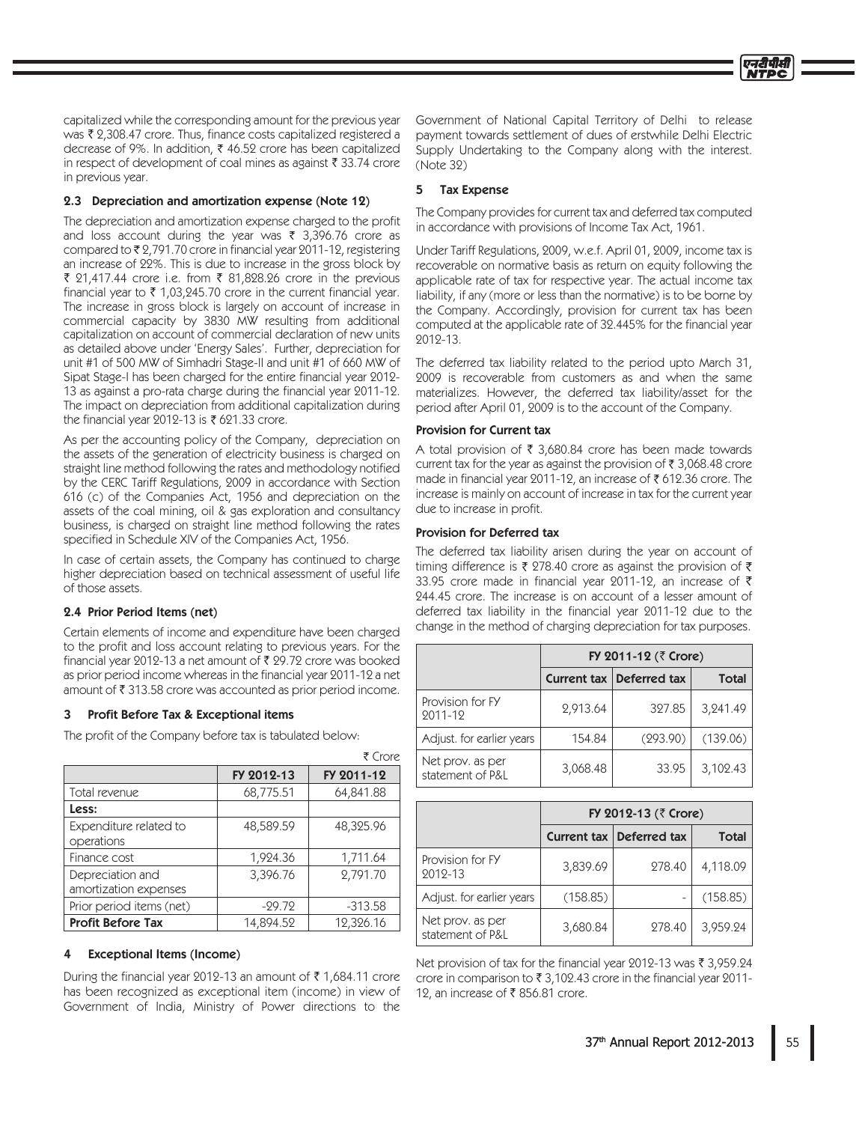capitalized while the corresponding amount for the previous year was ₹ 2,308.47 crore. Thus, finance costs capitalized registered a decrease of 9%. In addition, ₹ 46.52 crore has been capitalized in respect of development of coal mines as against ₹ 33.74 crore in previous year.

## 2.3 Depreciation and amortization expense (Note 12)

The depreciation and amortization expense charged to the profit and loss account during the year was ₹ 3,396.76 crore as compared to ₹2,791.70 crore in financial year 2011-12, registering an increase of 22%. This is due to increase in the gross block by ₹ 21,417.44 crore i.e. from ₹ 81,828.26 crore in the previous financial year to ₹ 1,03,245.70 crore in the current financial year. The increase in gross block is largely on account of increase in commercial capacity by 3830 MW resulting from additional capitalization on account of commercial declaration of new units as detailed above under 'Energy Sales'. Further, depreciation for unit #1 of 500 MW of Simhadri Stage-II and unit #1 of 660 MW of Sipat Stage-I has been charged for the entire financial year 2012-13 as against a pro-rata charge during the financial year 2011-12. The impact on depreciation from additional capitalization during the financial year 2012-13 is ₹ 621.33 crore.

As per the accounting policy of the Company, depreciation on the assets of the generation of electricity business is charged on straight line method following the rates and methodology notified by the CERC Tariff Regulations, 2009 in accordance with Section 616 (c) of the Companies Act, 1956 and depreciation on the assets of the coal mining, oil & gas exploration and consultancy business, is charged on straight line method following the rates specified in Schedule XIV of the Companies Act, 1956.

In case of certain assets, the Company has continued to charge higher depreciation based on technical assessment of useful life of those assets.

## 2.4 Prior Period Items (net)

Certain elements of income and expenditure have been charged to the profit and loss account relating to previous years. For the financial year 2012-13 a net amount of ₹ 29.72 crore was booked as prior period income whereas in the financial year 2011-12 a net amount of ₹313.58 crore was accounted as prior period income.

#### Profit Before Tax & Exceptional items

The profit of the Company before tax is tabulated below:

|                                           |            | र Crore    |
|-------------------------------------------|------------|------------|
|                                           | FY 2012-13 | FY 2011-12 |
| Total revenue                             | 68,775.51  | 64,841.88  |
| Less:                                     |            |            |
| Expenditure related to<br>operations      | 48,589.59  | 48,325.96  |
| Finance cost                              | 1,924.36   | 1,711.64   |
| Depreciation and<br>amortization expenses | 3,396.76   | 2,791.70   |
| Prior period items (net)                  | $-29.72$   | $-313.58$  |
| <b>Profit Before Tax</b>                  | 14,894.52  | 12,326.16  |

#### **Exceptional Items (Income)**

During the financial year 2012-13 an amount of ₹1,684.11 crore has been recognized as exceptional item (income) in view of Government of India, Ministry of Power directions to the

Government of National Capital Territory of Delhi to release payment towards settlement of dues of erstwhile Delhi Electric Supply Undertaking to the Company along with the interest. (Note 32)

## 5 Tax Expense

The Company provides for current tax and deferred tax computed in accordance with provisions of Income Tax Act, 1961.

Under Tariff Regulations, 2009, w.e.f. April 01, 2009, income tax is recoverable on normative basis as return on equity following the applicable rate of tax for respective year. The actual income tax liability, if any (more or less than the normative) is to be borne by the Company. Accordingly, provision for current tax has been computed at the applicable rate of 32.445% for the financial year 2012-13.

The deferred tax liability related to the period upto March 31, 2009 is recoverable from customers as and when the same materializes. However, the deferred tax liability/asset for the period after April 01, 2009 is to the account of the Company.

## Provision for Current tax

A total provision of  $\bar{\tau}$  3,680.84 crore has been made towards current tax for the year as against the provision of  $\bar{\tau}$  3,068.48 crore made in financial year 2011-12, an increase of ₹612.36 crore. The increase is mainly on account of increase in tax for the current year due to increase in profit.

## **Provision for Deferred tax**

The deferred tax liability arisen during the year on account of timing difference is ₹ 278.40 crore as against the provision of ₹ 33.95 crore made in financial year 2011-12, an increase of ₹ 244.45 crore. The increase is on account of a lesser amount of deferred tax liability in the financial year 2011-12 due to the change in the method of charging depreciation for tax purposes.

|                                      | FY 2011-12 (₹ Crore) |                          |              |  |  |
|--------------------------------------|----------------------|--------------------------|--------------|--|--|
|                                      |                      | Current tax Deferred tax | <b>Total</b> |  |  |
| Provision for FY<br>2011-12          | 2,913.64             | 327.85                   | 3,241.49     |  |  |
| Adjust. for earlier years            | 154.84               | (293.90)                 | (139.06)     |  |  |
| Net prov. as per<br>statement of P&L | 3,068.48             | 33.95                    | 3,102.43     |  |  |

|                                      | FY 2012-13 (₹ Crore) |                            |              |  |  |
|--------------------------------------|----------------------|----------------------------|--------------|--|--|
|                                      |                      | Current tax   Deferred tax | <b>Total</b> |  |  |
| Provision for FY<br>2012-13          | 3,839.69             | 278.40                     | 4,118.09     |  |  |
| Adjust. for earlier years            | (158.85)             |                            | (158.85)     |  |  |
| Net prov. as per<br>statement of P&L | 3,680.84             | 278.40                     | 3,959.24     |  |  |

Net provision of tax for the financial year 2012-13 was ₹ 3,959.24 crore in comparison to ₹ 3,102.43 crore in the financial year 2011-12, an increase of ₹856.81 crore.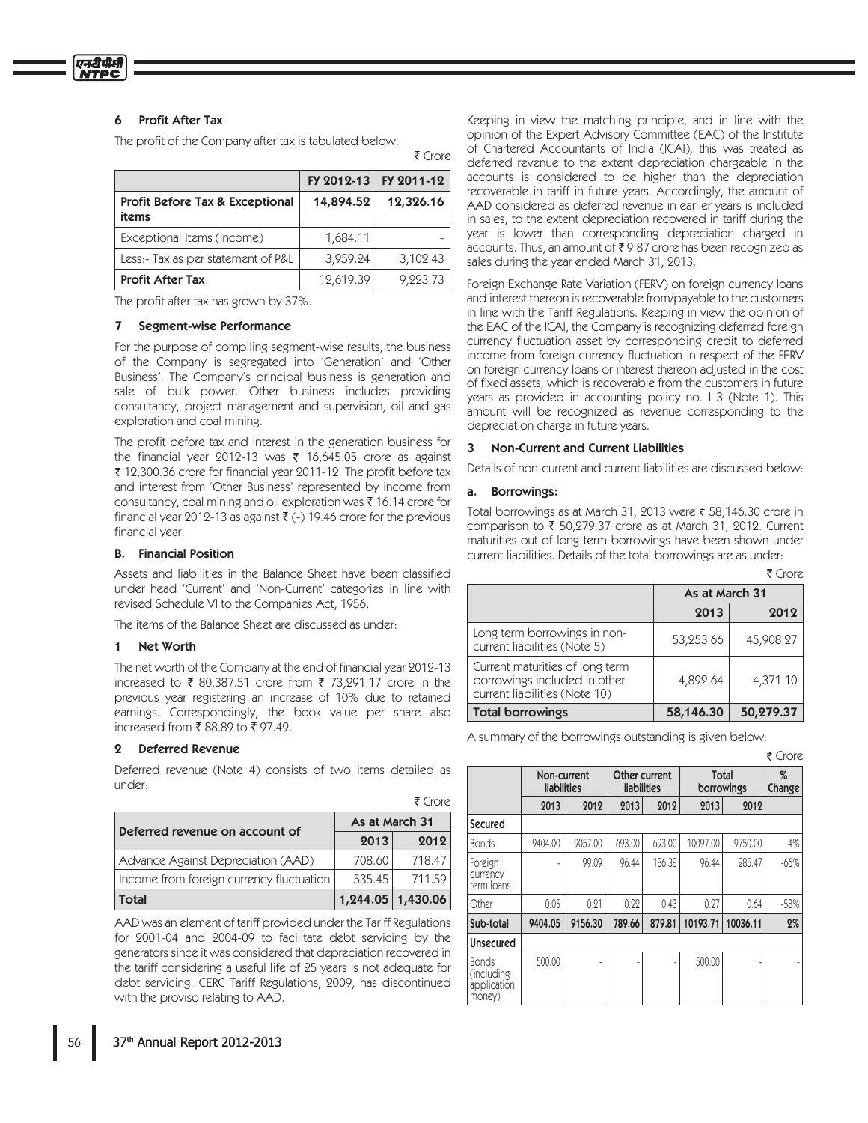## 6 Profit After Tax

The profit of the Company after tax is tabulated below:

|                                                     |           | FY 2012-13   FY 2011-12 |
|-----------------------------------------------------|-----------|-------------------------|
| <b>Profit Before Tax &amp; Exceptional</b><br>items | 14,894.52 | 12,326.16               |
| Exceptional Items (Income)                          | 1,684.11  |                         |
| Less:- Tax as per statement of P&L                  | 3,959.24  | 3,102.43                |
| <b>Profit After Tax</b>                             | 12,619.39 | 9,223.73                |

The profit after tax has grown by 37%.

#### 7 Segment-wise Performance

For the purpose of compiling segment-wise results, the business of the Company is segregated into 'Generation' and 'Other Business'. The Company's principal business is generation and sale of bulk power. Other business includes providing consultancy, project management and supervision, oil and gas exploration and coal mining.

The profit before tax and interest in the generation business for the financial year 2012-13 was  $\bar{\tau}$  16,645.05 crore as against ₹ 12,300.36 crore for financial year 2011-12. The profit before tax and interest from 'Other Business' represented by income from consultancy, coal mining and oil exploration was  $\bar{\tau}$  16.14 crore for financial year 2012-13 as against  $\bar{\tau}$  (-) 19.46 crore for the previous financial year.

#### B. Financial Position

Assets and liabilities in the Balance Sheet have been classified under head 'Current' and 'Non-Current' categories in line with revised Schedule VI to the Companies Act, 1956.

The items of the Balance Sheet are discussed as under:

#### 1 Net Worth

The net worth of the Company at the end of financial year 2012-13 increased to ₹ 80,387.51 crore from ₹ 73,291.17 crore in the previous year registering an increase of 10% due to retained earnings. Correspondingly, the book value per share also increased from ₹88.89 to ₹97.49.

### Deferred Revenue

Deferred revenue (Note 4) consists of two items detailed as under:

|                                          |                | ₹ Crore  |  |  |
|------------------------------------------|----------------|----------|--|--|
| Deferred revenue on account of           | As at March 31 |          |  |  |
|                                          | 2013           | 2012     |  |  |
| Advance Against Depreciation (AAD)       | 708.60         | 718.47   |  |  |
| Income from foreign currency fluctuation | 535.45         | 711.59   |  |  |
| Total                                    | 1,244.05       | 1,430.06 |  |  |

AAD was an element of tariff provided under the Tariff Regulations for 2001-04 and 2004-09 to facilitate debt servicing by the generators since it was considered that depreciation recovered in the tariff considering a useful life of 25 years is not adequate for debt servicing. CERC Tariff Regulations, 2009, has discontinued with the proviso relating to AAD.

Keeping in view the matching principle, and in line with the opinion of the Expert Advisory Committee (EAC) of the Institute of Chartered Accountants of India (ICAI), this was treated as deferred revenue to the extent depreciation chargeable in the accounts is considered to be higher than the depreciation recoverable in tariff in future years. Accordingly, the amount of AAD considered as deferred revenue in earlier years is included in sales, to the extent depreciation recovered in tariff during the year is lower than corresponding depreciation charged in  $\alpha$  accounts. Thus, an amount of  $\bar{\tau}$  9.87 crore has been recognized as sales during the year ended March 31, 2013.

Foreign Exchange Rate Variation (FERV) on foreign currency loans and interest thereon is recoverable from/payable to the customers in line with the Tariff Regulations. Keeping in view the opinion of the EAC of the ICAI, the Company is recognizing deferred foreign currency fluctuation asset by corresponding credit to deferred income from foreign currency fluctuation in respect of the FERV on foreign currency loans or interest thereon adjusted in the cost of fixed assets, which is recoverable from the customers in future years as provided in accounting policy no. L.3 (Note 1). This amount will be recognized as revenue corresponding to the depreciation charge in future years.

#### 3 Non-Current and Current Liabilities

Details of non-current and current liabilities are discussed below:

#### a. Borrowings:

 $\bar{\tau}$  Crore

Total borrowings as at March 31, 2013 were ₹ 58,146.30 crore in comparison to  $\bar{\tau}$  50,279.37 crore as at March 31, 2012. Current maturities out of long term borrowings have been shown under current liabilities. Details of the total borrowings are as under:

|                                                                                                  |                | ₹ Crore   |  |
|--------------------------------------------------------------------------------------------------|----------------|-----------|--|
|                                                                                                  | As at March 31 |           |  |
|                                                                                                  | 2013<br>2012   |           |  |
| Long term borrowings in non-<br>current liabilities (Note 5)                                     | 53,253.66      | 45,908.27 |  |
| Current maturities of long term<br>borrowings included in other<br>current liabilities (Note 10) | 4,892.64       | 4,371.10  |  |
| <b>Total borrowings</b>                                                                          | 58,146.30      | 50,279.37 |  |

A summary of the borrowings outstanding is given below:

|                                                      |                            |         |                              |        |          |                     | ₹ Crore     |
|------------------------------------------------------|----------------------------|---------|------------------------------|--------|----------|---------------------|-------------|
|                                                      | Non-current<br>liabilities |         | Other current<br>liabilities |        |          | Total<br>borrowings | %<br>Change |
|                                                      | 2013                       | 2012    | 2013                         | 2012   | 2013     | 2012                |             |
| Secured                                              |                            |         |                              |        |          |                     |             |
| <b>Bonds</b>                                         | 9404.00                    | 9057.00 | 693.00                       | 693.00 | 10097.00 | 9750.00             | 4%          |
| Foreign<br>currency<br>term loans                    |                            | 99.09   | 96.44                        | 186.38 | 96.44    | 285.47              | $-66%$      |
| Other                                                | 0.05                       | 0.21    | 0.22                         | 0.43   | 0.27     | 0.64                | $-58%$      |
| Sub-total                                            | 9404.05                    | 9156.30 | 789.66                       | 879.81 | 10193.71 | 10036.11            | 2%          |
| Unsecured                                            |                            |         |                              |        |          |                     |             |
| <b>Bonds</b><br>(including)<br>application<br>money) | 500.00                     |         |                              |        | 500.00   |                     |             |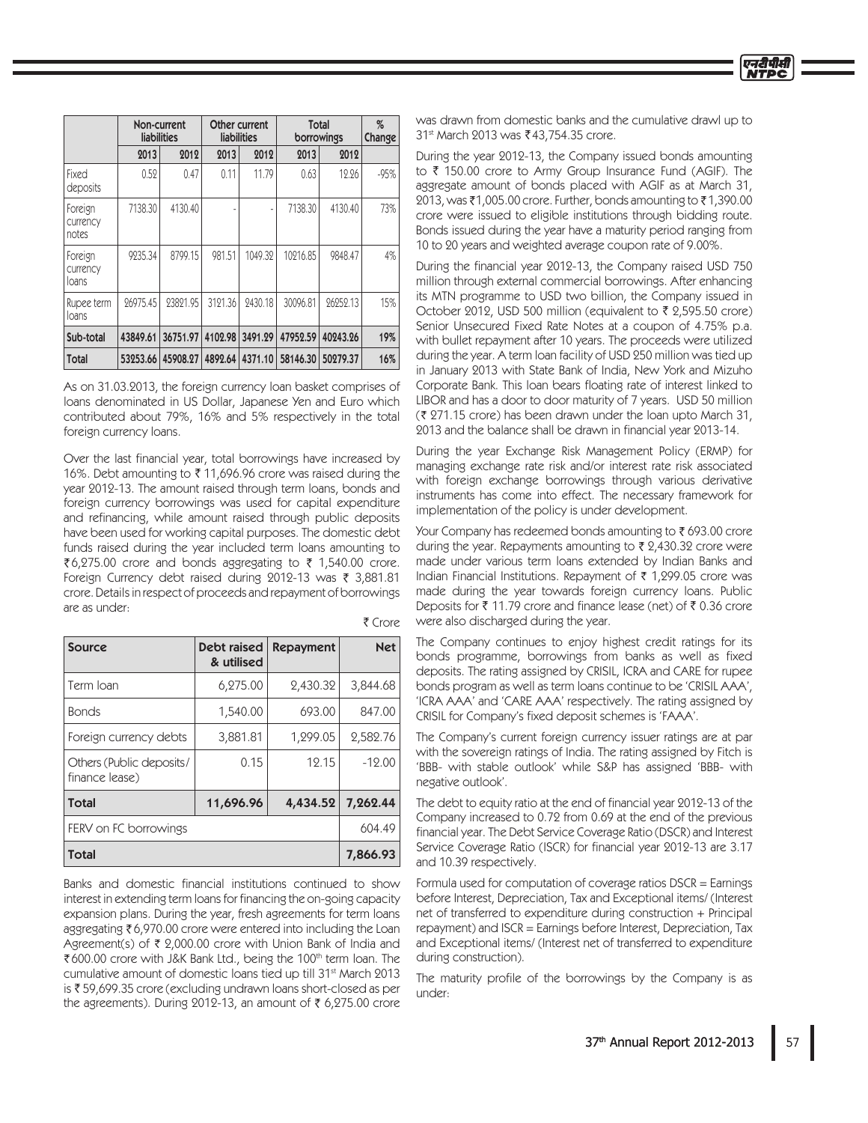|                              |          | Non-current<br><b>liabilities</b> | Other current<br><b>liabilities</b> |         | Total<br>borrowings |          | %<br>Change |
|------------------------------|----------|-----------------------------------|-------------------------------------|---------|---------------------|----------|-------------|
|                              | 2013     | 2012                              | 2013                                | 2012    | 2013                | 2012     |             |
| Fixed<br>deposits            | 0.52     | 0.47                              | 0.11                                | 11.79   | 0.63                | 12.26    | $-95%$      |
| Foreign<br>currency<br>notes | 7138.30  | 4130.40                           |                                     |         | 7138.30             | 4130.40  | 73%         |
| Foreign<br>currency<br>loans | 9235.34  | 8799.15                           | 981.51                              | 1049.32 | 10216.85            | 9848.47  | 4%          |
| Rupee term<br>loans          | 26975.45 | 23821.95                          | 3121.36                             | 2430.18 | 30096.81            | 26252.13 | 15%         |
| Sub-total                    | 43849.61 | 36751.97                          | 4102.98                             | 3491.29 | 47952.59            | 40243.26 | 19%         |
| Total                        | 53253.66 | 45908.27                          | 4892.64                             | 4371.10 | 58146.30            | 50279.37 | 16%         |

As on 31.03.2013, the foreign currency loan basket comprises of loans denominated in US Dollar, Japanese Yen and Euro which contributed about 79%, 16% and 5% respectively in the total foreign currency loans.

Over the last financial year, total borrowings have increased by 16%. Debt amounting to ₹11,696.96 crore was raised during the year 2012-13. The amount raised through term loans, bonds and foreign currency borrowings was used for capital expenditure and refinancing, while amount raised through public deposits have been used for working capital purposes. The domestic debt funds raised during the year included term loans amounting to ₹6,275.00 crore and bonds aggregating to ₹ 1,540.00 crore. Foreign Currency debt raised during 2012-13 was ₹ 3,881.81 crore. Details in respect of proceeds and repayment of borrowings are as under: ₹ Crore

| Source                                     | <b>Debt raised</b><br>& utilised | <b>Repayment</b> | <b>Net</b> |
|--------------------------------------------|----------------------------------|------------------|------------|
| Term Ioan                                  | 6,275.00                         | 2,430.32         | 3,844.68   |
| <b>Bonds</b>                               | 1,540.00                         | 693.00           | 847.00     |
| Foreign currency debts                     | 3,881.81                         | 1,299.05         | 2,582.76   |
| Others (Public deposits/<br>finance lease) | 0.15                             | 12.15            | $-12.00$   |
| <b>Total</b>                               | 11,696.96                        | 4,434.52         | 7.262.44   |
| FERV on FC borrowings                      |                                  |                  | 604.49     |
| <b>Total</b>                               | 7,866.93                         |                  |            |

Banks and domestic financial institutions continued to show interest in extending term loans for financing the on-going capacity expansion plans. During the year, fresh agreements for term loans aggregating ₹6,970.00 crore were entered into including the Loan Agreement(s) of  $\bar{\tau}$  2,000.00 crore with Union Bank of India and ₹600.00 crore with J&K Bank Ltd., being the 100<sup>th</sup> term loan. The cumulative amount of domestic loans tied up till 31<sup>st</sup> March 2013 is ₹59,699.35 crore (excluding undrawn loans short-closed as per the agreements). During 2012-13, an amount of  $\bar{\tau}$  6,275.00 crore was drawn from domestic banks and the cumulative drawl up to 31<sup>st</sup> March 2013 was ₹43.754.35 crore.

During the year 2012-13, the Company issued bonds amounting to  $\bar{\tau}$  150.00 crore to Army Group Insurance Fund (AGIF). The aggregate amount of bonds placed with AGIF as at March 31, 2013, was ₹1,005.00 crore. Further, bonds amounting to ₹1,390.00 crore were issued to eligible institutions through bidding route. Bonds issued during the year have a maturity period ranging from 10 to 20 years and weighted average coupon rate of 9.00%.

During the financial year 2012-13, the Company raised USD 750 million through external commercial borrowings. After enhancing its MTN programme to USD two billion, the Company issued in October 2012, USD 500 million (equivalent to  $\bar{\tau}$  2,595.50 crore) Senior Unsecured Fixed Rate Notes at a coupon of 4.75% p.a. with bullet repayment after 10 years. The proceeds were utilized during the year. A term loan facility of USD 250 million was tied up in January 2013 with State Bank of India, New York and Mizuho Corporate Bank. This loan bears floating rate of interest linked to LIBOR and has a door to door maturity of 7 years. USD 50 million  $(3.271.15)$  crore) has been drawn under the loan upto March 31, 2013 and the balance shall be drawn in financial year 2013-14.

During the year Exchange Risk Management Policy (ERMP) for managing exchange rate risk and/or interest rate risk associated with foreign exchange borrowings through various derivative instruments has come into effect. The necessary framework for implementation of the policy is under development.

Your Company has redeemed bonds amounting to  $\bar{\tau}$  693.00 crore during the year. Repayments amounting to  $\bar{\tau}$  2,430.32 crore were made under various term loans extended by Indian Banks and Indian Financial Institutions. Repayment of  $\bar{\tau}$  1,299.05 crore was made during the year towards foreign currency loans. Public Deposits for ₹11.79 crore and finance lease (net) of ₹0.36 crore were also discharged during the year.

The Company continues to enjoy highest credit ratings for its bonds programme, borrowings from banks as well as fixed deposits. The rating assigned by CRISIL, ICRA and CARE for rupee bonds program as well as term loans continue to be 'CRISIL AAA', 'ICRA AAA' and 'CARE AAA' respectively. The rating assigned by CRISIL for Company's fixed deposit schemes is 'FAAA'.

The Company's current foreign currency issuer ratings are at par with the sovereign ratings of India. The rating assigned by Fitch is 'BBB- with stable outlook' while S&P has assigned 'BBB- with negative outlook'.

The debt to equity ratio at the end of financial year 2012-13 of the Company increased to 0.72 from 0.69 at the end of the previous financial year. The Debt Service Coverage Ratio (DSCR) and Interest Service Coverage Ratio (ISCR) for financial year 2012-13 are 3.17 and 10.39 respectively.

Formula used for computation of coverage ratios  $DSCR = Earnings$ before Interest, Depreciation, Tax and Exceptional items/(Interest net of transferred to expenditure during construction  $+$  Principal repayment) and ISCR = Earnings before Interest, Depreciation, Tax and Exceptional items/ (Interest net of transferred to expenditure during construction).

The maturity profile of the borrowings by the Company is as under: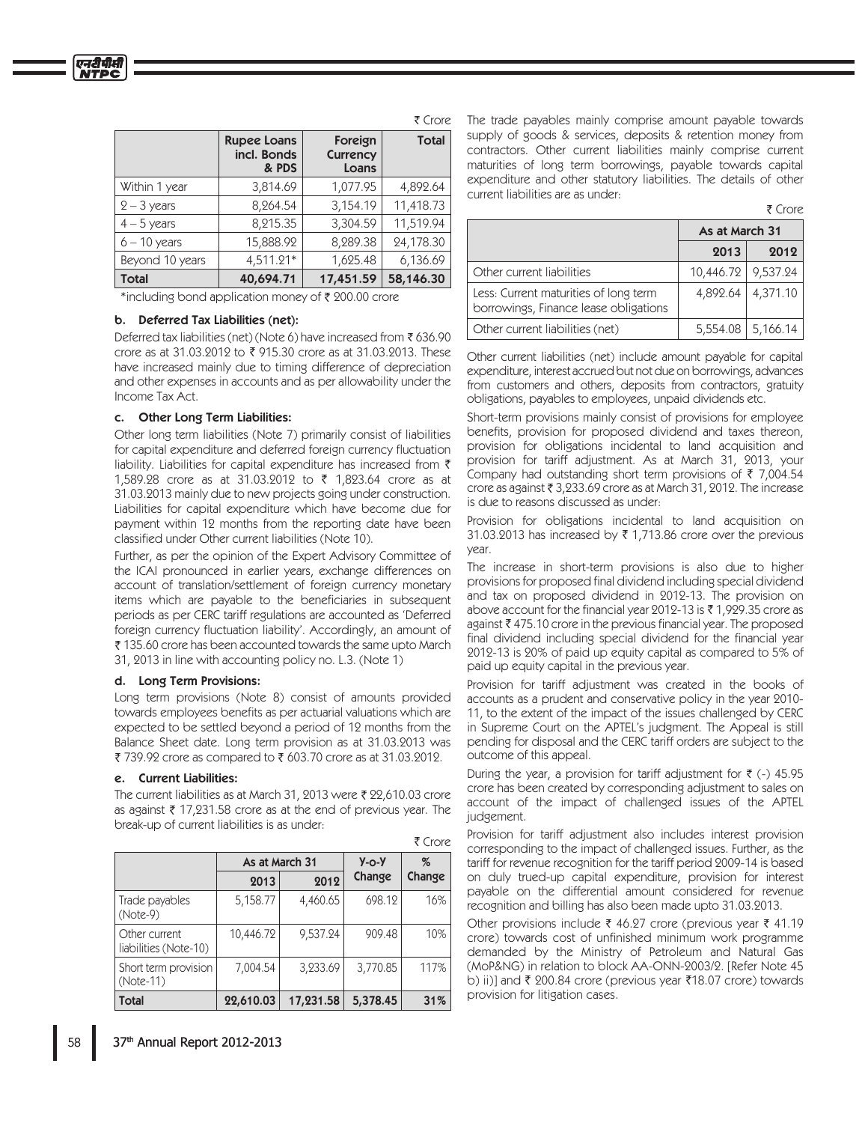|                 | <b>Rupee Loans</b><br>incl. Bonds<br>& PDS | Foreign<br><b>Currency</b><br>Loans | <b>Total</b> |
|-----------------|--------------------------------------------|-------------------------------------|--------------|
| Within 1 year   | 3,814.69                                   | 1,077.95                            | 4,892.64     |
| $2 - 3$ years   | 8,264.54                                   | 3,154.19                            | 11,418.73    |
| $4-5$ years     | 8,215.35                                   | 3,304.59                            | 11,519.94    |
| $6 - 10$ years  | 15,888.92                                  | 8,289.38                            | 24,178.30    |
| Beyond 10 years | 4,511.21*                                  | 1,625.48                            | 6,136.69     |
| <b>Total</b>    | 40,694.71                                  | 17,451.59                           | 58,146.30    |

\*including bond application money of ₹ 200.00 crore

#### b. Deferred Tax Liabilities (net):

Deferred tax liabilities (net) (Note 6) have increased from  $\bar{\tau}$  636.90 crore as at 31.03.2012 to  $\bar{\tau}$  915.30 crore as at 31.03.2013. These have increased mainly due to timing difference of depreciation and other expenses in accounts and as per allowability under the Income Tax Act.

#### c. Other Long Term Liabilities:

Other long term liabilities (Note 7) primarily consist of liabilities for capital expenditure and deferred foreign currency fluctuation liability. Liabilities for capital expenditure has increased from  $\bar{\tau}$ 1.589.28 crore as at 31.03.2012 to ₹ 1.823.64 crore as at 31.03.2013 mainly due to new projects going under construction. Liabilities for capital expenditure which have become due for payment within 12 months from the reporting date have been classified under Other current liabilities (Note 10).

Further, as per the opinion of the Expert Advisory Committee of the ICAI pronounced in earlier years, exchange differences on account of translation/settlement of foreign currency monetary items which are payable to the beneficiaries in subsequent periods as per CERC tariff regulations are accounted as 'Deferred foreign currency fluctuation liability'. Accordingly, an amount of  $\bar{\xi}$  135.60 crore has been accounted towards the same upto March 31, 2013 in line with accounting policy no. L.3. (Note 1)

#### d. Long Term Provisions:

Long term provisions (Note 8) consist of amounts provided towards employees benefits as per actuarial valuations which are expected to be settled beyond a period of 12 months from the Balance Sheet date. Long term provision as at 31.03.2013 was ₹ 739.92 crore as compared to ₹ 603.70 crore as at 31.03.2012.

#### e. Current Liabilities:

The current liabilities as at March 31, 2013 were  $\bar{\tau}$  22,610.03 crore as against  $\bar{\tau}$  17,231.58 crore as at the end of previous year. The break-up of current liabilities is as under:

|                                        |                |           |             | ₹ Crore |
|----------------------------------------|----------------|-----------|-------------|---------|
|                                        | As at March 31 |           | $Y$ -0- $Y$ | %       |
|                                        | 2013           | 2012      | Change      | Change  |
| Trade payables<br>$(Note-9)$           | 5,158.77       | 4,460.65  | 698.12      | 16%     |
| Other current<br>liabilities (Note-10) | 10,446.72      | 9,537.24  | 909.48      | 10%     |
| Short term provision<br>$(Note-11)$    | 7,004.54       | 3,233.69  | 3,770.85    | 117%    |
| Total                                  | 22,610.03      | 17,231.58 | 5,378.45    | 31%     |

₹ Crore The trade payables mainly comprise amount payable towards supply of goods & services, deposits & retention money from contractors. Other current liabilities mainly comprise current maturities of long term borrowings, payable towards capital expenditure and other statutory liabilities. The details of other current liabilities are as under:

|--|--|

|                                                                                | As at March 31 |          |
|--------------------------------------------------------------------------------|----------------|----------|
|                                                                                | 2013           | 2012     |
| Other current liabilities                                                      | 10,446.72      | 9,537.24 |
| Less: Current maturities of long term<br>borrowings, Finance lease obligations | 4,892.64       | 4,371.10 |
| Other current liabilities (net)                                                | 5,554.08       | 5,166.14 |

Other current liabilities (net) include amount payable for capital expenditure, interest accrued but not due on borrowings, advances from customers and others, deposits from contractors, gratuity obligations, payables to employees, unpaid dividends etc.

Short-term provisions mainly consist of provisions for employee benefits, provision for proposed dividend and taxes thereon, provision for obligations incidental to land acquisition and provision for tariff adjustment. As at March 31, 2013, your Company had outstanding short term provisions of  $\bar{\tau}$  7,004.54 crore as against  $\overline{\tau}$  3,233.69 crore as at March 31, 2012. The increase is due to reasons discussed as under.

Provision for obligations incidental to land acquisition on 31.03.2013 has increased by  $\bar{\tau}$  1,713.86 crore over the previous vear.

The increase in short-term provisions is also due to higher provisions for proposed final dividend including special dividend and tax on proposed dividend in 2012-13. The provision on above account for the financial year 2012-13 is  $\bar{\tau}$  1,929.35 crore as against  $\bar{\xi}$  475.10 crore in the previous financial year. The proposed final dividend including special dividend for the financial year 2012-13 is 20% of paid up equity capital as compared to 5% of paid up equity capital in the previous year.

Provision for tariff adjustment was created in the books of accounts as a prudent and conservative policy in the year 2010-11, to the extent of the impact of the issues challenged by CERC in Supreme Court on the APTEL's judgment. The Appeal is still pending for disposal and the CERC tariff orders are subject to the outcome of this appeal.

During the year, a provision for tariff adjustment for  $\bar{\tau}$  (-) 45.95 crore has been created by corresponding adjustment to sales on account of the impact of challenged issues of the APTEL judgement.

Provision for tariff adjustment also includes interest provision corresponding to the impact of challenged issues. Further, as the tariff for revenue recognition for the tariff period 2009-14 is based on duly trued-up capital expenditure, provision for interest payable on the differential amount considered for revenue recognition and billing has also been made upto 31.03.2013.

Other provisions include  $\bar{\xi}$  46.27 crore (previous year  $\bar{\xi}$  41.19 crore) towards cost of unfinished minimum work programme demanded by the Ministry of Petroleum and Natural Gas (MoP&NG) in relation to block AA-ONN-2003/2. [Refer Note 45 b) ii)] and ₹ 200.84 crore (previous year ₹18.07 crore) towards provision for litigation cases.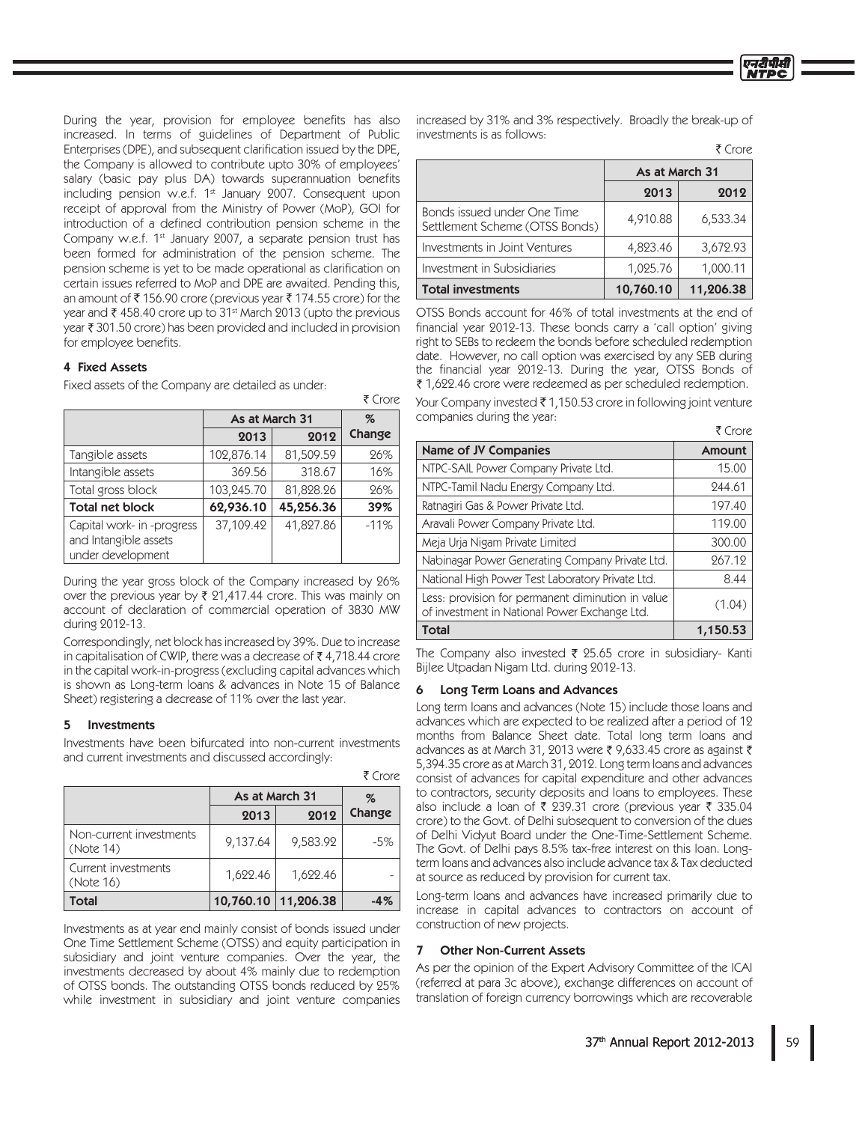During the year, provision for employee benefits has also increased. In terms of guidelines of Department of Public Enterprises (DPE), and subsequent clarification issued by the DPE, the Company is allowed to contribute upto 30% of employees' salary (basic pay plus DA) towards superannuation benefits including pension w.e.f. 1<sup>st</sup> January 2007. Consequent upon receipt of approval from the Ministry of Power (MoP), GOI for introduction of a defined contribution pension scheme in the Company w.e.f. 1<sup>st</sup> January 2007, a separate pension trust has been formed for administration of the pension scheme. The pension scheme is yet to be made operational as clarification on certain issues referred to MoP and DPE are awaited. Pending this, an amount of ₹156.90 crore (previous year ₹174.55 crore) for the year and ₹458.40 crore up to 31<sup>st</sup> March 2013 (upto the previous year ₹ 301.50 crore) has been provided and included in provision for employee benefits.

## 4 Fixed Assets

Fixed assets of the Company are detailed as under:

|                                                                          |                |           | V CIVIE |
|--------------------------------------------------------------------------|----------------|-----------|---------|
|                                                                          | As at March 31 |           | $\%$    |
|                                                                          | 2013           | 2012      | Change  |
| Tangible assets                                                          | 102,876.14     | 81,509.59 | 26%     |
| Intangible assets                                                        | 369.56         | 318.67    | 16%     |
| Total gross block                                                        | 103,245.70     | 81,828.26 | 26%     |
| <b>Total net block</b>                                                   | 62,936.10      | 45,256.36 | 39%     |
| Capital work- in -progress<br>and Intangible assets<br>under development | 37,109.42      | 41,827.86 | $-11%$  |

During the year gross block of the Company increased by 26% over the previous year by  $\bar{\tau}$  21,417.44 crore. This was mainly on account of declaration of commercial operation of 3830 MW during 2012-13.

Correspondingly, net block has increased by 39%. Due to increase in capitalisation of CWIP, there was a decrease of ₹4,718.44 crore in the capital work-in-progress (excluding capital advances which is shown as Long-term loans & advances in Note 15 of Balance Sheet) registering a decrease of 11% over the last year.

#### 5 Investments

Investments have been bifurcated into non-current investments and current investments and discussed accordingly:

|                                      | 1 UUR     |                |        |  |
|--------------------------------------|-----------|----------------|--------|--|
|                                      |           | As at March 31 |        |  |
|                                      | 2013      | 2012           | Change |  |
| Non-current investments<br>(Note 14) | 9,137.64  | 9,583.92       | $-5%$  |  |
| Current investments<br>(Note 16)     | 1,622.46  | 1,622.46       |        |  |
| Total                                | 10,760.10 | 11,206.38      | -4%    |  |

Investments as at year end mainly consist of bonds issued under One Time Settlement Scheme (OTSS) and equity participation in subsidiary and joint venture companies. Over the year, the investments decreased by about 4% mainly due to redemption of OTSS bonds. The outstanding OTSS bonds reduced by 25% while investment in subsidiary and joint venture companies

increased by 31% and 3% respectively. Broadly the break-up of investments is as follows:

 $F$  Crore

|                                                               | As at March 31 |           |
|---------------------------------------------------------------|----------------|-----------|
|                                                               | 2013           | 2012      |
| Bonds issued under One Time<br>Settlement Scheme (OTSS Bonds) | 4,910.88       | 6,533.34  |
| Investments in Joint Ventures                                 | 4,823.46       | 3,672.93  |
| Investment in Subsidiaries                                    | 1,025.76       | 1,000.11  |
| <b>Total investments</b>                                      | 10,760.10      | 11,206.38 |

OTSS Bonds account for 46% of total investments at the end of financial year 2012-13. These bonds carry a 'call option' giving right to SEBs to redeem the bonds before scheduled redemption date. However, no call option was exercised by any SEB during the financial year 2012-13. During the year, OTSS Bonds of ₹1,622.46 crore were redeemed as per scheduled redemption.

Your Company invested ₹1,150.53 crore in following joint venture companies during the year:

|                                                                                                    | V CIUR   |
|----------------------------------------------------------------------------------------------------|----------|
| <b>Name of JV Companies</b>                                                                        | Amount   |
| NTPC-SAIL Power Company Private Ltd.                                                               | 15.00    |
| NTPC-Tamil Nadu Energy Company Ltd.                                                                | 244.61   |
| Ratnagiri Gas & Power Private Ltd.                                                                 | 197.40   |
| Aravali Power Company Private Ltd.                                                                 | 119.00   |
| Meja Urja Nigam Private Limited                                                                    | 300.00   |
| Nabinagar Power Generating Company Private Ltd.                                                    | 267.12   |
| National High Power Test Laboratory Private Ltd.                                                   | 8.44     |
| Less: provision for permanent diminution in value<br>of investment in National Power Exchange Ltd. | (1.04)   |
| <b>Total</b>                                                                                       | 1,150.53 |

The Company also invested ₹ 25.65 crore in subsidiary- Kanti Bijlee Utpadan Nigam Ltd. during 2012-13.

#### 6 Long Term Loans and Advances

Long term loans and advances (Note 15) include those loans and advances which are expected to be realized after a period of 12 months from Balance Sheet date. Total long term loans and advances as at March 31, 2013 were ₹ 9,633.45 crore as against ₹ 5,394.35 crore as at March 31, 2012. Long term loans and advances consist of advances for capital expenditure and other advances to contractors, security deposits and loans to employees. These also include a loan of ₹ 239.31 crore (previous year ₹ 335.04 crore) to the Govt. of Delhi subsequent to conversion of the dues of Delhi Vidyut Board under the One-Time-Settlement Scheme. The Govt. of Delhi pays 8.5% tax-free interest on this loan. Longterm loans and advances also include advance tax & Tax deducted at source as reduced by provision for current tax.

Long-term loans and advances have increased primarily due to increase in capital advances to contractors on account of construction of new projects.

#### 7 Other Non-Current Assets

As per the opinion of the Expert Advisory Committee of the ICAI (referred at para 3c above), exchange differences on account of translation of foreign currency borrowings which are recoverable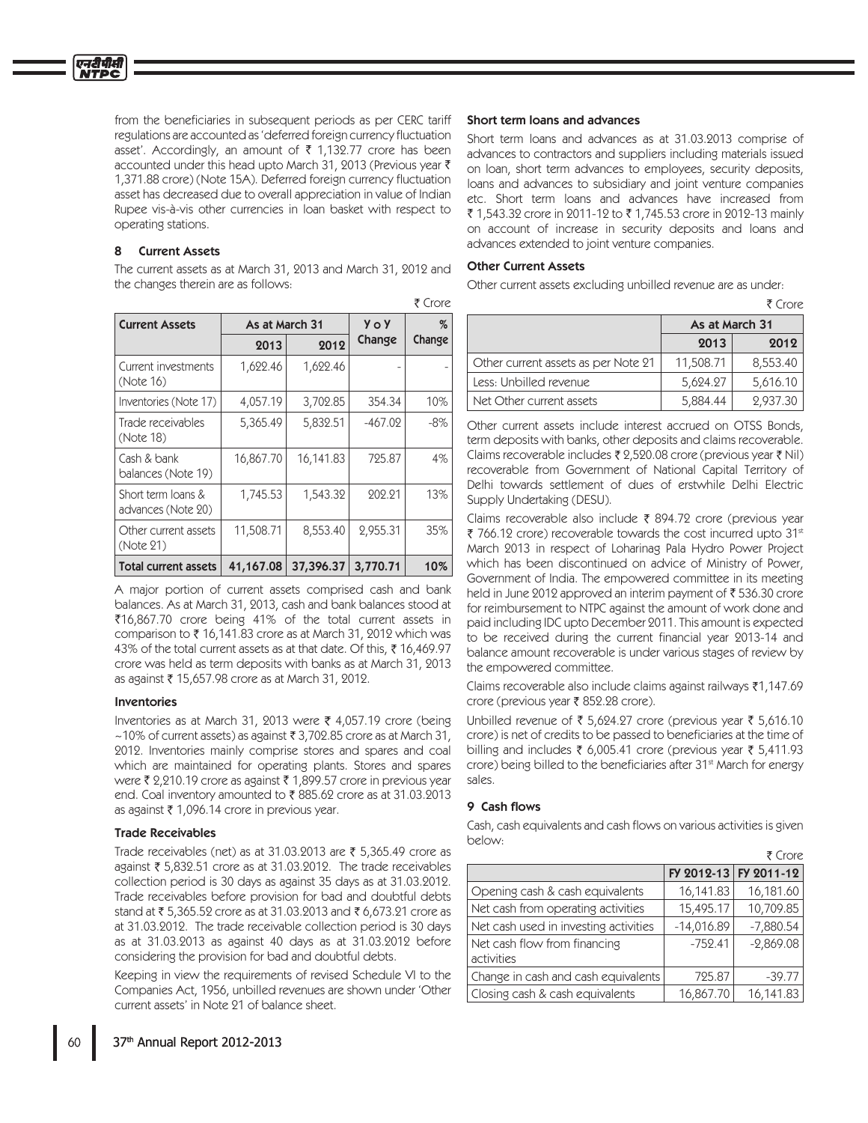एनटीपीक्ष

from the beneficiaries in subsequent periods as per CERC tariff regulations are accounted as 'deferred foreign currency fluctuation asset'. Accordingly, an amount of  $\bar{\tau}$  1,132.77 crore has been accounted under this head upto March 31, 2013 (Previous year  $\bar{\tau}$ 1,371.88 crore) (Note 15A). Deferred foreign currency fluctuation asset has decreased due to overall appreciation in value of Indian Rupee vis-à-vis other currencies in loan basket with respect to operating stations.

## 8 Current Assets

The current assets as at March 31, 2013 and March 31, 2012 and the changes therein are as follows:

| <b>Current Assets</b>                    | As at March 31 |           | <b>Yo Y</b> | %      |
|------------------------------------------|----------------|-----------|-------------|--------|
|                                          | 2013           | 2012      | Change      | Change |
| Current investments<br>(Note 16)         | 1,622.46       | 1,622.46  |             |        |
| Inventories (Note 17)                    | 4,057.19       | 3,702.85  | 354.34      | 10%    |
| Trade receivables<br>(Note 18)           | 5,365.49       | 5,832.51  | $-467.02$   | $-8%$  |
| Cash & bank<br>balances (Note 19)        | 16,867.70      | 16,141.83 | 725.87      | 4%     |
| Short term loans &<br>advances (Note 20) | 1,745.53       | 1,543.32  | 202.21      | 13%    |
| Other current assets<br>(Note 21)        | 11,508.71      | 8,553.40  | 2,955.31    | 35%    |
| <b>Total current assets</b>              | 41,167.08      | 37,396.37 | 3,770.71    | 10%    |

₹ Crore

A major portion of current assets comprised cash and bank balances. As at March 31, 2013, cash and bank balances stood at ₹16,867.70 crore being 41% of the total current assets in comparison to  $\bar{\tau}$  16,141.83 crore as at March 31, 2012 which was 43% of the total current assets as at that date. Of this, ₹ 16,469.97 crore was held as term deposits with banks as at March 31, 2013 as against ₹ 15,657.98 crore as at March 31, 2012.

#### Inventories

Inventories as at March 31, 2013 were  $\bar{\tau}$  4,057.19 crore (being  $\sim$ 10% of current assets) as against ₹ 3,702.85 crore as at March 31, 2012. Inventories mainly comprise stores and spares and coal which are maintained for operating plants. Stores and spares were ₹ 2,210.19 crore as against ₹ 1,899.57 crore in previous year end. Coal inventory amounted to ₹885.62 crore as at 31.03.2013 as against ₹ 1,096.14 crore in previous year.

## Trade Receivables

Trade receivables (net) as at 31.03.2013 are  $\bar{\tau}$  5,365.49 crore as against ₹ 5,832.51 crore as at 31.03.2012. The trade receivables collection period is 30 days as against 35 days as at 31.03.2012. Trade receivables before provision for bad and doubtful debts stand at ₹5,365.52 crore as at 31.03.2013 and ₹6,673.21 crore as at 31.03.2012. The trade receivable collection period is 30 days as at 31.03.2013 as against 40 days as at 31.03.2012 before considering the provision for bad and doubtful debts.

Keeping in view the requirements of revised Schedule VI to the Companies Act, 1956, unbilled revenues are shown under 'Other current assets' in Note 21 of balance sheet.

### Short term loans and advances

Short term loans and advances as at 31.03.2013 comprise of advances to contractors and suppliers including materials issued on loan, short term advances to employees, security deposits, loans and advances to subsidiary and joint venture companies etc. Short term loans and advances have increased from ₹1.543.32 crore in 2011-12 to ₹1.745.53 crore in 2012-13 mainly on account of increase in security deposits and loans and advances extended to joint venture companies.

## Other Current Assets

Other current assets excluding unbilled revenue are as under:

|                                     |                | ₹ Crore  |
|-------------------------------------|----------------|----------|
|                                     | As at March 31 |          |
|                                     | 2013           | 2012     |
| Other current assets as per Note 21 | 11,508.71      | 8,553.40 |
| Less: Unbilled revenue              | 5,624.27       | 5,616.10 |
| Net Other current assets            | 5,884.44       | 2.937.30 |

Other current assets include interest accrued on OTSS Bonds. term deposits with banks, other deposits and claims recoverable. Claims recoverable includes  $\bar{\tau}$  2,520.08 crore (previous year  $\bar{\tau}$  Nil) recoverable from Government of National Capital Territory of Delhi towards settlement of dues of erstwhile Delhi Electric Supply Undertaking (DESU).

Claims recoverable also include  $\bar{\tau}$  894.72 crore (previous year ₹ 766.12 crore) recoverable towards the cost incurred upto 31<sup>st</sup> March 2013 in respect of Loharinag Pala Hydro Power Project which has been discontinued on advice of Ministry of Power, Government of India. The empowered committee in its meeting held in June 2012 approved an interim payment of ₹536.30 crore for reimbursement to NTPC against the amount of work done and paid including IDC upto December 2011. This amount is expected to be received during the current financial year 2013-14 and balance amount recoverable is under various stages of review by the empowered committee.

Claims recoverable also include claims against railways  $\overline{\epsilon}1,147.69$ crore (previous year ₹ 852.28 crore).

Unbilled revenue of ₹ 5,624.27 crore (previous year ₹ 5,616.10 crore) is net of credits to be passed to beneficiaries at the time of billing and includes  $\bar{\tau}$  6,005.41 crore (previous year  $\bar{\tau}$  5,411.93 crore) being billed to the beneficiaries after 31<sup>st</sup> March for energy sales

## 9 Cash flows

Cash, cash equivalents and cash flows on various activities is given below:

|                                            |              | ₹ Crore               |
|--------------------------------------------|--------------|-----------------------|
|                                            |              | FY 2012-13 FY 2011-12 |
| Opening cash & cash equivalents            | 16,141.83    | 16,181.60             |
| Net cash from operating activities         | 15,495.17    | 10,709.85             |
| Net cash used in investing activities      | $-14,016.89$ | $-7,880.54$           |
| Net cash flow from financing<br>activities | $-752.41$    | $-2,869.08$           |
| Change in cash and cash equivalents        | 725.87       | $-39.77$              |
| Closing cash & cash equivalents            | 16,867.70    | 16,141.83             |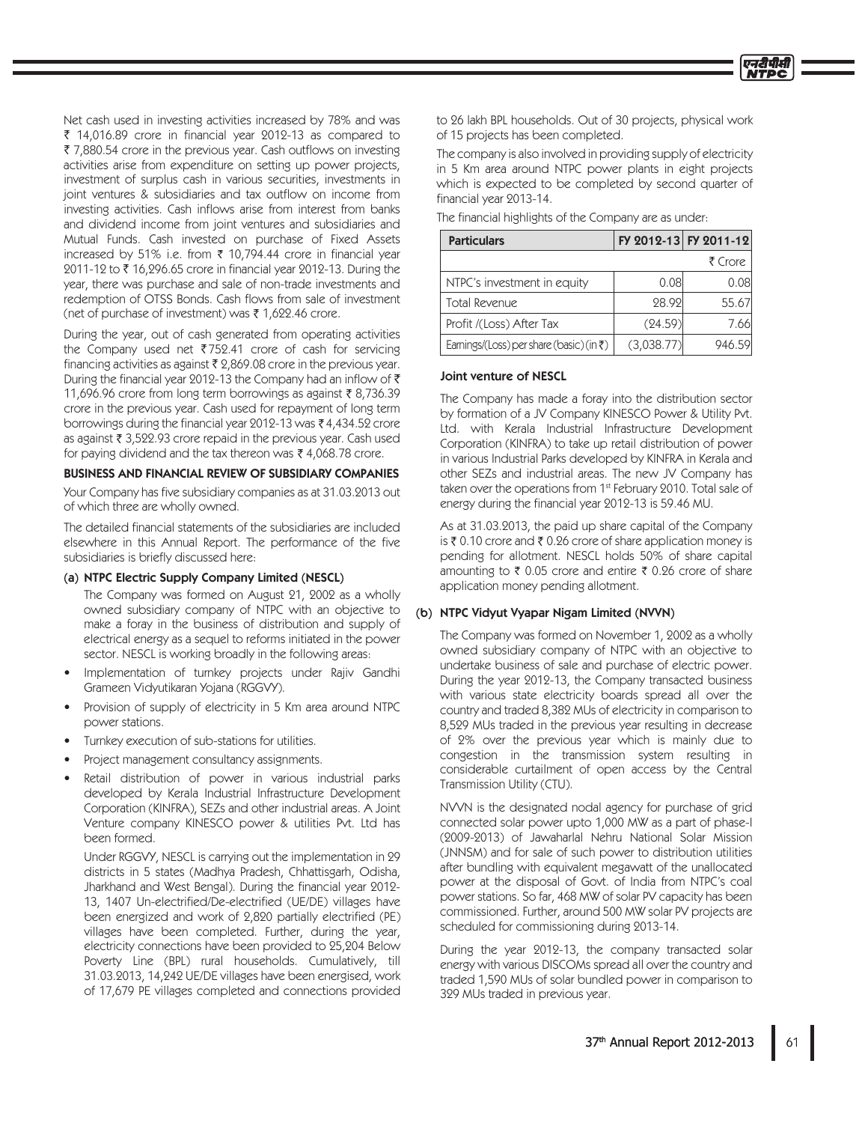Net cash used in investing activities increased by 78% and was ₹ 14,016.89 crore in financial year 2012-13 as compared to ₹ 7,880.54 crore in the previous year. Cash outflows on investing activities arise from expenditure on setting up power projects, investment of surplus cash in various securities, investments in joint ventures & subsidiaries and tax outflow on income from investing activities. Cash inflows arise from interest from banks and dividend income from joint ventures and subsidiaries and Mutual Funds. Cash invested on purchase of Fixed Assets increased by 51% i.e. from ₹ 10,794.44 crore in financial year 2011-12 to ₹16,296.65 crore in financial year 2012-13. During the year, there was purchase and sale of non-trade investments and redemption of OTSS Bonds. Cash flows from sale of investment (net of purchase of investment) was ₹1,622.46 crore.

During the year, out of cash generated from operating activities the Company used net  $\overline{3}$  752.41 crore of cash for servicing financing activities as against  $\bar{\tau}$  2,869.08 crore in the previous year. During the financial year 2012-13 the Company had an inflow of  $\bar{\tau}$ 11,696.96 crore from long term borrowings as against ₹8,736.39 crore in the previous year. Cash used for repayment of long term borrowings during the financial year 2012-13 was ₹4,434.52 crore as against ₹ 3,522.93 crore repaid in the previous year. Cash used for paying dividend and the tax thereon was ₹4,068.78 crore.

## BUSINESS AND FINANCIAL REVIEW OF SUBSIDIARY COMPANIES

Your Company has five subsidiary companies as at 31.03.2013 out of which three are wholly owned.

The detailed financial statements of the subsidiaries are included elsewhere in this Annual Report. The performance of the five subsidiaries is briefly discussed here:

## (a) NTPC Electric Supply Company Limited (NESCL)

The Company was formed on August 21, 2002 as a wholly owned subsidiary company of NTPC with an objective to make a foray in the business of distribution and supply of electrical energy as a sequel to reforms initiated in the power sector. NESCL is working broadly in the following areas:

- Implementation of turnkey projects under Rajiv Gandhi Grameen Vidyutikaran Yojana (RGGVY).
- Provision of supply of electricity in 5 Km area around NTPC power stations.
- Turnkey execution of sub-stations for utilities.
- Project management consultancy assignments.
- Retail distribution of power in various industrial parks developed by Kerala Industrial Infrastructure Development Corporation (KINFRA), SEZs and other industrial areas. A Joint Venture company KINESCO power & utilities Pvt. Ltd has been formed.

Under RGGVY, NESCL is carrying out the implementation in 29 districts in 5 states (Madhya Pradesh, Chhattisgarh, Odisha, Jharkhand and West Bengal). During the financial year 2012-13, 1407 Un-electrified/De-electrified (UE/DE) villages have been energized and work of 2,820 partially electrified (PE) villages have been completed. Further, during the year, electricity connections have been provided to 25,204 Below Poverty Line (BPL) rural households. Cumulatively, till 31.03.2013, 14,242 UE/DE villages have been energised, work of 17,679 PE villages completed and connections provided

to 26 lakh BPL households. Out of 30 projects, physical work of 15 projects has been completed.

The company is also involved in providing supply of electricity in 5 Km area around NTPC power plants in eight projects which is expected to be completed by second quarter of financial year 2013-14.

| The financial highlights of the Company are as under: |  |
|-------------------------------------------------------|--|
|-------------------------------------------------------|--|

| FY 2012-13 FY 2011-12<br><b>Particulars</b>       |            |         |  |
|---------------------------------------------------|------------|---------|--|
|                                                   |            | ₹ Crore |  |
| NTPC's investment in equity                       | 0.08       | 0.081   |  |
| Total Revenue                                     | 28.92      | 55.67   |  |
| Profit /(Loss) After Tax                          | (24.59)    | 7.66    |  |
| Earnings/(Loss) per share (basic) (in $\bar{z}$ ) | (3,038.77) | 946.59  |  |

## Joint venture of NESCL

The Company has made a foray into the distribution sector by formation of a JV Company KINESCO Power & Utility Pvt. Ltd. with Kerala Industrial Infrastructure Development Corporation (KINFRA) to take up retail distribution of power in various Industrial Parks developed by KINFRA in Kerala and other SEZs and industrial areas. The new JV Company has taken over the operations from 1<sup>st</sup> February 2010. Total sale of energy during the financial year 2012-13 is 59.46 MU.

As at 31.03.2013, the paid up share capital of the Company is ₹ 0.10 crore and ₹ 0.26 crore of share application money is pending for allotment. NESCL holds 50% of share capital amounting to ₹ 0.05 crore and entire ₹ 0.26 crore of share application money pending allotment.

## (b) NTPC Vidyut Vyapar Nigam Limited (NVVN)

The Company was formed on November 1, 2002 as a wholly owned subsidiary company of NTPC with an objective to undertake business of sale and purchase of electric power. During the year 2012-13, the Company transacted business with various state electricity boards spread all over the country and traded 8,382 MUs of electricity in comparison to 8,529 MUs traded in the previous year resulting in decrease of 2% over the previous year which is mainly due to congestion in the transmission system resulting in considerable curtailment of open access by the Central Transmission Utility (CTU).

NVVN is the designated nodal agency for purchase of grid connected solar power upto 1,000 MW as a part of phase-1 (2009-2013) of Jawaharlal Nehru National Solar Mission (JNNSM) and for sale of such power to distribution utilities after bundling with equivalent megawatt of the unallocated power at the disposal of Govt. of India from NTPC's coal power stations. So far, 468 MW of solar PV capacity has been commissioned. Further, around 500 MW solar PV projects are scheduled for commissioning during 2013-14.

During the year 2012-13, the company transacted solar energy with various DISCOMs spread all over the country and traded 1,590 MUs of solar bundled power in comparison to 329 MUs traded in previous year.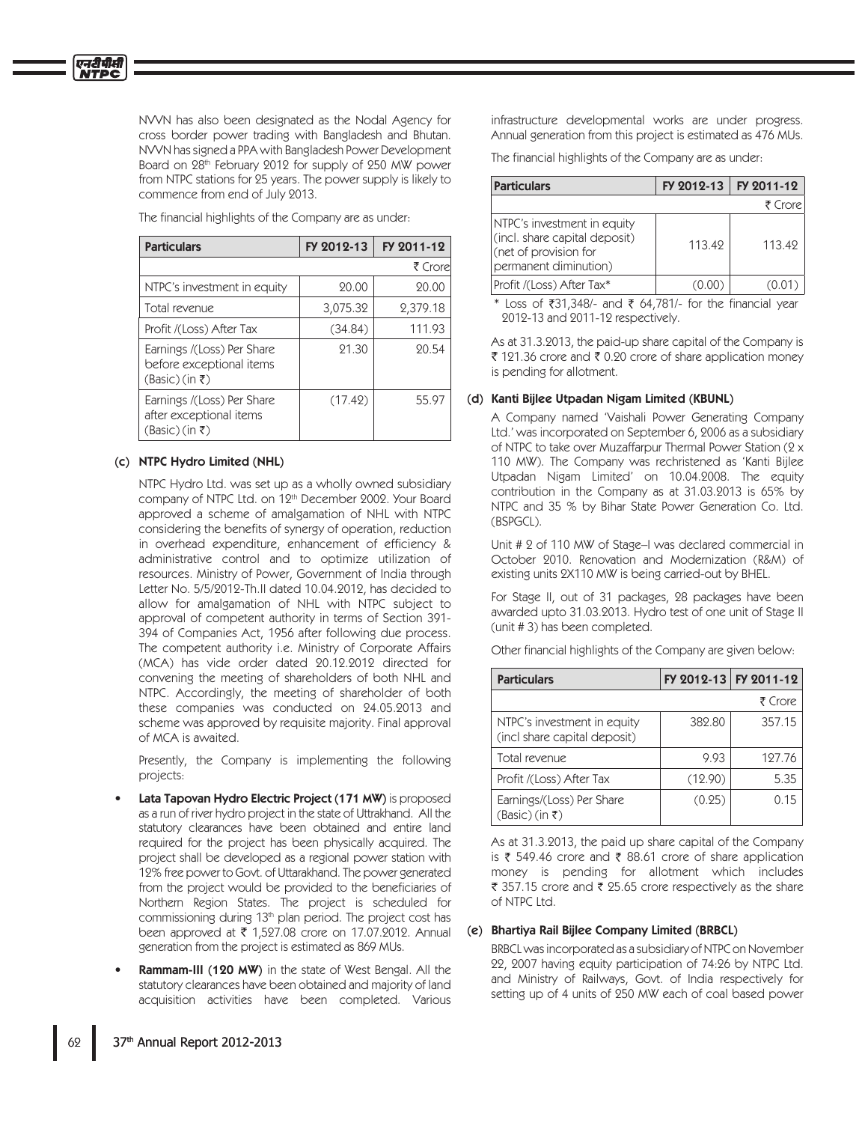एनदीपीसी

NVVN has also been designated as the Nodal Agency for cross border power trading with Bangladesh and Bhutan. NVVN has signed a PPA with Bangladesh Power Development Board on 28th February 2012 for supply of 250 MW power from NTPC stations for 25 years. The power supply is likely to commence from end of July 2013.

The financial highlights of the Company are as under:

| <b>Particulars</b>                                                                   | FY 2012-13 | FY 2011-12 |
|--------------------------------------------------------------------------------------|------------|------------|
|                                                                                      |            | ₹ Crorel   |
| NTPC's investment in equity                                                          | 20.00      | 20.00      |
| Total revenue                                                                        | 3,075.32   | 2,379.18   |
| Profit /(Loss) After Tax                                                             | (34.84)    | 111.93     |
| Earnings /(Loss) Per Share<br>before exceptional items<br>$(Basic)(in \mathfrak{k})$ | 21.30      | 20.54      |
| Earnings /(Loss) Per Share<br>after exceptional items<br>$(Basic)$ (in ₹)            | (17.42)    | 55.97      |

## (c) NTPC Hydro Limited (NHL)

NTPC Hydro Ltd. was set up as a wholly owned subsidiary company of NTPC Ltd. on 12<sup>th</sup> December 2002. Your Board approved a scheme of amalgamation of NHL with NTPC considering the benefits of synergy of operation, reduction in overhead expenditure, enhancement of efficiency & administrative control and to optimize utilization of resources. Ministry of Power, Government of India through Letter No. 5/5/2012-Th.II dated 10.04.2012, has decided to allow for amalgamation of NHL with NTPC subject to approval of competent authority in terms of Section 391-394 of Companies Act, 1956 after following due process. The competent authority i.e. Ministry of Corporate Affairs (MCA) has vide order dated 20.12.2012 directed for convening the meeting of shareholders of both NHL and NTPC. Accordingly, the meeting of shareholder of both these companies was conducted on 24.05.2013 and scheme was approved by requisite majority. Final approval of MCA is awaited.

Presently, the Company is implementing the following projects:

- Lata Tapovan Hydro Electric Project (171 MW) is proposed as a run of river hydro project in the state of Uttrakhand. All the statutory clearances have been obtained and entire land required for the project has been physically acquired. The project shall be developed as a regional power station with 12% free power to Govt. of Uttarakhand. The power generated from the project would be provided to the beneficiaries of Northern Region States. The project is scheduled for commissioning during 13<sup>th</sup> plan period. The project cost has been approved at ₹ 1,527.08 crore on 17.07.2012. Annual generation from the project is estimated as 869 MUs.
- **Rammam-III (120 MW)** in the state of West Bengal. All the statutory clearances have been obtained and majority of land acquisition activities have been completed. Various

infrastructure developmental works are under progress. Annual generation from this project is estimated as 476 MUs.

The financial highlights of the Company are as under:

| <b>Particulars</b>                                                                                             |        | FY 2012-13   FY 2011-12 |  |  |
|----------------------------------------------------------------------------------------------------------------|--------|-------------------------|--|--|
|                                                                                                                |        | ₹ Crore                 |  |  |
| NTPC's investment in equity<br>(incl. share capital deposit)<br>(net of provision for<br>permanent diminution) | 113.49 | 113.42                  |  |  |
| Profit /(Loss) After Tax*                                                                                      |        |                         |  |  |

\* Loss of  $\overline{3}31,348/$ - and  $\overline{5}$  64,781/- for the financial year 2012-13 and 2011-12 respectively.

As at 31.3.2013, the paid-up share capital of the Company is ₹ 121.36 crore and ₹ 0.20 crore of share application money is pending for allotment.

## (d) Kanti Bijlee Utpadan Nigam Limited (KBUNL)

A Company named 'Vaishali Power Generating Company Ltd.' was incorporated on September 6, 2006 as a subsidiary of NTPC to take over Muzaffarpur Thermal Power Station (2 x 110 MW). The Company was rechristened as 'Kanti Bijlee Utpadan Nigam Limited' on 10.04.2008. The equity contribution in the Company as at  $31.03.2013$  is 65% by NTPC and 35 % by Bihar State Power Generation Co. Ltd. (BSPGCL).

Unit # 2 of 110 MW of Stage-I was declared commercial in October 2010. Renovation and Modernization (R&M) of existing units 2X110 MW is being carried-out by BHEL.

For Stage II, out of 31 packages, 28 packages have been awarded upto 31.03.2013. Hydro test of one unit of Stage II (unit #3) has been completed.

Other financial highlights of the Company are given below:

| <b>Particulars</b>                                          | FY 2012-13 FY 2011-12 |         |  |  |
|-------------------------------------------------------------|-----------------------|---------|--|--|
|                                                             |                       | ₹ Crore |  |  |
| NTPC's investment in equity<br>(incl share capital deposit) | 382.80                | 357.15  |  |  |
| Total revenue                                               | 9.93                  | 127.76  |  |  |
| Profit /(Loss) After Tax                                    | (12.90)               | 5.35    |  |  |
| Earnings/(Loss) Per Share<br>(Basic) (in ₹)                 | (0.25)                | 0.15    |  |  |

As at 31.3.2013, the paid up share capital of the Company is ₹ 549.46 crore and ₹ 88.61 crore of share application money is pending for allotment which includes ₹ 357.15 crore and ₹ 25.65 crore respectively as the share of NTPC Ltd.

#### (e) Bhartiya Rail Bijlee Company Limited (BRBCL)

BRBCL was incorporated as a subsidiary of NTPC on November 22, 2007 having equity participation of 74:26 by NTPC Ltd. and Ministry of Railways, Govt. of India respectively for setting up of 4 units of 250 MW each of coal based power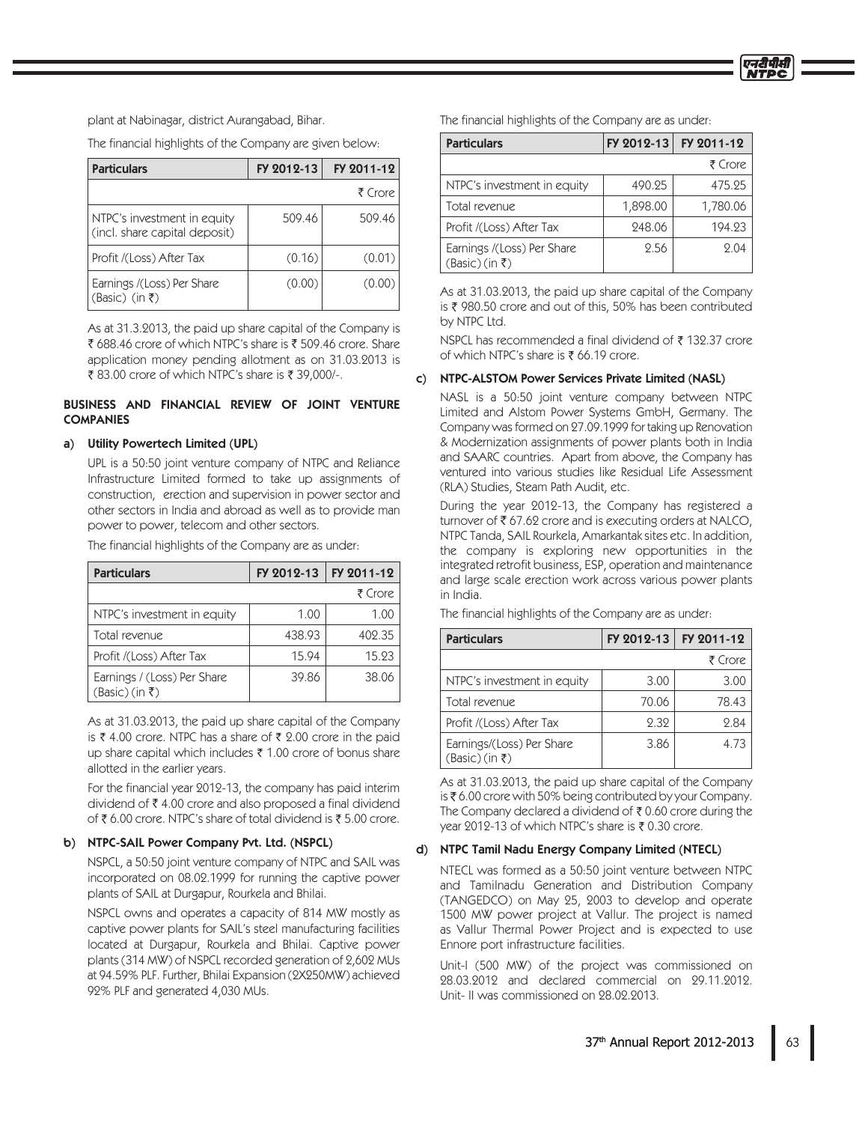plant at Nabinagar, district Aurangabad, Bihar.

The financial highlights of the Company are given below:

| FY 2012-13<br><b>Particulars</b>                             |        | FY 2011-12 |
|--------------------------------------------------------------|--------|------------|
|                                                              |        | ₹ Crore    |
| NTPC's investment in equity<br>(incl. share capital deposit) | 509.46 | 509.46     |
| Profit /(Loss) After Tax                                     | (0.16) | (0.01)     |
| Earnings /(Loss) Per Share<br>$(Basic)$ (in $\bar{z}$ )      | (0.00) | (0.00)     |

As at 31.3.2013, the paid up share capital of the Company is ₹ 688.46 crore of which NTPC's share is ₹ 509.46 crore. Share application money pending allotment as on 31.03.2013 is ₹83.00 crore of which NTPC's share is  $\bar{x}$  39,000/-.

## BUSINESS AND FINANCIAL REVIEW OF JOINT VENTURE **COMPANIES**

## a) Utility Powertech Limited (UPL)

UPL is a 50.50 joint venture company of NTPC and Reliance Infrastructure Limited formed to take up assignments of construction, erection and supervision in power sector and other sectors in India and abroad as well as to provide man power to power, telecom and other sectors.

The financial highlights of the Company are as under:

| <b>Particulars</b>                                        | FY 2012-13 | FY 2011-12 |  |
|-----------------------------------------------------------|------------|------------|--|
|                                                           |            | ₹ Crore    |  |
| NTPC's investment in equity                               | 1.00       | 1.00       |  |
| Total revenue                                             | 438.93     | 402.35     |  |
| Profit /(Loss) After Tax                                  | 15.94      | 15.93      |  |
| Earnings / (Loss) Per Share<br>$(Basic)(in \mathfrak{k})$ | 39.86      | 38.06      |  |

As at 31.03.2013, the paid up share capital of the Company is ₹ 4.00 crore. NTPC has a share of ₹ 2.00 crore in the paid up share capital which includes  $\bar{\tau}$  1.00 crore of bonus share allotted in the earlier years.

For the financial year 2012-13, the company has paid interim dividend of  $\bar{\tau}$  4.00 crore and also proposed a final dividend of  $\bar{\tau}$  6.00 crore. NTPC's share of total dividend is  $\bar{\tau}$  5.00 crore.

## b) NTPC-SAIL Power Company Pvt. Ltd. (NSPCL)

NSPCL, a 50:50 joint venture company of NTPC and SAIL was incorporated on 08.02.1999 for running the captive power plants of SAIL at Durgapur, Rourkela and Bhilai.

NSPCL owns and operates a capacity of 814 MW mostly as captive power plants for SAIL's steel manufacturing facilities located at Durgapur, Rourkela and Bhilai. Captive power plants (314 MW) of NSPCL recorded generation of 2,602 MUs at 94.59% PLF. Further, Bhilai Expansion (2X250MW) achieved 92% PLF and generated 4,030 MUs.

The financial highlights of the Company are as under:

| <b>Particulars</b>                                       | FY 2012-13 | FY 2011-12 |  |
|----------------------------------------------------------|------------|------------|--|
|                                                          |            | ₹ Crore    |  |
| NTPC's investment in equity                              | 490.25     | 475.25     |  |
| Total revenue                                            | 1,898.00   | 1,780.06   |  |
| Profit /(Loss) After Tax                                 | 248.06     | 194.23     |  |
| Earnings /(Loss) Per Share<br>$(Basic)(in \mathfrak{k})$ | 2.56       | 2.04       |  |

As at 31.03.2013, the paid up share capital of the Company is ₹ 980.50 crore and out of this, 50% has been contributed by NTPC Ltd.

NSPCL has recommended a final dividend of ₹132.37 crore of which NTPC's share is  $\bar{\tau}$  66.19 crore.

#### c) NTPC-ALSTOM Power Services Private Limited (NASL)

NASL is a 50:50 joint venture company between NTPC Limited and Alstom Power Systems GmbH, Germany. The Company was formed on 27.09.1999 for taking up Renovation & Modernization assignments of power plants both in India and SAARC countries. Apart from above, the Company has ventured into various studies like Residual Life Assessment (RLA) Studies, Steam Path Audit, etc.

During the year 2012-13, the Company has registered a turnover of  $\bar{\tau}$  67.62 crore and is executing orders at NALCO, NTPC Tanda, SAIL Rourkela, Amarkantak sites etc. In addition, the company is exploring new opportunities in the integrated retrofit business, ESP, operation and maintenance and large scale erection work across various power plants in India.

| <b>Particulars</b>                                      | FY 2012-13 | FY 2011-12 |
|---------------------------------------------------------|------------|------------|
|                                                         |            | ₹ Crore    |
| NTPC's investment in equity                             | 3.00       | 3.00       |
| Total revenue                                           | 70.06      | 78.43      |
| Profit /(Loss) After Tax                                | 2.32       | 2.84       |
| Earnings/(Loss) Per Share<br>$(Basic)(in \mathfrak{k})$ | 3.86       | 4.73       |

The financial highlights of the Company are as under:

As at 31.03.2013, the paid up share capital of the Company is  $\bar{\tau}$  6.00 crore with 50% being contributed by your Company. The Company declared a dividend of  $\bar{\bar{\xi}}$  0.60 crore during the year 2012-13 of which NTPC's share is ₹ 0.30 crore.

## d) NTPC Tamil Nadu Energy Company Limited (NTECL)

NTECL was formed as a 50:50 joint venture between NTPC and Tamilnadu Generation and Distribution Company (TANGEDCO) on May 25, 2003 to develop and operate 1500 MW power project at Vallur. The project is named as Vallur Thermal Power Project and is expected to use Ennore port infrastructure facilities.

Unit-I (500 MW) of the project was commissioned on 28.03.2012 and declared commercial on 29.11.2012. Unit-II was commissioned on 28.02.2013.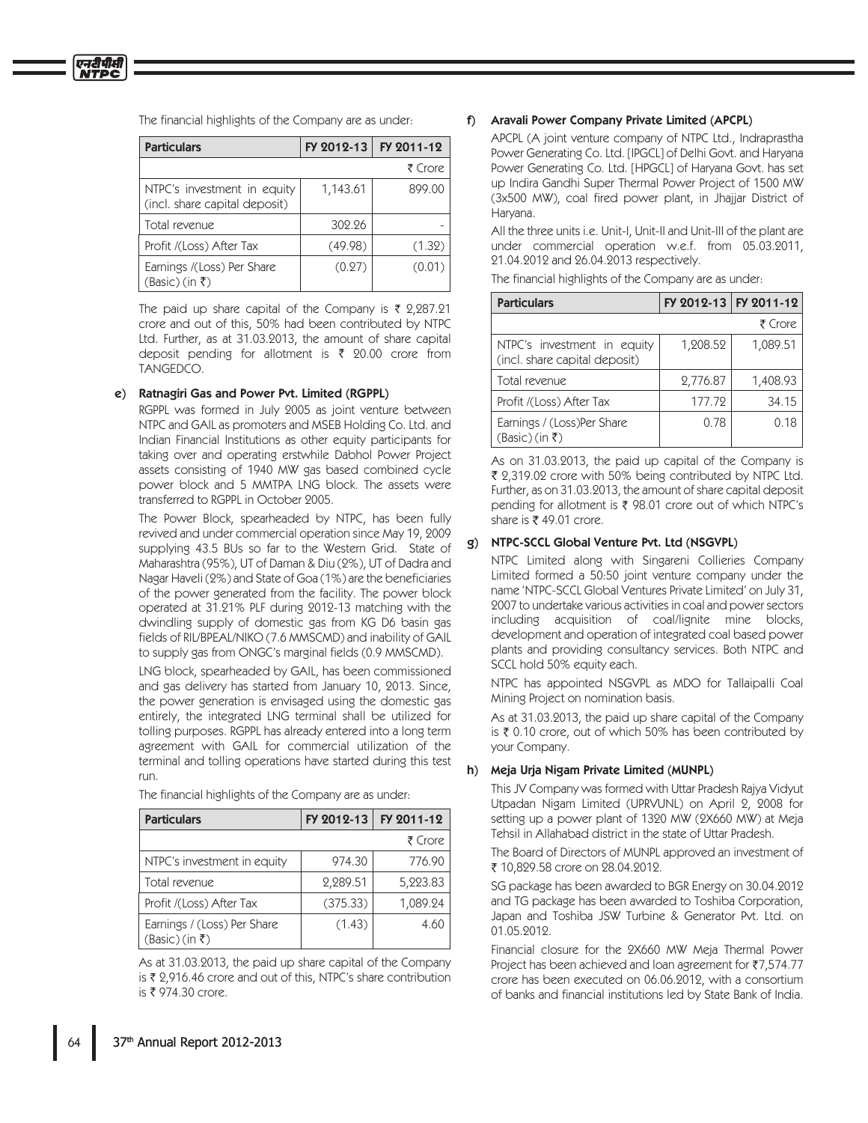The financial highlights of the Company are as under.

| <b>Particulars</b>                                             | FY 2012-13 | FY 2011-12 |  |  |
|----------------------------------------------------------------|------------|------------|--|--|
|                                                                |            | ₹ Crore    |  |  |
| NTPC's investment in equity<br>(incl. share capital deposit)   | 1,143.61   | 899.00     |  |  |
| Total revenue                                                  | 302.26     |            |  |  |
| Profit /(Loss) After Tax                                       | (49.98)    | (1.32)     |  |  |
| Earnings /(Loss) Per Share<br>$(Basic)$ (in $\overline{\xi}$ ) | (0.27)     | (0.01)     |  |  |

The paid up share capital of the Company is  $\bar{\tau}$  2,287.21 crore and out of this, 50% had been contributed by NTPC Ltd. Further, as at 31.03.2013, the amount of share capital deposit pending for allotment is  $\bar{\tau}$  20.00 crore from TANGEDCO.

## e) Ratnagiri Gas and Power Pvt. Limited (RGPPL)

RGPPL was formed in July 2005 as joint venture between NTPC and GAIL as promoters and MSEB Holding Co. Ltd. and Indian Financial Institutions as other equity participants for taking over and operating erstwhile Dabhol Power Project assets consisting of 1940 MW gas based combined cycle power block and 5 MMTPA LNG block. The assets were transferred to RGPPL in October 2005.

The Power Block, spearheaded by NTPC, has been fully revived and under commercial operation since May 19, 2009 supplying 43.5 BUs so far to the Western Grid. State of Maharashtra (95%), UT of Daman & Diu (2%), UT of Dadra and Nagar Haveli (2%) and State of Goa (1%) are the beneficiaries of the power generated from the facility. The power block operated at 31.21% PLF during 2012-13 matching with the dwindling supply of domestic gas from KG D6 basin gas fields of RIL/BPEAL/NIKO (7.6 MMSCMD) and inability of GAIL to supply gas from ONGC's marginal fields (0.9 MMSCMD).

LNG block, spearheaded by GAIL, has been commissioned and gas delivery has started from January 10, 2013. Since, the power generation is envisaged using the domestic gas entirely, the integrated LNG terminal shall be utilized for tolling purposes. RGPPL has already entered into a long term agreement with GAIL for commercial utilization of the terminal and tolling operations have started during this test run.

|  | The financial highlights of the Company are as under: |  |  |
|--|-------------------------------------------------------|--|--|
|  |                                                       |  |  |
|  |                                                       |  |  |

| <b>Particulars</b>                                        | FY 2012-13 | FY 2011-12 |
|-----------------------------------------------------------|------------|------------|
|                                                           |            | ₹ Crore    |
| NTPC's investment in equity                               | 974.30     | 776.90     |
| Total revenue                                             | 2,289.51   | 5,223.83   |
| Profit /(Loss) After Tax                                  | (375.33)   | 1,089.24   |
| Earnings / (Loss) Per Share<br>$(Basic)(in \mathfrak{k})$ | (1.43)     | 4.60       |

As at 31.03.2013, the paid up share capital of the Company is ₹ 2,916.46 crore and out of this, NTPC's share contribution is ₹ 974.30 crore.

### f) Aravali Power Company Private Limited (APCPL)

APCPL (A joint venture company of NTPC Ltd., Indraprastha Power Generating Co. Ltd. [IPGCL] of Delhi Govt. and Haryana Power Generating Co. Ltd. [HPGCL] of Haryana Govt. has set up Indira Gandhi Super Thermal Power Project of 1500 MW (3x500 MW), coal fired power plant, in Jhajjar District of Harvana.

All the three units i.e. Unit-I, Unit-II and Unit-III of the plant are under commercial operation w.e.f. from 05.03.2011, 21.04.2012 and 26.04.2013 respectively.

The financial highlights of the Company are as under:

| <b>Particulars</b>                                           |          | FY 2012-13 FY 2011-12 |
|--------------------------------------------------------------|----------|-----------------------|
|                                                              |          | ₹ Crore               |
| NTPC's investment in equity<br>(incl. share capital deposit) | 1,208.52 | 1,089.51              |
| Total revenue                                                | 2,776.87 | 1,408.93              |
| Profit /(Loss) After Tax                                     | 177.72   | 34.15                 |
| Earnings / (Loss)Per Share<br>$(Basic)(in \bar{z})$          | 0.78     | 0.18                  |

As on 31.03.2013, the paid up capital of the Company is ₹ 2,319.02 crore with 50% being contributed by NTPC Ltd. Further, as on 31.03.2013, the amount of share capital deposit pending for allotment is ₹ 98.01 crore out of which NTPC's share is ₹ 49.01 crore.

## g) NTPC-SCCL Global Venture Pvt. Ltd (NSGVPL)

NTPC Limited along with Singareni Collieries Company Limited formed a 50:50 joint venture company under the name 'NTPC-SCCL Global Ventures Private Limited' on July 31, 2007 to undertake various activities in coal and power sectors including acquisition of coal/lignite mine blocks, development and operation of integrated coal based power plants and providing consultancy services. Both NTPC and SCCL hold 50% equity each.

NTPC has appointed NSGVPL as MDO for Tallaipalli Coal Mining Project on nomination basis.

As at 31.03.2013, the paid up share capital of the Company is  $\bar{\tau}$  0.10 crore, out of which 50% has been contributed by your Company.

#### h) Meja Urja Nigam Private Limited (MUNPL)

This JV Company was formed with Uttar Pradesh Rajya Vidyut Utpadan Nigam Limited (UPRVUNL) on April 2, 2008 for setting up a power plant of 1320 MW (2X660 MW) at Meja Tehsil in Allahabad district in the state of Uttar Pradesh.

The Board of Directors of MUNPL approved an investment of ₹ 10,829.58 crore on 28.04.2012.

SG package has been awarded to BGR Energy on 30.04.2012 and TG package has been awarded to Toshiba Corporation, Japan and Toshiba JSW Turbine & Generator Pvt. Ltd. on 01.05.2012.

Financial closure for the 2X660 MW Meja Thermal Power Project has been achieved and loan agreement for ₹7,574.77 crore has been executed on 06.06.2012, with a consortium of banks and financial institutions led by State Bank of India.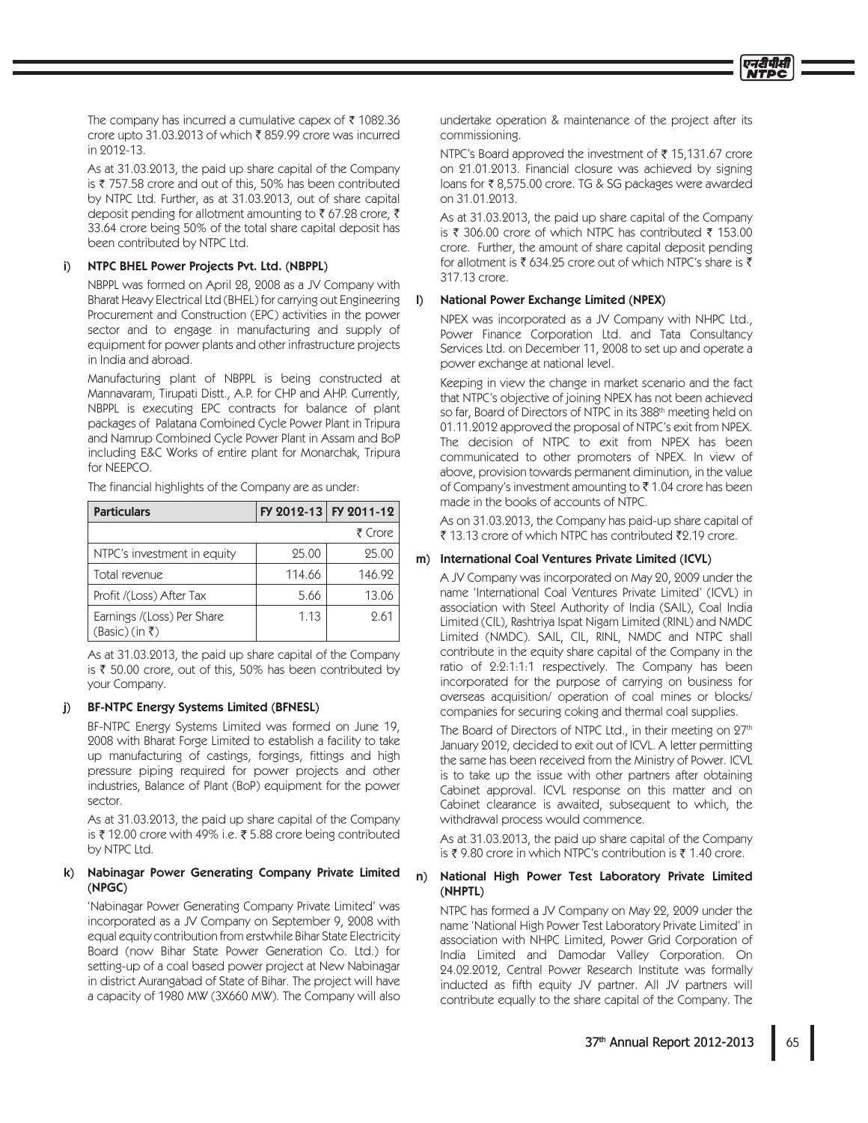The company has incurred a cumulative capex of  $\bar{\tau}$  1082.36 crore upto 31.03.2013 of which ₹859.99 crore was incurred in 2012-13.

As at 31.03.2013, the paid up share capital of the Company is ₹757.58 crore and out of this, 50% has been contributed by NTPC Ltd. Further, as at 31.03.2013, out of share capital deposit pending for allotment amounting to ₹ 67.28 crore, ₹ 33.64 crore being 50% of the total share capital deposit has been contributed by NTPC Ltd.

#### NTPC BHEL Power Projects Pvt. Ltd. (NBPPL) i)

NBPPL was formed on April 28, 2008 as a JV Company with Bharat Heavy Electrical Ltd (BHEL) for carrying out Engineering Procurement and Construction (EPC) activities in the power sector and to engage in manufacturing and supply of equipment for power plants and other infrastructure projects in India and abroad.

Manufacturing plant of NBPPL is being constructed at Mannavaram, Tirupati Distt., A.P. for CHP and AHP. Currently, NBPPL is executing EPC contracts for balance of plant packages of Palatana Combined Cycle Power Plant in Tripura and Namrup Combined Cycle Power Plant in Assam and BoP including E&C Works of entire plant for Monarchak, Tripura for NEEPCO.

The financial highlights of the Company are as under.

| <b>Particulars</b>                                       |        | FY 2012-13 FY 2011-12 |
|----------------------------------------------------------|--------|-----------------------|
|                                                          |        | ₹ Crore               |
| NTPC's investment in equity                              | 25.00  | 25.00                 |
| Total revenue                                            | 114.66 | 146.92                |
| Profit /(Loss) After Tax                                 | 5.66   | 13.06                 |
| Earnings /(Loss) Per Share<br>$(Basic)(in \mathfrak{k})$ | 1.13   | 9.61                  |

As at 31.03.2013, the paid up share capital of the Company is ₹ 50.00 crore, out of this, 50% has been contributed by your Company.

#### $\ddot{\mathbf{i}}$ BF-NTPC Energy Systems Limited (BFNESL)

BF-NTPC Energy Systems Limited was formed on June 19, 2008 with Bharat Forge Limited to establish a facility to take up manufacturing of castings, forgings, fittings and high pressure piping required for power projects and other industries, Balance of Plant (BoP) equipment for the power sector.

As at 31.03.2013, the paid up share capital of the Company is ₹12.00 crore with 49% i.e. ₹5.88 crore being contributed by NTPC Ltd.

## k) Nabinagar Power Generating Company Private Limited  $(NPGC)$

'Nabinagar Power Generating Company Private Limited' was incorporated as a JV Company on September 9, 2008 with equal equity contribution from erstwhile Bihar State Electricity Board (now Bihar State Power Generation Co. Ltd.) for setting-up of a coal based power project at New Nabinagar in district Aurangabad of State of Bihar. The project will have a capacity of 1980 MW (3X660 MW). The Company will also undertake operation & maintenance of the project after its commissioning.

NTPC's Board approved the investment of ₹15,131.67 crore on 21.01.2013. Financial closure was achieved by signing loans for ₹8,575.00 crore. TG & SG packages were awarded on 31.01.2013.

As at 31.03.2013, the paid up share capital of the Company is ₹ 306.00 crore of which NTPC has contributed ₹ 153.00 crore. Further, the amount of share capital deposit pending for allotment is  $\bar{\zeta}$  634.25 crore out of which NTPC's share is  $\bar{\zeta}$ 317.13 crore.

## **National Power Exchange Limited (NPEX)**

 $\mathsf{D}$ 

NPEX was incorporated as a JV Company with NHPC Ltd., Power Finance Corporation Ltd. and Tata Consultancy Services Ltd. on December 11, 2008 to set up and operate a power exchange at national level.

Keeping in view the change in market scenario and the fact that NTPC's objective of joining NPEX has not been achieved so far, Board of Directors of NTPC in its 388<sup>th</sup> meeting held on 01.11.2012 approved the proposal of NTPC's exit from NPEX. The decision of NTPC to exit from NPEX has been communicated to other promoters of NPEX. In view of above, provision towards permanent diminution, in the value of Company's investment amounting to  $\bar{\tau}$  1.04 crore has been made in the books of accounts of NTPC.

As on 31.03.2013, the Company has paid-up share capital of ₹ 13.13 crore of which NTPC has contributed ₹2.19 crore.

## m) International Coal Ventures Private Limited (ICVL)

A JV Company was incorporated on May 20, 2009 under the name 'International Coal Ventures Private Limited' (ICVL) in association with Steel Authority of India (SAIL), Coal India Limited (CIL), Rashtriya Ispat Nigam Limited (RINL) and NMDC Limited (NMDC). SAIL, CIL, RINL, NMDC and NTPC shall contribute in the equity share capital of the Company in the ratio of 2:2:1:1:1 respectively. The Company has been incorporated for the purpose of carrying on business for overseas acquisition/ operation of coal mines or blocks/ companies for securing coking and thermal coal supplies.

The Board of Directors of NTPC Ltd., in their meeting on 27th January 2012, decided to exit out of ICVL. A letter permitting the same has been received from the Ministry of Power. ICVL is to take up the issue with other partners after obtaining Cabinet approval. ICVL response on this matter and on Cabinet clearance is awaited, subsequent to which, the withdrawal process would commence.

As at 31.03.2013, the paid up share capital of the Company is ₹9.80 crore in which NTPC's contribution is ₹1.40 crore.

#### $n)$ National High Power Test Laboratory Private Limited (NHPTL)

NTPC has formed a JV Company on May 22, 2009 under the name 'National High Power Test Laboratory Private Limited' in association with NHPC Limited, Power Grid Corporation of India Limited and Damodar Valley Corporation. On 24.02.2012. Central Power Research Institute was formally inducted as fifth equity JV partner. All JV partners will contribute equally to the share capital of the Company. The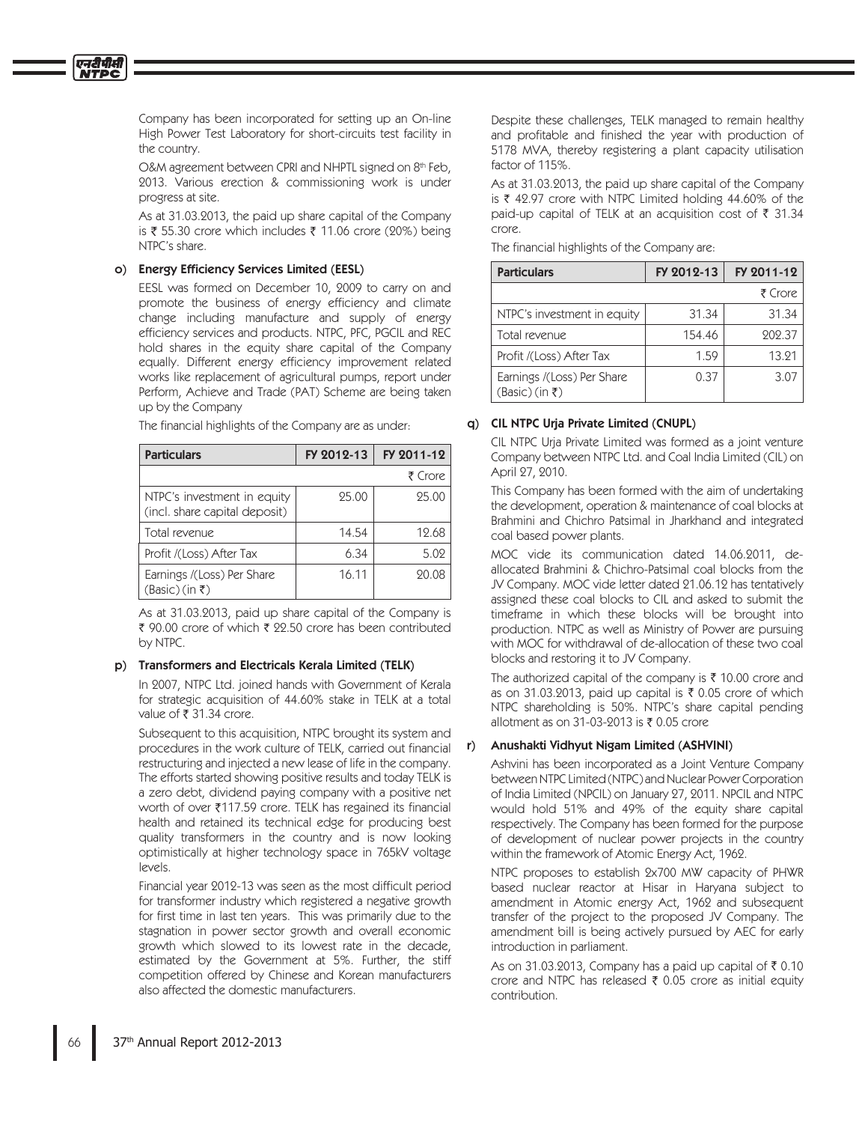एनटीपीसी

Company has been incorporated for setting up an On-line High Power Test Laboratory for short-circuits test facility in the country.

O&M agreement between CPRI and NHPTL signed on 8th Feb, 2013. Various erection & commissioning work is under progress at site.

As at 31.03.2013, the paid up share capital of the Company is ₹ 55.30 crore which includes ₹ 11.06 crore (20%) being NTPC's share.

## o) Energy Efficiency Services Limited (EESL)

EESL was formed on December 10, 2009 to carry on and promote the business of energy efficiency and climate change including manufacture and supply of energy efficiency services and products. NTPC, PFC, PGCIL and REC hold shares in the equity share capital of the Company equally. Different energy efficiency improvement related works like replacement of agricultural pumps, report under Perform, Achieve and Trade (PAT) Scheme are being taken up by the Company

|  |  |  | The financial highlights of the Company are as under: |  |
|--|--|--|-------------------------------------------------------|--|
|--|--|--|-------------------------------------------------------|--|

| <b>Particulars</b>                                           | FY 2012-13 | FY 2011-12 |
|--------------------------------------------------------------|------------|------------|
|                                                              |            | ₹ Crore    |
| NTPC's investment in equity<br>(incl. share capital deposit) | 25.00      | 25.00      |
| Total revenue                                                | 14.54      | 12.68      |
| Profit /(Loss) After Tax                                     | 6.34       | 5.02       |
| Earnings /(Loss) Per Share<br>$(Basic)(in \mathfrak{k})$     | 16.11      | 20.08      |

As at 31.03.2013, paid up share capital of the Company is ₹ 90.00 crore of which ₹ 22.50 crore has been contributed by NTPC.

#### p) Transformers and Electricals Kerala Limited (TELK)

In 2007, NTPC Ltd. joined hands with Government of Kerala for strategic acquisition of 44.60% stake in TELK at a total value of ₹31.34 crore.

Subsequent to this acquisition, NTPC brought its system and procedures in the work culture of TELK, carried out financial restructuring and injected a new lease of life in the company. The efforts started showing positive results and today TELK is a zero debt, dividend paying company with a positive net worth of over ₹117.59 crore. TELK has regained its financial health and retained its technical edge for producing best quality transformers in the country and is now looking optimistically at higher technology space in 765kV voltage levels.

Financial year 2012-13 was seen as the most difficult period for transformer industry which registered a negative growth for first time in last ten years. This was primarily due to the stagnation in power sector growth and overall economic growth which slowed to its lowest rate in the decade, estimated by the Government at 5%. Further, the stiff competition offered by Chinese and Korean manufacturers also affected the domestic manufacturers.

Despite these challenges. TELK managed to remain healthy and profitable and finished the year with production of 5178 MVA, thereby registering a plant capacity utilisation factor of 115%.

As at 31.03.2013, the paid up share capital of the Company is  $\bar{\tau}$  42.97 crore with NTPC Limited holding 44.60% of the paid-up capital of TELK at an acquisition cost of ₹ 31.34 crore.

The financial highlights of the Company are:

| <b>Particulars</b>                                       | FY 2012-13 | FY 2011-12 |
|----------------------------------------------------------|------------|------------|
|                                                          |            | ₹ Crore    |
| NTPC's investment in equity                              | 31.34      | 31.34      |
| Total revenue                                            | 154.46     | 202.37     |
| Profit /(Loss) After Tax                                 | 1.59       | 13.21      |
| Earnings /(Loss) Per Share<br>$(Basic)(in \mathfrak{k})$ | 0.37       | 3.07       |

## q) CIL NTPC Urja Private Limited (CNUPL)

CIL NTPC Urja Private Limited was formed as a joint venture Company between NTPC Ltd. and Coal India Limited (CIL) on April 27, 2010.

This Company has been formed with the aim of undertaking the development, operation & maintenance of coal blocks at Brahmini and Chichro Patsimal in Jharkhand and integrated coal based power plants.

MOC vide its communication dated 14.06.2011, deallocated Brahmini & Chichro-Patsimal coal blocks from the JV Company. MOC vide letter dated 21.06.12 has tentatively assigned these coal blocks to CIL and asked to submit the timeframe in which these blocks will be brought into production. NTPC as well as Ministry of Power are pursuing with MOC for withdrawal of de-allocation of these two coal blocks and restoring it to JV Company.

The authorized capital of the company is  $\bar{\tau}$  10.00 crore and as on 31.03.2013, paid up capital is ₹ 0.05 crore of which NTPC shareholding is 50%. NTPC's share capital pending allotment as on 31-03-2013 is ₹ 0.05 crore

#### Anushakti Vidhyut Nigam Limited (ASHVINI) r)

Ashvini has been incorporated as a Joint Venture Company between NTPC Limited (NTPC) and Nuclear Power Corporation of India Limited (NPCIL) on January 27, 2011. NPCIL and NTPC would hold 51% and 49% of the equity share capital respectively. The Company has been formed for the purpose of development of nuclear power projects in the country within the framework of Atomic Energy Act, 1962.

NTPC proposes to establish 2x700 MW capacity of PHWR based nuclear reactor at Hisar in Haryana subject to amendment in Atomic energy Act, 1962 and subsequent transfer of the project to the proposed JV Company. The amendment bill is being actively pursued by AEC for early introduction in parliament.

As on 31.03.2013, Company has a paid up capital of  $\bar{\tau}$  0.10 crore and NTPC has released ₹ 0.05 crore as initial equity contribution.